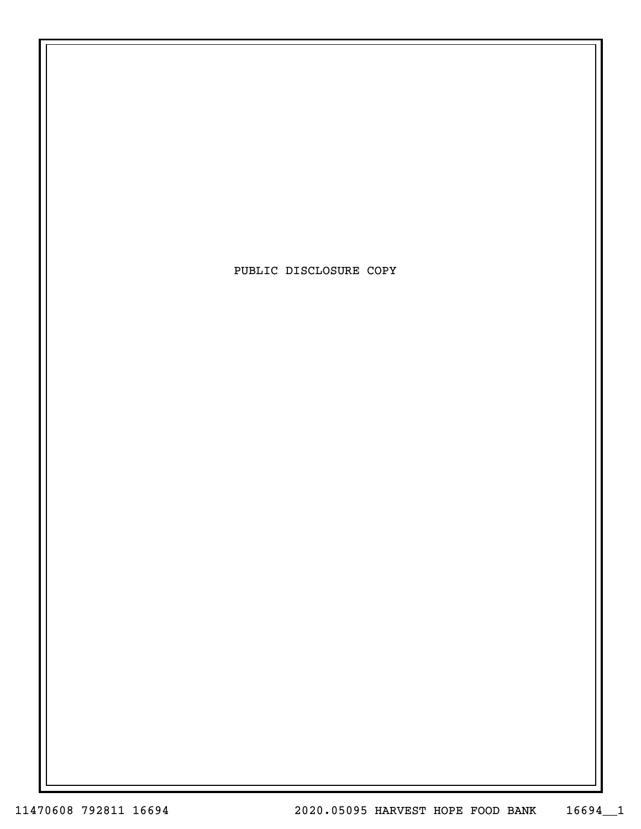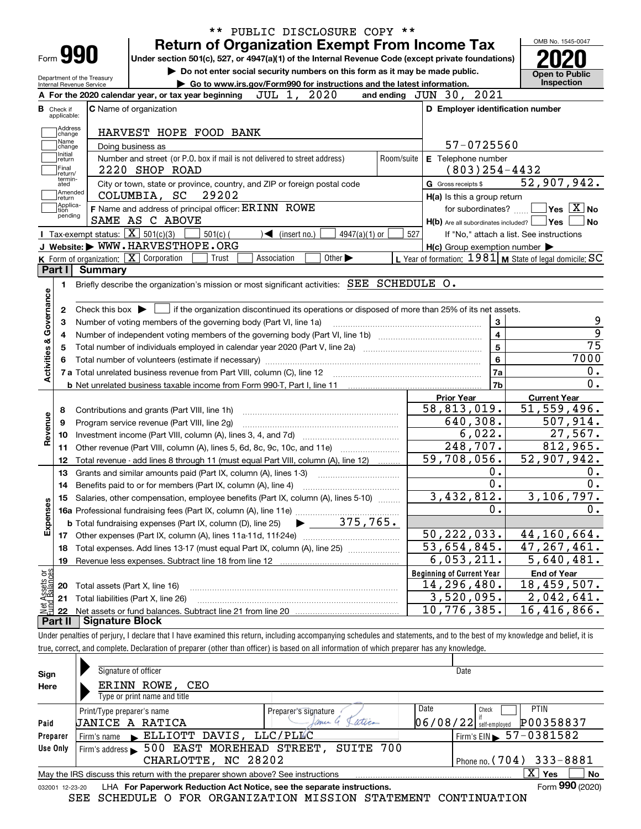|                                                      | Form 990<br>Department of the Treasury            |                                                                                               | <b>Return of Organization Exempt From Income Tax</b><br>Under section 501(c), 527, or 4947(a)(1) of the Internal Revenue Code (except private foundations)<br>Do not enter social security numbers on this form as it may be made public. |             |                              |                             |                 |            |                                  |                                                     | OMB No. 1545-0047<br><b>Open to Public</b>                             |
|------------------------------------------------------|---------------------------------------------------|-----------------------------------------------------------------------------------------------|-------------------------------------------------------------------------------------------------------------------------------------------------------------------------------------------------------------------------------------------|-------------|------------------------------|-----------------------------|-----------------|------------|----------------------------------|-----------------------------------------------------|------------------------------------------------------------------------|
|                                                      | Internal Revenue Service                          |                                                                                               | Go to www.irs.gov/Form990 for instructions and the latest information.                                                                                                                                                                    |             |                              |                             |                 |            |                                  |                                                     | <b>Inspection</b>                                                      |
|                                                      |                                                   |                                                                                               | A For the 2020 calendar year, or tax year beginning                                                                                                                                                                                       | JUL 1,      |                              | 2020                        |                 |            | and ending JUN 30, 2021          |                                                     |                                                                        |
| <b>B</b> Check if<br>applicable:                     |                                                   | <b>C</b> Name of organization                                                                 |                                                                                                                                                                                                                                           |             |                              |                             |                 |            |                                  |                                                     | D Employer identification number                                       |
| Address<br>change<br>Name                            |                                                   | Doing business as                                                                             | HARVEST HOPE FOOD BANK                                                                                                                                                                                                                    |             |                              |                             |                 |            |                                  | 57-0725560                                          |                                                                        |
| change<br>Initial<br>return<br> Final                |                                                   | 2220 SHOP ROAD                                                                                | Number and street (or P.O. box if mail is not delivered to street address)                                                                                                                                                                |             |                              |                             |                 | Room/suite |                                  | E Telephone number<br>$(803)$ 254-4432              |                                                                        |
| Ireturn/<br>termin-<br>ated                          | Amended                                           |                                                                                               | City or town, state or province, country, and ZIP or foreign postal code                                                                                                                                                                  |             |                              |                             |                 |            | G Gross receipts \$              |                                                     | $\overline{52}$ , 907, 942.                                            |
| ∣return<br> Applica-                                 |                                                   | COLUMBIA, SC                                                                                  | 29202<br>F Name and address of principal officer: ERINN ROWE                                                                                                                                                                              |             |                              |                             |                 |            |                                  | H(a) Is this a group return                         | $\sqrt{}$ Yes $\sqrt{}$ X $\sqrt{}$ No                                 |
| tion<br>pending                                      |                                                   | SAME AS C ABOVE                                                                               |                                                                                                                                                                                                                                           |             |                              |                             |                 |            |                                  | for subordinates?                                   |                                                                        |
|                                                      | Tax-exempt status: $\boxed{\mathbf{X}}$ 501(c)(3) |                                                                                               |                                                                                                                                                                                                                                           |             |                              |                             |                 |            | 527                              |                                                     | $H(b)$ Are all subordinates included? $\Box$ Yes                       |
|                                                      |                                                   | J Website: WWW.HARVESTHOPE.ORG                                                                | $501(c)$ (                                                                                                                                                                                                                                |             | $\triangleleft$ (insert no.) |                             | $4947(a)(1)$ or |            |                                  |                                                     | If "No," attach a list. See instructions                               |
|                                                      |                                                   | K Form of organization: X Corporation                                                         | Trust                                                                                                                                                                                                                                     | Association |                              | Other $\blacktriangleright$ |                 |            |                                  | $H(c)$ Group exemption number $\blacktriangleright$ | L Year of formation: $1981$ M State of legal domicile: SC              |
| Part I                                               | Summary                                           |                                                                                               |                                                                                                                                                                                                                                           |             |                              |                             |                 |            |                                  |                                                     |                                                                        |
| 1.                                                   |                                                   |                                                                                               | Briefly describe the organization's mission or most significant activities: SEE SCHEDULE O.                                                                                                                                               |             |                              |                             |                 |            |                                  |                                                     |                                                                        |
| 4<br>5                                               |                                                   |                                                                                               |                                                                                                                                                                                                                                           |             |                              |                             |                 |            |                                  | 4<br>$\overline{5}$                                 |                                                                        |
| 8<br>9                                               |                                                   | Contributions and grants (Part VIII, line 1h)<br>Program service revenue (Part VIII, line 2g) |                                                                                                                                                                                                                                           |             |                              |                             |                 |            | <b>Prior Year</b><br>58,813,019. | $\bf 6$<br>7a<br>7b<br>640, 308.                    | 7000<br><b>Current Year</b><br>$\overline{51}$ , 559, 496.<br>507,914. |
| 10                                                   |                                                   |                                                                                               |                                                                                                                                                                                                                                           |             |                              |                             |                 |            |                                  | 6,022.                                              | 27,567.                                                                |
| 11                                                   |                                                   |                                                                                               | Other revenue (Part VIII, column (A), lines 5, 6d, 8c, 9c, 10c, and 11e)                                                                                                                                                                  |             |                              |                             |                 |            |                                  | 248,707.                                            | 812,965.                                                               |
| 12                                                   |                                                   |                                                                                               | Total revenue - add lines 8 through 11 (must equal Part VIII, column (A), line 12)                                                                                                                                                        |             |                              |                             |                 |            | 59,708,056.                      |                                                     | 52,907,942.                                                            |
| 13                                                   |                                                   |                                                                                               | Grants and similar amounts paid (Part IX, column (A), lines 1-3)                                                                                                                                                                          |             |                              |                             |                 |            |                                  | $0$ .                                               |                                                                        |
| 14                                                   |                                                   |                                                                                               |                                                                                                                                                                                                                                           |             |                              |                             |                 |            |                                  | $0$ .                                               |                                                                        |
|                                                      |                                                   |                                                                                               | 15 Salaries, other compensation, employee benefits (Part IX, column (A), lines 5-10)                                                                                                                                                      |             |                              |                             |                 |            |                                  | 3,432,812.                                          | 3,106,797.                                                             |
|                                                      |                                                   |                                                                                               |                                                                                                                                                                                                                                           |             |                              |                             |                 |            |                                  | 0.                                                  |                                                                        |
|                                                      |                                                   |                                                                                               | <b>b</b> Total fundraising expenses (Part IX, column (D), line 25)                                                                                                                                                                        |             |                              |                             | 375,765.        |            |                                  |                                                     |                                                                        |
| 17                                                   |                                                   |                                                                                               |                                                                                                                                                                                                                                           |             |                              |                             |                 |            | 50, 222, 033.                    |                                                     | 44,160,664.                                                            |
| 18                                                   |                                                   |                                                                                               | Total expenses. Add lines 13-17 (must equal Part IX, column (A), line 25)                                                                                                                                                                 |             |                              |                             |                 |            | $\overline{53,654,845}$ .        |                                                     | 47, 267, 461.                                                          |
| 19                                                   |                                                   |                                                                                               | Revenue less expenses. Subtract line 18 from line 12                                                                                                                                                                                      |             |                              |                             |                 |            |                                  | 6,053,211.                                          | 5,640,481.                                                             |
|                                                      |                                                   |                                                                                               |                                                                                                                                                                                                                                           |             |                              |                             |                 |            | <b>Beginning of Current Year</b> |                                                     | <b>End of Year</b>                                                     |
| Activities & Governance<br>Revenue<br>Expenses<br>20 |                                                   | Total assets (Part X, line 16)                                                                |                                                                                                                                                                                                                                           |             |                              |                             |                 |            | 14, 296, 480.                    |                                                     | 18, 459, 507.                                                          |
| 21                                                   |                                                   | Total liabilities (Part X, line 26)                                                           |                                                                                                                                                                                                                                           |             |                              |                             |                 |            |                                  | 3,520,095.                                          | 2,042,641.                                                             |
| t Assets or<br>d Balances<br>-22                     |                                                   |                                                                                               |                                                                                                                                                                                                                                           |             |                              |                             |                 |            | 10,776,385.                      |                                                     | 16,416,866.                                                            |

| Sign<br>Here | Signature of officer<br>ERINN ROWE, CEO                                                                              |               | Date                                       |  |  |  |  |  |  |  |  |
|--------------|----------------------------------------------------------------------------------------------------------------------|---------------|--------------------------------------------|--|--|--|--|--|--|--|--|
|              | Type or print name and title                                                                                         |               |                                            |  |  |  |  |  |  |  |  |
|              | Print/Type preparer's name<br>Preparer's signature                                                                   | Date          | <b>PTIN</b><br>Check                       |  |  |  |  |  |  |  |  |
| Paid         | UANICE A RATICA                                                                                                      | atica<br>ance | P00358837<br>$06/08/22$ self-employed      |  |  |  |  |  |  |  |  |
| Preparer     | Firm's name ELLIOTT DAVIS, LLC/PLLC                                                                                  |               | $I$ Firm's EIN $\triangleright$ 57-0381582 |  |  |  |  |  |  |  |  |
| Use Only     | Firm's address 500 EAST MOREHEAD STREET, SUITE 700                                                                   |               |                                            |  |  |  |  |  |  |  |  |
|              | CHARLOTTE, NC 28202                                                                                                  |               | Phone no. $(704)$ 333-8881                 |  |  |  |  |  |  |  |  |
|              | May the IRS discuss this return with the preparer shown above? See instructions                                      |               | $\mathbf{X}$<br>No<br>Yes                  |  |  |  |  |  |  |  |  |
|              | Form 990 (2020)<br><b>I HA For Paperwork Reduction Act Notice, see the separate instructions.</b><br>032001 12-23-20 |               |                                            |  |  |  |  |  |  |  |  |

032001 12-23-20 LHA For Paperwork Reduction Act Notice, see the separate instructions.<br>SEE SCHEDULE O FOR ORGANIZATION MISSION STATEMENT CONTINUATION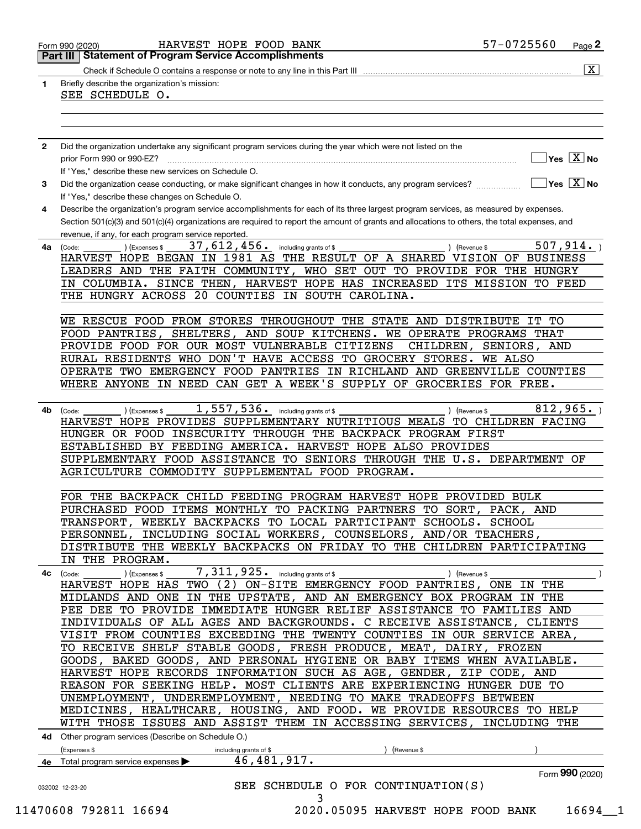|    | <b>Part III   Statement of Program Service Accomplishments</b>                                                                               |                        | $\overline{\mathtt{x}}$                 |
|----|----------------------------------------------------------------------------------------------------------------------------------------------|------------------------|-----------------------------------------|
|    |                                                                                                                                              |                        |                                         |
| 1. | Briefly describe the organization's mission:                                                                                                 |                        |                                         |
|    | SEE SCHEDULE O.                                                                                                                              |                        |                                         |
|    |                                                                                                                                              |                        |                                         |
|    |                                                                                                                                              |                        |                                         |
|    |                                                                                                                                              |                        |                                         |
| 2  | Did the organization undertake any significant program services during the year which were not listed on the                                 |                        |                                         |
|    | prior Form 990 or 990-EZ?                                                                                                                    |                        | $\exists$ Yes $\boxed{\text{X}}$ No     |
|    | If "Yes," describe these new services on Schedule O.                                                                                         |                        |                                         |
| 3  | Did the organization cease conducting, or make significant changes in how it conducts, any program services?                                 |                        | $\Box$ Yes $[\overline{\mathrm{X}}]$ No |
|    | If "Yes," describe these changes on Schedule O.                                                                                              |                        |                                         |
| 4  | Describe the organization's program service accomplishments for each of its three largest program services, as measured by expenses.         |                        |                                         |
|    | Section 501(c)(3) and 501(c)(4) organizations are required to report the amount of grants and allocations to others, the total expenses, and |                        |                                         |
|    | revenue, if any, for each program service reported.                                                                                          |                        |                                         |
| 4a | 37, 612, 456. including grants of \$<br>(Expenses \$<br>(Code:<br>) (Revenue \$                                                              |                        | 507, 914.                               |
|    | HARVEST HOPE BEGAN IN 1981 AS THE RESULT OF A SHARED VISION OF BUSINESS                                                                      |                        |                                         |
|    | LEADERS AND THE FAITH COMMUNITY, WHO SET OUT TO PROVIDE FOR THE HUNGRY                                                                       |                        |                                         |
|    | IN COLUMBIA. SINCE THEN, HARVEST HOPE HAS INCREASED ITS MISSION TO FEED                                                                      |                        |                                         |
|    | THE HUNGRY ACROSS 20 COUNTIES IN SOUTH CAROLINA.                                                                                             |                        |                                         |
|    |                                                                                                                                              |                        |                                         |
|    | WE RESCUE FOOD FROM STORES THROUGHOUT THE STATE AND DISTRIBUTE IT TO                                                                         |                        |                                         |
|    | FOOD PANTRIES, SHELTERS, AND SOUP KITCHENS. WE OPERATE PROGRAMS THAT                                                                         |                        |                                         |
|    | PROVIDE FOOD FOR OUR MOST VULNERABLE CITIZENS                                                                                                | CHILDREN, SENIORS, AND |                                         |
|    | RURAL RESIDENTS WHO DON'T HAVE ACCESS TO GROCERY STORES. WE ALSO                                                                             |                        |                                         |
|    | OPERATE TWO EMERGENCY FOOD PANTRIES IN RICHLAND AND GREENVILLE COUNTIES                                                                      |                        |                                         |
|    | WHERE ANYONE IN NEED CAN GET A WEEK'S SUPPLY OF GROCERIES FOR FREE.                                                                          |                        |                                         |
|    |                                                                                                                                              |                        |                                         |
|    |                                                                                                                                              |                        |                                         |
| 4b | $1,557,536$ and including grants of \$<br>(Expenses \$<br>) (Revenue \$<br>(Code:                                                            |                        | 812,965.                                |
|    | HARVEST HOPE PROVIDES SUPPLEMENTARY NUTRITIOUS MEALS TO CHILDREN FACING                                                                      |                        |                                         |
|    | HUNGER OR FOOD INSECURITY THROUGH THE BACKPACK PROGRAM FIRST                                                                                 |                        |                                         |
|    | ESTABLISHED BY FEEDING AMERICA. HARVEST HOPE ALSO PROVIDES                                                                                   |                        |                                         |
|    | SUPPLEMENTARY FOOD ASSISTANCE TO SENIORS THROUGH THE U.S. DEPARTMENT OF                                                                      |                        |                                         |
|    | AGRICULTURE COMMODITY SUPPLEMENTAL FOOD PROGRAM.                                                                                             |                        |                                         |
|    |                                                                                                                                              |                        |                                         |
|    | FOR THE BACKPACK CHILD FEEDING PROGRAM HARVEST HOPE PROVIDED BULK                                                                            |                        |                                         |
|    | PURCHASED FOOD ITEMS MONTHLY TO PACKING PARTNERS TO SORT, PACK, AND                                                                          |                        |                                         |
|    | TRANSPORT, WEEKLY BACKPACKS TO LOCAL PARTICIPANT SCHOOLS. SCHOOL                                                                             |                        |                                         |
|    | PERSONNEL, INCLUDING SOCIAL WORKERS, COUNSELORS, AND/OR TEACHERS,                                                                            |                        |                                         |
|    | DISTRIBUTE THE WEEKLY BACKPACKS ON FRIDAY TO THE CHILDREN PARTICIPATING                                                                      |                        |                                         |
|    | IN THE PROGRAM.                                                                                                                              |                        |                                         |
| 4c | $7,311,925.$ including grants of \$<br>(Expenses \$<br>(Code:                                                                                | (Revenue \$            |                                         |
|    | HARVEST HOPE HAS TWO (2) ON-SITE EMERGENCY FOOD PANTRIES, ONE IN THE                                                                         |                        |                                         |
|    | MIDLANDS AND ONE IN THE UPSTATE, AND AN EMERGENCY BOX PROGRAM IN THE                                                                         |                        |                                         |
|    | PEE DEE TO PROVIDE IMMEDIATE HUNGER RELIEF ASSISTANCE TO FAMILIES AND                                                                        |                        |                                         |
|    | INDIVIDUALS OF ALL AGES AND BACKGROUNDS. C RECEIVE ASSISTANCE, CLIENTS                                                                       |                        |                                         |
|    | VISIT FROM COUNTIES EXCEEDING THE TWENTY COUNTIES IN OUR SERVICE AREA,                                                                       |                        |                                         |
|    | TO RECEIVE SHELF STABLE GOODS, FRESH PRODUCE, MEAT, DAIRY, FROZEN                                                                            |                        |                                         |
|    | GOODS, BAKED GOODS, AND PERSONAL HYGIENE OR BABY ITEMS WHEN AVAILABLE.                                                                       |                        |                                         |
|    | HARVEST HOPE RECORDS INFORMATION SUCH AS AGE, GENDER, ZIP CODE, AND                                                                          |                        |                                         |
|    | REASON FOR SEEKING HELP. MOST CLIENTS ARE EXPERIENCING HUNGER DUE TO                                                                         |                        |                                         |
|    | UNEMPLOYMENT, UNDEREMPLOYMENT, NEEDING TO MAKE TRADEOFFS BETWEEN                                                                             |                        |                                         |
|    | MEDICINES, HEALTHCARE, HOUSING, AND FOOD. WE PROVIDE RESOURCES TO HELP                                                                       |                        |                                         |
|    | WITH THOSE ISSUES AND ASSIST THEM IN ACCESSING SERVICES,                                                                                     | INCLUDING THE          |                                         |
|    | 4d Other program services (Describe on Schedule O.)                                                                                          |                        |                                         |
|    | (Expenses \$<br>including grants of \$<br>(Revenue \$                                                                                        |                        |                                         |
|    | 46, 481, 917.<br>4e Total program service expenses                                                                                           |                        |                                         |
|    |                                                                                                                                              |                        | Form 990 (2020)                         |
|    |                                                                                                                                              |                        |                                         |
|    | SEE SCHEDULE O FOR CONTINUATION(S)<br>032002 12-23-20                                                                                        |                        |                                         |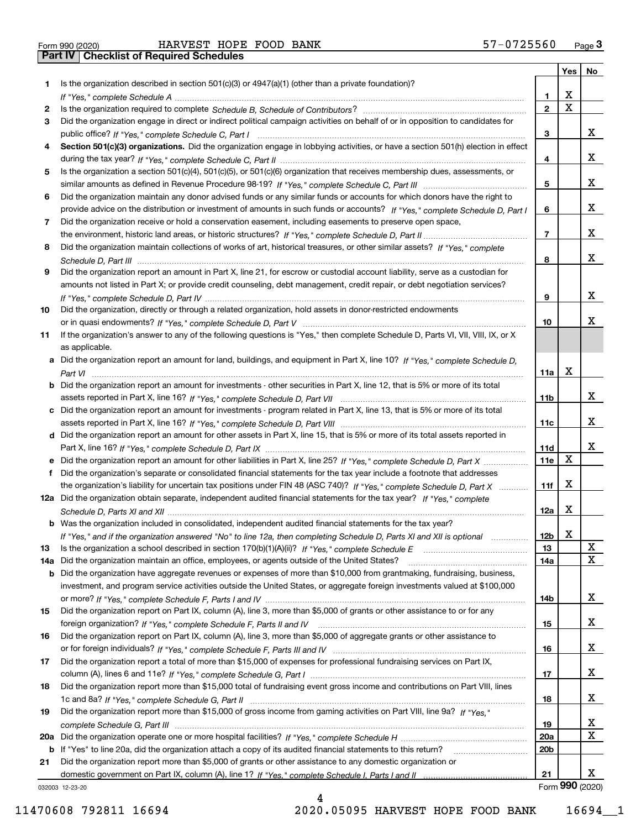|  | Form 990 (2020) |
|--|-----------------|
|  |                 |

Form 990 (2020) Page **3Part IV Checklist of Required Schedules** HARVEST HOPE FOOD BANK 57-0725560

|     |                                                                                                                                       |                 | Yes                     | No              |
|-----|---------------------------------------------------------------------------------------------------------------------------------------|-----------------|-------------------------|-----------------|
| 1.  | Is the organization described in section $501(c)(3)$ or $4947(a)(1)$ (other than a private foundation)?                               |                 |                         |                 |
|     |                                                                                                                                       | 1.              | X                       |                 |
| 2   |                                                                                                                                       | $\overline{2}$  | $\overline{\mathbf{x}}$ |                 |
| 3   | Did the organization engage in direct or indirect political campaign activities on behalf of or in opposition to candidates for       |                 |                         |                 |
|     |                                                                                                                                       | 3               |                         | x               |
| 4   | Section 501(c)(3) organizations. Did the organization engage in lobbying activities, or have a section 501(h) election in effect      |                 |                         |                 |
|     |                                                                                                                                       | 4               |                         | x               |
| 5   | Is the organization a section 501(c)(4), 501(c)(5), or 501(c)(6) organization that receives membership dues, assessments, or          |                 |                         |                 |
|     |                                                                                                                                       | 5               |                         | X               |
| 6   | Did the organization maintain any donor advised funds or any similar funds or accounts for which donors have the right to             |                 |                         |                 |
|     | provide advice on the distribution or investment of amounts in such funds or accounts? If "Yes," complete Schedule D, Part I          | 6               |                         | X               |
| 7   | Did the organization receive or hold a conservation easement, including easements to preserve open space,                             |                 |                         |                 |
|     |                                                                                                                                       | $\overline{7}$  |                         | x               |
| 8   | Did the organization maintain collections of works of art, historical treasures, or other similar assets? If "Yes," complete          |                 |                         | x               |
|     |                                                                                                                                       | 8               |                         |                 |
| 9   | Did the organization report an amount in Part X, line 21, for escrow or custodial account liability, serve as a custodian for         |                 |                         |                 |
|     | amounts not listed in Part X; or provide credit counseling, debt management, credit repair, or debt negotiation services?             |                 |                         | x               |
|     |                                                                                                                                       | 9               |                         |                 |
| 10  | Did the organization, directly or through a related organization, hold assets in donor-restricted endowments                          | 10              |                         | x               |
| 11  | If the organization's answer to any of the following questions is "Yes," then complete Schedule D, Parts VI, VII, VIII, IX, or X      |                 |                         |                 |
|     | as applicable.                                                                                                                        |                 |                         |                 |
|     | a Did the organization report an amount for land, buildings, and equipment in Part X, line 10? If "Yes," complete Schedule D,         |                 |                         |                 |
|     |                                                                                                                                       | 11a             | X                       |                 |
|     | <b>b</b> Did the organization report an amount for investments - other securities in Part X, line 12, that is 5% or more of its total |                 |                         |                 |
|     |                                                                                                                                       | 11b             |                         | х               |
|     | c Did the organization report an amount for investments - program related in Part X, line 13, that is 5% or more of its total         |                 |                         |                 |
|     |                                                                                                                                       | 11c             |                         | х               |
|     | d Did the organization report an amount for other assets in Part X, line 15, that is 5% or more of its total assets reported in       |                 |                         |                 |
|     |                                                                                                                                       | 11d             |                         | х               |
|     | e Did the organization report an amount for other liabilities in Part X, line 25? If "Yes," complete Schedule D, Part X               | <b>11e</b>      | $\mathbf X$             |                 |
| f   | Did the organization's separate or consolidated financial statements for the tax year include a footnote that addresses               |                 |                         |                 |
|     | the organization's liability for uncertain tax positions under FIN 48 (ASC 740)? If "Yes," complete Schedule D, Part X                | 11f             | X                       |                 |
|     | 12a Did the organization obtain separate, independent audited financial statements for the tax year? If "Yes," complete               |                 |                         |                 |
|     |                                                                                                                                       | 12a             | X                       |                 |
|     | <b>b</b> Was the organization included in consolidated, independent audited financial statements for the tax year?                    |                 |                         |                 |
|     | If "Yes," and if the organization answered "No" to line 12a, then completing Schedule D, Parts XI and XII is optional                 | 12D             | ▵                       |                 |
| 13  |                                                                                                                                       | 13              |                         | X               |
| 14a | Did the organization maintain an office, employees, or agents outside of the United States?                                           | 14a             |                         | $\mathbf x$     |
|     | <b>b</b> Did the organization have aggregate revenues or expenses of more than \$10,000 from grantmaking, fundraising, business,      |                 |                         |                 |
|     | investment, and program service activities outside the United States, or aggregate foreign investments valued at \$100,000            |                 |                         |                 |
|     |                                                                                                                                       | 14b             |                         | x               |
| 15  | Did the organization report on Part IX, column (A), line 3, more than \$5,000 of grants or other assistance to or for any             |                 |                         |                 |
|     |                                                                                                                                       | 15              |                         | x               |
| 16  | Did the organization report on Part IX, column (A), line 3, more than \$5,000 of aggregate grants or other assistance to              |                 |                         |                 |
|     |                                                                                                                                       | 16              |                         | X               |
| 17  | Did the organization report a total of more than \$15,000 of expenses for professional fundraising services on Part IX,               |                 |                         |                 |
|     |                                                                                                                                       | 17              |                         | x               |
| 18  | Did the organization report more than \$15,000 total of fundraising event gross income and contributions on Part VIII, lines          |                 |                         |                 |
|     |                                                                                                                                       | 18              |                         | х               |
| 19  | Did the organization report more than \$15,000 of gross income from gaming activities on Part VIII, line 9a? If "Yes."                |                 |                         |                 |
|     |                                                                                                                                       | 19              |                         | X               |
|     |                                                                                                                                       | 20a             |                         | $\mathbf X$     |
|     | b If "Yes" to line 20a, did the organization attach a copy of its audited financial statements to this return?                        | 20 <sub>b</sub> |                         |                 |
| 21  | Did the organization report more than \$5,000 of grants or other assistance to any domestic organization or                           |                 |                         |                 |
|     |                                                                                                                                       | 21              |                         | X.              |
|     | 032003 12-23-20                                                                                                                       |                 |                         | Form 990 (2020) |

032003 12-23-20

4 11470608 792811 16694 2020.05095 HARVEST HOPE FOOD BANK 16694\_\_1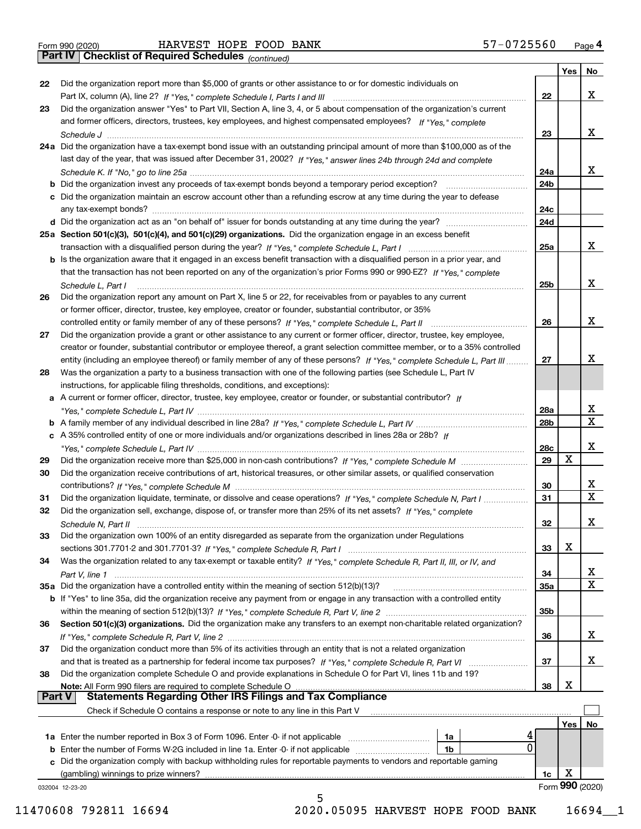*(continued)*

|               |                                                                                                                                    |                 | Yes | No              |
|---------------|------------------------------------------------------------------------------------------------------------------------------------|-----------------|-----|-----------------|
| 22            | Did the organization report more than \$5,000 of grants or other assistance to or for domestic individuals on                      |                 |     |                 |
|               |                                                                                                                                    | 22              |     | x               |
| 23            | Did the organization answer "Yes" to Part VII, Section A, line 3, 4, or 5 about compensation of the organization's current         |                 |     |                 |
|               | and former officers, directors, trustees, key employees, and highest compensated employees? If "Yes," complete                     |                 |     |                 |
|               |                                                                                                                                    | 23              |     | x               |
|               | 24a Did the organization have a tax-exempt bond issue with an outstanding principal amount of more than \$100,000 as of the        |                 |     |                 |
|               | last day of the year, that was issued after December 31, 2002? If "Yes," answer lines 24b through 24d and complete                 |                 |     |                 |
|               |                                                                                                                                    | 24a             |     | x               |
|               | <b>b</b> Did the organization invest any proceeds of tax-exempt bonds beyond a temporary period exception?                         | 24b             |     |                 |
|               | c Did the organization maintain an escrow account other than a refunding escrow at any time during the year to defease             |                 |     |                 |
|               |                                                                                                                                    | 24c             |     |                 |
|               |                                                                                                                                    | 24d             |     |                 |
|               | 25a Section 501(c)(3), 501(c)(4), and 501(c)(29) organizations. Did the organization engage in an excess benefit                   |                 |     |                 |
|               |                                                                                                                                    | 25a             |     | x               |
|               | b Is the organization aware that it engaged in an excess benefit transaction with a disqualified person in a prior year, and       |                 |     |                 |
|               | that the transaction has not been reported on any of the organization's prior Forms 990 or 990-EZ? If "Yes," complete              |                 |     |                 |
|               | Schedule L. Part I                                                                                                                 | 25b             |     | x               |
| 26            | Did the organization report any amount on Part X, line 5 or 22, for receivables from or payables to any current                    |                 |     |                 |
|               | or former officer, director, trustee, key employee, creator or founder, substantial contributor, or 35%                            |                 |     |                 |
|               |                                                                                                                                    | 26              |     | x               |
| 27            | Did the organization provide a grant or other assistance to any current or former officer, director, trustee, key employee,        |                 |     |                 |
|               | creator or founder, substantial contributor or employee thereof, a grant selection committee member, or to a 35% controlled        |                 |     |                 |
|               | entity (including an employee thereof) or family member of any of these persons? If "Yes," complete Schedule L, Part III           | 27              |     | х               |
| 28            | Was the organization a party to a business transaction with one of the following parties (see Schedule L, Part IV                  |                 |     |                 |
|               | instructions, for applicable filing thresholds, conditions, and exceptions):                                                       |                 |     |                 |
|               | a A current or former officer, director, trustee, key employee, creator or founder, or substantial contributor? If                 |                 |     |                 |
|               |                                                                                                                                    | 28a             |     | x               |
|               |                                                                                                                                    | 28 <sub>b</sub> |     | X               |
|               | c A 35% controlled entity of one or more individuals and/or organizations described in lines 28a or 28b? If                        |                 |     |                 |
|               |                                                                                                                                    | 28c             |     | х               |
| 29            |                                                                                                                                    | 29              | X   |                 |
| 30            | Did the organization receive contributions of art, historical treasures, or other similar assets, or qualified conservation        |                 |     |                 |
|               |                                                                                                                                    | 30              |     | x               |
| 31            | Did the organization liquidate, terminate, or dissolve and cease operations? If "Yes," complete Schedule N, Part I                 | 31              |     | $\mathbf x$     |
| 32            | Did the organization sell, exchange, dispose of, or transfer more than 25% of its net assets? If "Yes." complete                   |                 |     |                 |
|               | Schedule N, Part II                                                                                                                | 32              |     | х               |
| 33            | Did the organization own 100% of an entity disregarded as separate from the organization under Regulations                         |                 |     |                 |
|               |                                                                                                                                    | 33              | X   |                 |
| 34            | Was the organization related to any tax-exempt or taxable entity? If "Yes," complete Schedule R, Part II, III, or IV, and          |                 |     |                 |
|               |                                                                                                                                    | 34              |     | X               |
|               | 35a Did the organization have a controlled entity within the meaning of section 512(b)(13)?                                        | 35a             |     | X               |
|               | <b>b</b> If "Yes" to line 35a, did the organization receive any payment from or engage in any transaction with a controlled entity |                 |     |                 |
|               |                                                                                                                                    | 35b             |     |                 |
| 36            | Section 501(c)(3) organizations. Did the organization make any transfers to an exempt non-charitable related organization?         |                 |     |                 |
|               |                                                                                                                                    | 36              |     | x               |
| 37            | Did the organization conduct more than 5% of its activities through an entity that is not a related organization                   |                 |     |                 |
|               |                                                                                                                                    | 37              |     | x               |
| 38            | Did the organization complete Schedule O and provide explanations in Schedule O for Part VI, lines 11b and 19?                     |                 |     |                 |
|               | Note: All Form 990 filers are required to complete Schedule O                                                                      | 38              | X   |                 |
| <b>Part V</b> | <b>Statements Regarding Other IRS Filings and Tax Compliance</b>                                                                   |                 |     |                 |
|               | Check if Schedule O contains a response or note to any line in this Part V                                                         |                 |     |                 |
|               |                                                                                                                                    |                 | Yes | No              |
|               | <b>1a</b> Enter the number reported in Box 3 of Form 1096. Enter -0- if not applicable <i>manumumumum</i><br>1a                    |                 |     |                 |
|               | 0<br><b>b</b> Enter the number of Forms W-2G included in line 1a. Enter -0- if not applicable<br>1b                                |                 |     |                 |
|               | c Did the organization comply with backup withholding rules for reportable payments to vendors and reportable gaming               |                 |     |                 |
|               | (gambling) winnings to prize winners?                                                                                              | 1c              | х   |                 |
|               | 032004 12-23-20                                                                                                                    |                 |     | Form 990 (2020) |
|               | 5                                                                                                                                  |                 |     |                 |

11470608 792811 16694 2020.05095 HARVEST HOPE FOOD BANK 16694\_\_1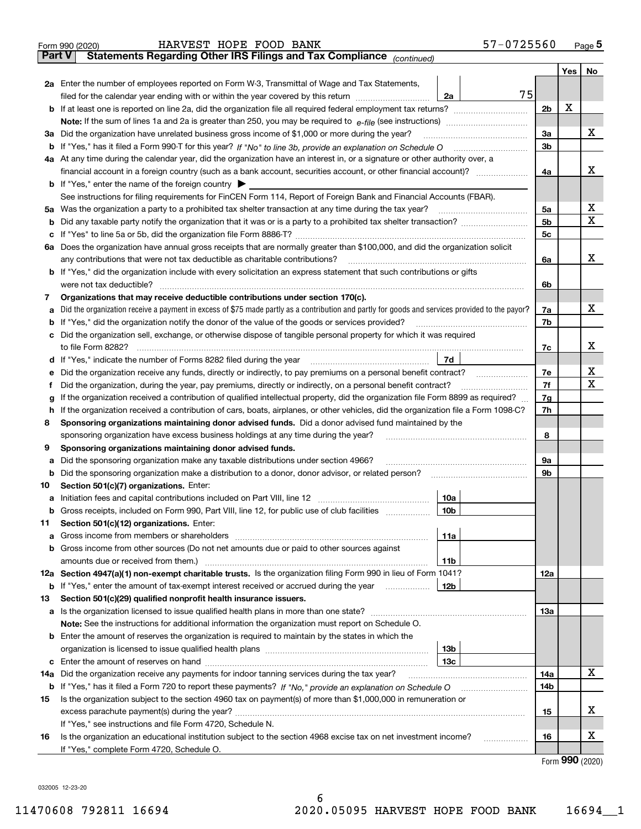| Statements Regarding Other IRS Filings and Tax Compliance (continued)<br><b>Part V</b><br>2a Enter the number of employees reported on Form W-3, Transmittal of Wage and Tax Statements,<br>75<br>filed for the calendar year ending with or within the year covered by this return <i>[[[[[[[[[[[[[[]]]</i> ]]]<br>2a<br>2 <sub>b</sub><br>3a<br>3a Did the organization have unrelated business gross income of \$1,000 or more during the year?<br>3 <sub>b</sub><br>4a At any time during the calendar year, did the organization have an interest in, or a signature or other authority over, a<br>4a<br><b>b</b> If "Yes," enter the name of the foreign country $\blacktriangleright$<br>See instructions for filing requirements for FinCEN Form 114, Report of Foreign Bank and Financial Accounts (FBAR).<br>5a Was the organization a party to a prohibited tax shelter transaction at any time during the tax year?<br>5a<br>5 <sub>b</sub><br>b<br>5c<br>с<br>6a Does the organization have annual gross receipts that are normally greater than \$100,000, and did the organization solicit<br>any contributions that were not tax deductible as charitable contributions?<br>6a<br><b>b</b> If "Yes," did the organization include with every solicitation an express statement that such contributions or gifts<br>were not tax deductible?<br>6b<br>Organizations that may receive deductible contributions under section 170(c).<br>7<br>Did the organization receive a payment in excess of \$75 made partly as a contribution and partly for goods and services provided to the payor?<br>7a<br>а<br><b>b</b> If "Yes," did the organization notify the donor of the value of the goods or services provided?<br>7b<br>c Did the organization sell, exchange, or otherwise dispose of tangible personal property for which it was required<br>7d<br>d If "Yes," indicate the number of Forms 8282 filed during the year [11] [11] No. 2010 [12] Henry Manuscover, 1<br>Did the organization receive any funds, directly or indirectly, to pay premiums on a personal benefit contract?<br>е<br>Did the organization, during the year, pay premiums, directly or indirectly, on a personal benefit contract?<br>f<br>If the organization received a contribution of qualified intellectual property, did the organization file Form 8899 as required?<br>g<br>h If the organization received a contribution of cars, boats, airplanes, or other vehicles, did the organization file a Form 1098-C?<br>Sponsoring organizations maintaining donor advised funds. Did a donor advised fund maintained by the<br>8<br>sponsoring organization have excess business holdings at any time during the year?<br>Sponsoring organizations maintaining donor advised funds.<br>9<br>Did the sponsoring organization make any taxable distributions under section 4966?<br>9a<br>а<br>Did the sponsoring organization make a distribution to a donor, donor advisor, or related person?<br>9b<br>b<br>Section 501(c)(7) organizations. Enter:<br>10<br>10a<br> 10b <br>Gross receipts, included on Form 990, Part VIII, line 12, for public use of club facilities<br>Section 501(c)(12) organizations. Enter:<br>11<br>Gross income from members or shareholders<br>11a<br>a<br>b Gross income from other sources (Do not net amounts due or paid to other sources against<br>11b |     | Yes  <br>X | No<br>х<br>х<br>X<br>X<br>х |
|---------------------------------------------------------------------------------------------------------------------------------------------------------------------------------------------------------------------------------------------------------------------------------------------------------------------------------------------------------------------------------------------------------------------------------------------------------------------------------------------------------------------------------------------------------------------------------------------------------------------------------------------------------------------------------------------------------------------------------------------------------------------------------------------------------------------------------------------------------------------------------------------------------------------------------------------------------------------------------------------------------------------------------------------------------------------------------------------------------------------------------------------------------------------------------------------------------------------------------------------------------------------------------------------------------------------------------------------------------------------------------------------------------------------------------------------------------------------------------------------------------------------------------------------------------------------------------------------------------------------------------------------------------------------------------------------------------------------------------------------------------------------------------------------------------------------------------------------------------------------------------------------------------------------------------------------------------------------------------------------------------------------------------------------------------------------------------------------------------------------------------------------------------------------------------------------------------------------------------------------------------------------------------------------------------------------------------------------------------------------------------------------------------------------------------------------------------------------------------------------------------------------------------------------------------------------------------------------------------------------------------------------------------------------------------------------------------------------------------------------------------------------------------------------------------------------------------------------------------------------------------------------------------------------------------------------------------------------------------------------------------------------------------------------------------------------------------------------------------------------------------------------------------------------------------------------------------------------------------------------------------------------------------------------------------------------------------------------------------------------------------------------|-----|------------|-----------------------------|
|                                                                                                                                                                                                                                                                                                                                                                                                                                                                                                                                                                                                                                                                                                                                                                                                                                                                                                                                                                                                                                                                                                                                                                                                                                                                                                                                                                                                                                                                                                                                                                                                                                                                                                                                                                                                                                                                                                                                                                                                                                                                                                                                                                                                                                                                                                                                                                                                                                                                                                                                                                                                                                                                                                                                                                                                                                                                                                                                                                                                                                                                                                                                                                                                                                                                                                                                                                                             |     |            |                             |
|                                                                                                                                                                                                                                                                                                                                                                                                                                                                                                                                                                                                                                                                                                                                                                                                                                                                                                                                                                                                                                                                                                                                                                                                                                                                                                                                                                                                                                                                                                                                                                                                                                                                                                                                                                                                                                                                                                                                                                                                                                                                                                                                                                                                                                                                                                                                                                                                                                                                                                                                                                                                                                                                                                                                                                                                                                                                                                                                                                                                                                                                                                                                                                                                                                                                                                                                                                                             |     |            |                             |
|                                                                                                                                                                                                                                                                                                                                                                                                                                                                                                                                                                                                                                                                                                                                                                                                                                                                                                                                                                                                                                                                                                                                                                                                                                                                                                                                                                                                                                                                                                                                                                                                                                                                                                                                                                                                                                                                                                                                                                                                                                                                                                                                                                                                                                                                                                                                                                                                                                                                                                                                                                                                                                                                                                                                                                                                                                                                                                                                                                                                                                                                                                                                                                                                                                                                                                                                                                                             |     |            |                             |
|                                                                                                                                                                                                                                                                                                                                                                                                                                                                                                                                                                                                                                                                                                                                                                                                                                                                                                                                                                                                                                                                                                                                                                                                                                                                                                                                                                                                                                                                                                                                                                                                                                                                                                                                                                                                                                                                                                                                                                                                                                                                                                                                                                                                                                                                                                                                                                                                                                                                                                                                                                                                                                                                                                                                                                                                                                                                                                                                                                                                                                                                                                                                                                                                                                                                                                                                                                                             |     |            |                             |
|                                                                                                                                                                                                                                                                                                                                                                                                                                                                                                                                                                                                                                                                                                                                                                                                                                                                                                                                                                                                                                                                                                                                                                                                                                                                                                                                                                                                                                                                                                                                                                                                                                                                                                                                                                                                                                                                                                                                                                                                                                                                                                                                                                                                                                                                                                                                                                                                                                                                                                                                                                                                                                                                                                                                                                                                                                                                                                                                                                                                                                                                                                                                                                                                                                                                                                                                                                                             |     |            |                             |
|                                                                                                                                                                                                                                                                                                                                                                                                                                                                                                                                                                                                                                                                                                                                                                                                                                                                                                                                                                                                                                                                                                                                                                                                                                                                                                                                                                                                                                                                                                                                                                                                                                                                                                                                                                                                                                                                                                                                                                                                                                                                                                                                                                                                                                                                                                                                                                                                                                                                                                                                                                                                                                                                                                                                                                                                                                                                                                                                                                                                                                                                                                                                                                                                                                                                                                                                                                                             |     |            |                             |
|                                                                                                                                                                                                                                                                                                                                                                                                                                                                                                                                                                                                                                                                                                                                                                                                                                                                                                                                                                                                                                                                                                                                                                                                                                                                                                                                                                                                                                                                                                                                                                                                                                                                                                                                                                                                                                                                                                                                                                                                                                                                                                                                                                                                                                                                                                                                                                                                                                                                                                                                                                                                                                                                                                                                                                                                                                                                                                                                                                                                                                                                                                                                                                                                                                                                                                                                                                                             |     |            |                             |
|                                                                                                                                                                                                                                                                                                                                                                                                                                                                                                                                                                                                                                                                                                                                                                                                                                                                                                                                                                                                                                                                                                                                                                                                                                                                                                                                                                                                                                                                                                                                                                                                                                                                                                                                                                                                                                                                                                                                                                                                                                                                                                                                                                                                                                                                                                                                                                                                                                                                                                                                                                                                                                                                                                                                                                                                                                                                                                                                                                                                                                                                                                                                                                                                                                                                                                                                                                                             |     |            |                             |
|                                                                                                                                                                                                                                                                                                                                                                                                                                                                                                                                                                                                                                                                                                                                                                                                                                                                                                                                                                                                                                                                                                                                                                                                                                                                                                                                                                                                                                                                                                                                                                                                                                                                                                                                                                                                                                                                                                                                                                                                                                                                                                                                                                                                                                                                                                                                                                                                                                                                                                                                                                                                                                                                                                                                                                                                                                                                                                                                                                                                                                                                                                                                                                                                                                                                                                                                                                                             |     |            |                             |
|                                                                                                                                                                                                                                                                                                                                                                                                                                                                                                                                                                                                                                                                                                                                                                                                                                                                                                                                                                                                                                                                                                                                                                                                                                                                                                                                                                                                                                                                                                                                                                                                                                                                                                                                                                                                                                                                                                                                                                                                                                                                                                                                                                                                                                                                                                                                                                                                                                                                                                                                                                                                                                                                                                                                                                                                                                                                                                                                                                                                                                                                                                                                                                                                                                                                                                                                                                                             |     |            |                             |
|                                                                                                                                                                                                                                                                                                                                                                                                                                                                                                                                                                                                                                                                                                                                                                                                                                                                                                                                                                                                                                                                                                                                                                                                                                                                                                                                                                                                                                                                                                                                                                                                                                                                                                                                                                                                                                                                                                                                                                                                                                                                                                                                                                                                                                                                                                                                                                                                                                                                                                                                                                                                                                                                                                                                                                                                                                                                                                                                                                                                                                                                                                                                                                                                                                                                                                                                                                                             |     |            |                             |
|                                                                                                                                                                                                                                                                                                                                                                                                                                                                                                                                                                                                                                                                                                                                                                                                                                                                                                                                                                                                                                                                                                                                                                                                                                                                                                                                                                                                                                                                                                                                                                                                                                                                                                                                                                                                                                                                                                                                                                                                                                                                                                                                                                                                                                                                                                                                                                                                                                                                                                                                                                                                                                                                                                                                                                                                                                                                                                                                                                                                                                                                                                                                                                                                                                                                                                                                                                                             |     |            |                             |
|                                                                                                                                                                                                                                                                                                                                                                                                                                                                                                                                                                                                                                                                                                                                                                                                                                                                                                                                                                                                                                                                                                                                                                                                                                                                                                                                                                                                                                                                                                                                                                                                                                                                                                                                                                                                                                                                                                                                                                                                                                                                                                                                                                                                                                                                                                                                                                                                                                                                                                                                                                                                                                                                                                                                                                                                                                                                                                                                                                                                                                                                                                                                                                                                                                                                                                                                                                                             |     |            |                             |
|                                                                                                                                                                                                                                                                                                                                                                                                                                                                                                                                                                                                                                                                                                                                                                                                                                                                                                                                                                                                                                                                                                                                                                                                                                                                                                                                                                                                                                                                                                                                                                                                                                                                                                                                                                                                                                                                                                                                                                                                                                                                                                                                                                                                                                                                                                                                                                                                                                                                                                                                                                                                                                                                                                                                                                                                                                                                                                                                                                                                                                                                                                                                                                                                                                                                                                                                                                                             |     |            |                             |
|                                                                                                                                                                                                                                                                                                                                                                                                                                                                                                                                                                                                                                                                                                                                                                                                                                                                                                                                                                                                                                                                                                                                                                                                                                                                                                                                                                                                                                                                                                                                                                                                                                                                                                                                                                                                                                                                                                                                                                                                                                                                                                                                                                                                                                                                                                                                                                                                                                                                                                                                                                                                                                                                                                                                                                                                                                                                                                                                                                                                                                                                                                                                                                                                                                                                                                                                                                                             |     |            |                             |
|                                                                                                                                                                                                                                                                                                                                                                                                                                                                                                                                                                                                                                                                                                                                                                                                                                                                                                                                                                                                                                                                                                                                                                                                                                                                                                                                                                                                                                                                                                                                                                                                                                                                                                                                                                                                                                                                                                                                                                                                                                                                                                                                                                                                                                                                                                                                                                                                                                                                                                                                                                                                                                                                                                                                                                                                                                                                                                                                                                                                                                                                                                                                                                                                                                                                                                                                                                                             |     |            |                             |
|                                                                                                                                                                                                                                                                                                                                                                                                                                                                                                                                                                                                                                                                                                                                                                                                                                                                                                                                                                                                                                                                                                                                                                                                                                                                                                                                                                                                                                                                                                                                                                                                                                                                                                                                                                                                                                                                                                                                                                                                                                                                                                                                                                                                                                                                                                                                                                                                                                                                                                                                                                                                                                                                                                                                                                                                                                                                                                                                                                                                                                                                                                                                                                                                                                                                                                                                                                                             |     |            |                             |
|                                                                                                                                                                                                                                                                                                                                                                                                                                                                                                                                                                                                                                                                                                                                                                                                                                                                                                                                                                                                                                                                                                                                                                                                                                                                                                                                                                                                                                                                                                                                                                                                                                                                                                                                                                                                                                                                                                                                                                                                                                                                                                                                                                                                                                                                                                                                                                                                                                                                                                                                                                                                                                                                                                                                                                                                                                                                                                                                                                                                                                                                                                                                                                                                                                                                                                                                                                                             |     |            |                             |
|                                                                                                                                                                                                                                                                                                                                                                                                                                                                                                                                                                                                                                                                                                                                                                                                                                                                                                                                                                                                                                                                                                                                                                                                                                                                                                                                                                                                                                                                                                                                                                                                                                                                                                                                                                                                                                                                                                                                                                                                                                                                                                                                                                                                                                                                                                                                                                                                                                                                                                                                                                                                                                                                                                                                                                                                                                                                                                                                                                                                                                                                                                                                                                                                                                                                                                                                                                                             |     |            |                             |
|                                                                                                                                                                                                                                                                                                                                                                                                                                                                                                                                                                                                                                                                                                                                                                                                                                                                                                                                                                                                                                                                                                                                                                                                                                                                                                                                                                                                                                                                                                                                                                                                                                                                                                                                                                                                                                                                                                                                                                                                                                                                                                                                                                                                                                                                                                                                                                                                                                                                                                                                                                                                                                                                                                                                                                                                                                                                                                                                                                                                                                                                                                                                                                                                                                                                                                                                                                                             |     |            |                             |
|                                                                                                                                                                                                                                                                                                                                                                                                                                                                                                                                                                                                                                                                                                                                                                                                                                                                                                                                                                                                                                                                                                                                                                                                                                                                                                                                                                                                                                                                                                                                                                                                                                                                                                                                                                                                                                                                                                                                                                                                                                                                                                                                                                                                                                                                                                                                                                                                                                                                                                                                                                                                                                                                                                                                                                                                                                                                                                                                                                                                                                                                                                                                                                                                                                                                                                                                                                                             |     |            | х                           |
|                                                                                                                                                                                                                                                                                                                                                                                                                                                                                                                                                                                                                                                                                                                                                                                                                                                                                                                                                                                                                                                                                                                                                                                                                                                                                                                                                                                                                                                                                                                                                                                                                                                                                                                                                                                                                                                                                                                                                                                                                                                                                                                                                                                                                                                                                                                                                                                                                                                                                                                                                                                                                                                                                                                                                                                                                                                                                                                                                                                                                                                                                                                                                                                                                                                                                                                                                                                             |     |            |                             |
|                                                                                                                                                                                                                                                                                                                                                                                                                                                                                                                                                                                                                                                                                                                                                                                                                                                                                                                                                                                                                                                                                                                                                                                                                                                                                                                                                                                                                                                                                                                                                                                                                                                                                                                                                                                                                                                                                                                                                                                                                                                                                                                                                                                                                                                                                                                                                                                                                                                                                                                                                                                                                                                                                                                                                                                                                                                                                                                                                                                                                                                                                                                                                                                                                                                                                                                                                                                             |     |            |                             |
|                                                                                                                                                                                                                                                                                                                                                                                                                                                                                                                                                                                                                                                                                                                                                                                                                                                                                                                                                                                                                                                                                                                                                                                                                                                                                                                                                                                                                                                                                                                                                                                                                                                                                                                                                                                                                                                                                                                                                                                                                                                                                                                                                                                                                                                                                                                                                                                                                                                                                                                                                                                                                                                                                                                                                                                                                                                                                                                                                                                                                                                                                                                                                                                                                                                                                                                                                                                             | 7c  |            | х                           |
|                                                                                                                                                                                                                                                                                                                                                                                                                                                                                                                                                                                                                                                                                                                                                                                                                                                                                                                                                                                                                                                                                                                                                                                                                                                                                                                                                                                                                                                                                                                                                                                                                                                                                                                                                                                                                                                                                                                                                                                                                                                                                                                                                                                                                                                                                                                                                                                                                                                                                                                                                                                                                                                                                                                                                                                                                                                                                                                                                                                                                                                                                                                                                                                                                                                                                                                                                                                             |     |            |                             |
|                                                                                                                                                                                                                                                                                                                                                                                                                                                                                                                                                                                                                                                                                                                                                                                                                                                                                                                                                                                                                                                                                                                                                                                                                                                                                                                                                                                                                                                                                                                                                                                                                                                                                                                                                                                                                                                                                                                                                                                                                                                                                                                                                                                                                                                                                                                                                                                                                                                                                                                                                                                                                                                                                                                                                                                                                                                                                                                                                                                                                                                                                                                                                                                                                                                                                                                                                                                             | 7e  |            | х                           |
|                                                                                                                                                                                                                                                                                                                                                                                                                                                                                                                                                                                                                                                                                                                                                                                                                                                                                                                                                                                                                                                                                                                                                                                                                                                                                                                                                                                                                                                                                                                                                                                                                                                                                                                                                                                                                                                                                                                                                                                                                                                                                                                                                                                                                                                                                                                                                                                                                                                                                                                                                                                                                                                                                                                                                                                                                                                                                                                                                                                                                                                                                                                                                                                                                                                                                                                                                                                             | 7f  |            | x                           |
|                                                                                                                                                                                                                                                                                                                                                                                                                                                                                                                                                                                                                                                                                                                                                                                                                                                                                                                                                                                                                                                                                                                                                                                                                                                                                                                                                                                                                                                                                                                                                                                                                                                                                                                                                                                                                                                                                                                                                                                                                                                                                                                                                                                                                                                                                                                                                                                                                                                                                                                                                                                                                                                                                                                                                                                                                                                                                                                                                                                                                                                                                                                                                                                                                                                                                                                                                                                             | 7g  |            |                             |
|                                                                                                                                                                                                                                                                                                                                                                                                                                                                                                                                                                                                                                                                                                                                                                                                                                                                                                                                                                                                                                                                                                                                                                                                                                                                                                                                                                                                                                                                                                                                                                                                                                                                                                                                                                                                                                                                                                                                                                                                                                                                                                                                                                                                                                                                                                                                                                                                                                                                                                                                                                                                                                                                                                                                                                                                                                                                                                                                                                                                                                                                                                                                                                                                                                                                                                                                                                                             | 7h  |            |                             |
|                                                                                                                                                                                                                                                                                                                                                                                                                                                                                                                                                                                                                                                                                                                                                                                                                                                                                                                                                                                                                                                                                                                                                                                                                                                                                                                                                                                                                                                                                                                                                                                                                                                                                                                                                                                                                                                                                                                                                                                                                                                                                                                                                                                                                                                                                                                                                                                                                                                                                                                                                                                                                                                                                                                                                                                                                                                                                                                                                                                                                                                                                                                                                                                                                                                                                                                                                                                             |     |            |                             |
|                                                                                                                                                                                                                                                                                                                                                                                                                                                                                                                                                                                                                                                                                                                                                                                                                                                                                                                                                                                                                                                                                                                                                                                                                                                                                                                                                                                                                                                                                                                                                                                                                                                                                                                                                                                                                                                                                                                                                                                                                                                                                                                                                                                                                                                                                                                                                                                                                                                                                                                                                                                                                                                                                                                                                                                                                                                                                                                                                                                                                                                                                                                                                                                                                                                                                                                                                                                             | 8   |            |                             |
|                                                                                                                                                                                                                                                                                                                                                                                                                                                                                                                                                                                                                                                                                                                                                                                                                                                                                                                                                                                                                                                                                                                                                                                                                                                                                                                                                                                                                                                                                                                                                                                                                                                                                                                                                                                                                                                                                                                                                                                                                                                                                                                                                                                                                                                                                                                                                                                                                                                                                                                                                                                                                                                                                                                                                                                                                                                                                                                                                                                                                                                                                                                                                                                                                                                                                                                                                                                             |     |            |                             |
|                                                                                                                                                                                                                                                                                                                                                                                                                                                                                                                                                                                                                                                                                                                                                                                                                                                                                                                                                                                                                                                                                                                                                                                                                                                                                                                                                                                                                                                                                                                                                                                                                                                                                                                                                                                                                                                                                                                                                                                                                                                                                                                                                                                                                                                                                                                                                                                                                                                                                                                                                                                                                                                                                                                                                                                                                                                                                                                                                                                                                                                                                                                                                                                                                                                                                                                                                                                             |     |            |                             |
|                                                                                                                                                                                                                                                                                                                                                                                                                                                                                                                                                                                                                                                                                                                                                                                                                                                                                                                                                                                                                                                                                                                                                                                                                                                                                                                                                                                                                                                                                                                                                                                                                                                                                                                                                                                                                                                                                                                                                                                                                                                                                                                                                                                                                                                                                                                                                                                                                                                                                                                                                                                                                                                                                                                                                                                                                                                                                                                                                                                                                                                                                                                                                                                                                                                                                                                                                                                             |     |            |                             |
|                                                                                                                                                                                                                                                                                                                                                                                                                                                                                                                                                                                                                                                                                                                                                                                                                                                                                                                                                                                                                                                                                                                                                                                                                                                                                                                                                                                                                                                                                                                                                                                                                                                                                                                                                                                                                                                                                                                                                                                                                                                                                                                                                                                                                                                                                                                                                                                                                                                                                                                                                                                                                                                                                                                                                                                                                                                                                                                                                                                                                                                                                                                                                                                                                                                                                                                                                                                             |     |            |                             |
|                                                                                                                                                                                                                                                                                                                                                                                                                                                                                                                                                                                                                                                                                                                                                                                                                                                                                                                                                                                                                                                                                                                                                                                                                                                                                                                                                                                                                                                                                                                                                                                                                                                                                                                                                                                                                                                                                                                                                                                                                                                                                                                                                                                                                                                                                                                                                                                                                                                                                                                                                                                                                                                                                                                                                                                                                                                                                                                                                                                                                                                                                                                                                                                                                                                                                                                                                                                             |     |            |                             |
|                                                                                                                                                                                                                                                                                                                                                                                                                                                                                                                                                                                                                                                                                                                                                                                                                                                                                                                                                                                                                                                                                                                                                                                                                                                                                                                                                                                                                                                                                                                                                                                                                                                                                                                                                                                                                                                                                                                                                                                                                                                                                                                                                                                                                                                                                                                                                                                                                                                                                                                                                                                                                                                                                                                                                                                                                                                                                                                                                                                                                                                                                                                                                                                                                                                                                                                                                                                             |     |            |                             |
|                                                                                                                                                                                                                                                                                                                                                                                                                                                                                                                                                                                                                                                                                                                                                                                                                                                                                                                                                                                                                                                                                                                                                                                                                                                                                                                                                                                                                                                                                                                                                                                                                                                                                                                                                                                                                                                                                                                                                                                                                                                                                                                                                                                                                                                                                                                                                                                                                                                                                                                                                                                                                                                                                                                                                                                                                                                                                                                                                                                                                                                                                                                                                                                                                                                                                                                                                                                             |     |            |                             |
|                                                                                                                                                                                                                                                                                                                                                                                                                                                                                                                                                                                                                                                                                                                                                                                                                                                                                                                                                                                                                                                                                                                                                                                                                                                                                                                                                                                                                                                                                                                                                                                                                                                                                                                                                                                                                                                                                                                                                                                                                                                                                                                                                                                                                                                                                                                                                                                                                                                                                                                                                                                                                                                                                                                                                                                                                                                                                                                                                                                                                                                                                                                                                                                                                                                                                                                                                                                             |     |            |                             |
|                                                                                                                                                                                                                                                                                                                                                                                                                                                                                                                                                                                                                                                                                                                                                                                                                                                                                                                                                                                                                                                                                                                                                                                                                                                                                                                                                                                                                                                                                                                                                                                                                                                                                                                                                                                                                                                                                                                                                                                                                                                                                                                                                                                                                                                                                                                                                                                                                                                                                                                                                                                                                                                                                                                                                                                                                                                                                                                                                                                                                                                                                                                                                                                                                                                                                                                                                                                             |     |            |                             |
|                                                                                                                                                                                                                                                                                                                                                                                                                                                                                                                                                                                                                                                                                                                                                                                                                                                                                                                                                                                                                                                                                                                                                                                                                                                                                                                                                                                                                                                                                                                                                                                                                                                                                                                                                                                                                                                                                                                                                                                                                                                                                                                                                                                                                                                                                                                                                                                                                                                                                                                                                                                                                                                                                                                                                                                                                                                                                                                                                                                                                                                                                                                                                                                                                                                                                                                                                                                             |     |            |                             |
| 12a Section 4947(a)(1) non-exempt charitable trusts. Is the organization filing Form 990 in lieu of Form 1041?                                                                                                                                                                                                                                                                                                                                                                                                                                                                                                                                                                                                                                                                                                                                                                                                                                                                                                                                                                                                                                                                                                                                                                                                                                                                                                                                                                                                                                                                                                                                                                                                                                                                                                                                                                                                                                                                                                                                                                                                                                                                                                                                                                                                                                                                                                                                                                                                                                                                                                                                                                                                                                                                                                                                                                                                                                                                                                                                                                                                                                                                                                                                                                                                                                                                              | 12a |            |                             |
| <b>b</b> If "Yes," enter the amount of tax-exempt interest received or accrued during the year<br>12b                                                                                                                                                                                                                                                                                                                                                                                                                                                                                                                                                                                                                                                                                                                                                                                                                                                                                                                                                                                                                                                                                                                                                                                                                                                                                                                                                                                                                                                                                                                                                                                                                                                                                                                                                                                                                                                                                                                                                                                                                                                                                                                                                                                                                                                                                                                                                                                                                                                                                                                                                                                                                                                                                                                                                                                                                                                                                                                                                                                                                                                                                                                                                                                                                                                                                       |     |            |                             |
| Section 501(c)(29) qualified nonprofit health insurance issuers.<br>13                                                                                                                                                                                                                                                                                                                                                                                                                                                                                                                                                                                                                                                                                                                                                                                                                                                                                                                                                                                                                                                                                                                                                                                                                                                                                                                                                                                                                                                                                                                                                                                                                                                                                                                                                                                                                                                                                                                                                                                                                                                                                                                                                                                                                                                                                                                                                                                                                                                                                                                                                                                                                                                                                                                                                                                                                                                                                                                                                                                                                                                                                                                                                                                                                                                                                                                      |     |            |                             |
| Is the organization licensed to issue qualified health plans in more than one state?<br>a                                                                                                                                                                                                                                                                                                                                                                                                                                                                                                                                                                                                                                                                                                                                                                                                                                                                                                                                                                                                                                                                                                                                                                                                                                                                                                                                                                                                                                                                                                                                                                                                                                                                                                                                                                                                                                                                                                                                                                                                                                                                                                                                                                                                                                                                                                                                                                                                                                                                                                                                                                                                                                                                                                                                                                                                                                                                                                                                                                                                                                                                                                                                                                                                                                                                                                   | 13а |            |                             |
| Note: See the instructions for additional information the organization must report on Schedule O.                                                                                                                                                                                                                                                                                                                                                                                                                                                                                                                                                                                                                                                                                                                                                                                                                                                                                                                                                                                                                                                                                                                                                                                                                                                                                                                                                                                                                                                                                                                                                                                                                                                                                                                                                                                                                                                                                                                                                                                                                                                                                                                                                                                                                                                                                                                                                                                                                                                                                                                                                                                                                                                                                                                                                                                                                                                                                                                                                                                                                                                                                                                                                                                                                                                                                           |     |            |                             |
| <b>b</b> Enter the amount of reserves the organization is required to maintain by the states in which the                                                                                                                                                                                                                                                                                                                                                                                                                                                                                                                                                                                                                                                                                                                                                                                                                                                                                                                                                                                                                                                                                                                                                                                                                                                                                                                                                                                                                                                                                                                                                                                                                                                                                                                                                                                                                                                                                                                                                                                                                                                                                                                                                                                                                                                                                                                                                                                                                                                                                                                                                                                                                                                                                                                                                                                                                                                                                                                                                                                                                                                                                                                                                                                                                                                                                   |     |            |                             |
| 13b                                                                                                                                                                                                                                                                                                                                                                                                                                                                                                                                                                                                                                                                                                                                                                                                                                                                                                                                                                                                                                                                                                                                                                                                                                                                                                                                                                                                                                                                                                                                                                                                                                                                                                                                                                                                                                                                                                                                                                                                                                                                                                                                                                                                                                                                                                                                                                                                                                                                                                                                                                                                                                                                                                                                                                                                                                                                                                                                                                                                                                                                                                                                                                                                                                                                                                                                                                                         |     |            |                             |
| 13 <sub>c</sub>                                                                                                                                                                                                                                                                                                                                                                                                                                                                                                                                                                                                                                                                                                                                                                                                                                                                                                                                                                                                                                                                                                                                                                                                                                                                                                                                                                                                                                                                                                                                                                                                                                                                                                                                                                                                                                                                                                                                                                                                                                                                                                                                                                                                                                                                                                                                                                                                                                                                                                                                                                                                                                                                                                                                                                                                                                                                                                                                                                                                                                                                                                                                                                                                                                                                                                                                                                             |     |            |                             |
| Did the organization receive any payments for indoor tanning services during the tax year?<br>14a                                                                                                                                                                                                                                                                                                                                                                                                                                                                                                                                                                                                                                                                                                                                                                                                                                                                                                                                                                                                                                                                                                                                                                                                                                                                                                                                                                                                                                                                                                                                                                                                                                                                                                                                                                                                                                                                                                                                                                                                                                                                                                                                                                                                                                                                                                                                                                                                                                                                                                                                                                                                                                                                                                                                                                                                                                                                                                                                                                                                                                                                                                                                                                                                                                                                                           | 14a |            | x                           |
| <b>b</b> If "Yes," has it filed a Form 720 to report these payments? If "No," provide an explanation on Schedule O                                                                                                                                                                                                                                                                                                                                                                                                                                                                                                                                                                                                                                                                                                                                                                                                                                                                                                                                                                                                                                                                                                                                                                                                                                                                                                                                                                                                                                                                                                                                                                                                                                                                                                                                                                                                                                                                                                                                                                                                                                                                                                                                                                                                                                                                                                                                                                                                                                                                                                                                                                                                                                                                                                                                                                                                                                                                                                                                                                                                                                                                                                                                                                                                                                                                          | 14b |            |                             |
| Is the organization subject to the section 4960 tax on payment(s) of more than \$1,000,000 in remuneration or<br>15                                                                                                                                                                                                                                                                                                                                                                                                                                                                                                                                                                                                                                                                                                                                                                                                                                                                                                                                                                                                                                                                                                                                                                                                                                                                                                                                                                                                                                                                                                                                                                                                                                                                                                                                                                                                                                                                                                                                                                                                                                                                                                                                                                                                                                                                                                                                                                                                                                                                                                                                                                                                                                                                                                                                                                                                                                                                                                                                                                                                                                                                                                                                                                                                                                                                         |     |            |                             |
|                                                                                                                                                                                                                                                                                                                                                                                                                                                                                                                                                                                                                                                                                                                                                                                                                                                                                                                                                                                                                                                                                                                                                                                                                                                                                                                                                                                                                                                                                                                                                                                                                                                                                                                                                                                                                                                                                                                                                                                                                                                                                                                                                                                                                                                                                                                                                                                                                                                                                                                                                                                                                                                                                                                                                                                                                                                                                                                                                                                                                                                                                                                                                                                                                                                                                                                                                                                             | 15  |            | X.                          |
| If "Yes," see instructions and file Form 4720, Schedule N.                                                                                                                                                                                                                                                                                                                                                                                                                                                                                                                                                                                                                                                                                                                                                                                                                                                                                                                                                                                                                                                                                                                                                                                                                                                                                                                                                                                                                                                                                                                                                                                                                                                                                                                                                                                                                                                                                                                                                                                                                                                                                                                                                                                                                                                                                                                                                                                                                                                                                                                                                                                                                                                                                                                                                                                                                                                                                                                                                                                                                                                                                                                                                                                                                                                                                                                                  |     |            |                             |
| Is the organization an educational institution subject to the section 4968 excise tax on net investment income?<br>16                                                                                                                                                                                                                                                                                                                                                                                                                                                                                                                                                                                                                                                                                                                                                                                                                                                                                                                                                                                                                                                                                                                                                                                                                                                                                                                                                                                                                                                                                                                                                                                                                                                                                                                                                                                                                                                                                                                                                                                                                                                                                                                                                                                                                                                                                                                                                                                                                                                                                                                                                                                                                                                                                                                                                                                                                                                                                                                                                                                                                                                                                                                                                                                                                                                                       |     |            | х                           |
| If "Yes," complete Form 4720, Schedule O.                                                                                                                                                                                                                                                                                                                                                                                                                                                                                                                                                                                                                                                                                                                                                                                                                                                                                                                                                                                                                                                                                                                                                                                                                                                                                                                                                                                                                                                                                                                                                                                                                                                                                                                                                                                                                                                                                                                                                                                                                                                                                                                                                                                                                                                                                                                                                                                                                                                                                                                                                                                                                                                                                                                                                                                                                                                                                                                                                                                                                                                                                                                                                                                                                                                                                                                                                   | 16  |            |                             |

Form (2020) **990**

032005 12-23-20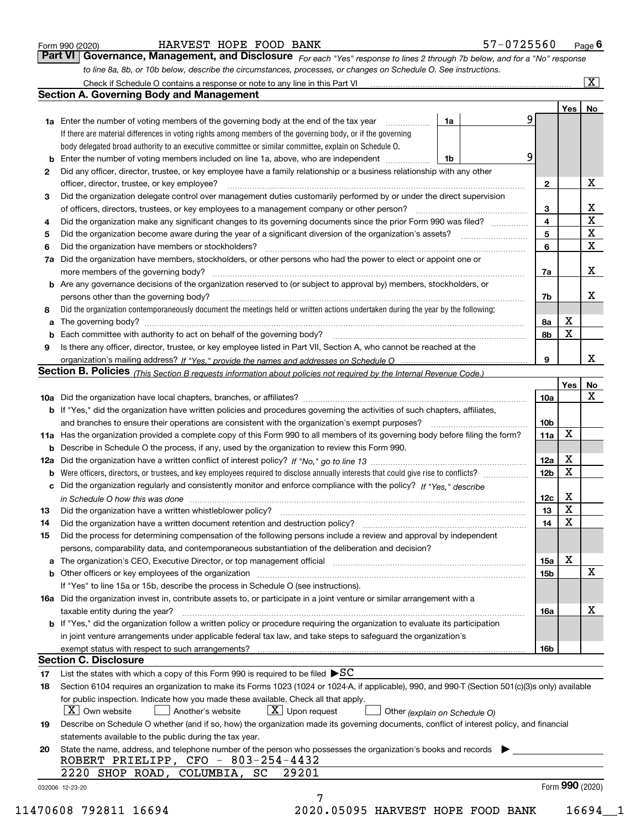|  | Form 990 (2020) |
|--|-----------------|
|  |                 |

#### HARVEST HOPE FOOD BANK 5

| 57-0725560<br>Page ' |  |
|----------------------|--|
|----------------------|--|

*For each "Yes" response to lines 2 through 7b below, and for a "No" response to line 8a, 8b, or 10b below, describe the circumstances, processes, or changes on Schedule O. See instructions.* Form 990 (2020) **Form 990 (2020)** BARVEST HOPE FOOD BANK **Page 6**<br>**Part VI Governance, Management, and Disclosure** For each "Yes" response to lines 2 through 7b below, and for a "No" response

|     |                                                                                                                                                                                                                                |                               |   |                         | Yes <sub>1</sub> | No          |
|-----|--------------------------------------------------------------------------------------------------------------------------------------------------------------------------------------------------------------------------------|-------------------------------|---|-------------------------|------------------|-------------|
|     | <b>1a</b> Enter the number of voting members of the governing body at the end of the tax year <i>manumum</i>                                                                                                                   | 1a                            | 9 |                         |                  |             |
|     | If there are material differences in voting rights among members of the governing body, or if the governing                                                                                                                    |                               |   |                         |                  |             |
|     | body delegated broad authority to an executive committee or similar committee, explain on Schedule O.                                                                                                                          |                               |   |                         |                  |             |
|     | Enter the number of voting members included on line 1a, above, who are independent                                                                                                                                             | 1b                            | 9 |                         |                  |             |
| 2   | Did any officer, director, trustee, or key employee have a family relationship or a business relationship with any other                                                                                                       |                               |   |                         |                  |             |
|     | officer, director, trustee, or key employee?                                                                                                                                                                                   |                               |   | $\mathbf{2}$            |                  | х           |
| 3   | Did the organization delegate control over management duties customarily performed by or under the direct supervision                                                                                                          |                               |   |                         |                  |             |
|     |                                                                                                                                                                                                                                |                               |   | 3                       |                  | х           |
| 4   | Did the organization make any significant changes to its governing documents since the prior Form 990 was filed?                                                                                                               |                               |   | $\overline{\mathbf{4}}$ |                  | $\mathbf X$ |
| 5   |                                                                                                                                                                                                                                |                               |   | 5                       |                  | $\mathbf X$ |
| 6   | Did the organization have members or stockholders?                                                                                                                                                                             |                               |   | 6                       |                  | $\mathbf x$ |
| 7a  | Did the organization have members, stockholders, or other persons who had the power to elect or appoint one or                                                                                                                 |                               |   |                         |                  |             |
|     |                                                                                                                                                                                                                                |                               |   | 7a                      |                  | х           |
|     | <b>b</b> Are any governance decisions of the organization reserved to (or subject to approval by) members, stockholders, or                                                                                                    |                               |   |                         |                  |             |
|     | persons other than the governing body?                                                                                                                                                                                         |                               |   | 7b                      |                  | х           |
| 8   | Did the organization contemporaneously document the meetings held or written actions undertaken during the year by the following:                                                                                              |                               |   |                         |                  |             |
| a   |                                                                                                                                                                                                                                |                               |   | 8a                      | х                |             |
|     |                                                                                                                                                                                                                                |                               |   | 8b                      | X                |             |
| 9   | Is there any officer, director, trustee, or key employee listed in Part VII, Section A, who cannot be reached at the                                                                                                           |                               |   |                         |                  |             |
|     |                                                                                                                                                                                                                                |                               |   | 9                       |                  | х           |
|     | Section B. Policies (This Section B requests information about policies not required by the Internal Revenue Code.)                                                                                                            |                               |   |                         |                  |             |
|     |                                                                                                                                                                                                                                |                               |   |                         | Yes              | No          |
|     |                                                                                                                                                                                                                                |                               |   | 10a                     |                  | X           |
|     | <b>b</b> If "Yes," did the organization have written policies and procedures governing the activities of such chapters, affiliates,                                                                                            |                               |   |                         |                  |             |
|     |                                                                                                                                                                                                                                |                               |   | 10 <sub>b</sub>         |                  |             |
|     | 11a Has the organization provided a complete copy of this Form 990 to all members of its governing body before filing the form?                                                                                                |                               |   | 11a                     | X                |             |
|     | <b>b</b> Describe in Schedule O the process, if any, used by the organization to review this Form 990.                                                                                                                         |                               |   |                         |                  |             |
| 12a |                                                                                                                                                                                                                                |                               |   | <b>12a</b>              | х                |             |
| b   |                                                                                                                                                                                                                                |                               |   | 12b                     | X                |             |
|     | c Did the organization regularly and consistently monitor and enforce compliance with the policy? If "Yes," describe                                                                                                           |                               |   |                         |                  |             |
|     | in Schedule O how this was done measured and contained a strategie of the state of the state of the strategie o                                                                                                                |                               |   | 12c                     | х                |             |
| 13  | Did the organization have a written whistleblower policy?<br>The content of the content of the content of the content of the content of the content of the content of the c                                                    |                               |   | 13                      | X                |             |
| 14  | Did the organization have a written document retention and destruction policy? manufactured and the organization have a written document retention and destruction policy?                                                     |                               |   | 14                      | X                |             |
| 15  | Did the process for determining compensation of the following persons include a review and approval by independent                                                                                                             |                               |   |                         |                  |             |
|     | persons, comparability data, and contemporaneous substantiation of the deliberation and decision?                                                                                                                              |                               |   |                         |                  |             |
|     | a The organization's CEO, Executive Director, or top management official [11] [12] The organization's CEO, Executive Director, or top management official [12] [12] [12] [12] The organization's CEO, Executive Director, or t |                               |   | 15a                     | х                |             |
|     |                                                                                                                                                                                                                                |                               |   | 15 <sub>b</sub>         |                  | Х           |
|     | If "Yes" to line 15a or 15b, describe the process in Schedule O (see instructions).                                                                                                                                            |                               |   |                         |                  |             |
|     | 16a Did the organization invest in, contribute assets to, or participate in a joint venture or similar arrangement with a                                                                                                      |                               |   |                         |                  |             |
|     | taxable entity during the year?                                                                                                                                                                                                |                               |   | 16a                     |                  | х           |
|     | <b>b</b> If "Yes," did the organization follow a written policy or procedure requiring the organization to evaluate its participation                                                                                          |                               |   |                         |                  |             |
|     | in joint venture arrangements under applicable federal tax law, and take steps to safeguard the organization's                                                                                                                 |                               |   |                         |                  |             |
|     |                                                                                                                                                                                                                                |                               |   | 16b                     |                  |             |
|     | <b>Section C. Disclosure</b>                                                                                                                                                                                                   |                               |   |                         |                  |             |
| 17  | List the states with which a copy of this Form 990 is required to be filed $\blacktriangleright$ SC                                                                                                                            |                               |   |                         |                  |             |
| 18  | Section 6104 requires an organization to make its Forms 1023 (1024 or 1024-A, if applicable), 990, and 990-T (Section 501(c)(3)s only) available                                                                               |                               |   |                         |                  |             |
|     | for public inspection. Indicate how you made these available. Check all that apply.                                                                                                                                            |                               |   |                         |                  |             |
|     | $ X $ Own website<br>$X$ Upon request<br>Another's website                                                                                                                                                                     | Other (explain on Schedule O) |   |                         |                  |             |
| 19  | Describe on Schedule O whether (and if so, how) the organization made its governing documents, conflict of interest policy, and financial                                                                                      |                               |   |                         |                  |             |
|     | statements available to the public during the tax year.                                                                                                                                                                        |                               |   |                         |                  |             |
| 20  | State the name, address, and telephone number of the person who possesses the organization's books and records                                                                                                                 |                               |   |                         |                  |             |
|     | ROBERT PRIELIPP, CFO - 803-254-4432                                                                                                                                                                                            |                               |   |                         |                  |             |
|     | 2220 SHOP ROAD, COLUMBIA, SC<br>29201                                                                                                                                                                                          |                               |   |                         |                  |             |
|     |                                                                                                                                                                                                                                |                               |   |                         | Form 990 (2020)  |             |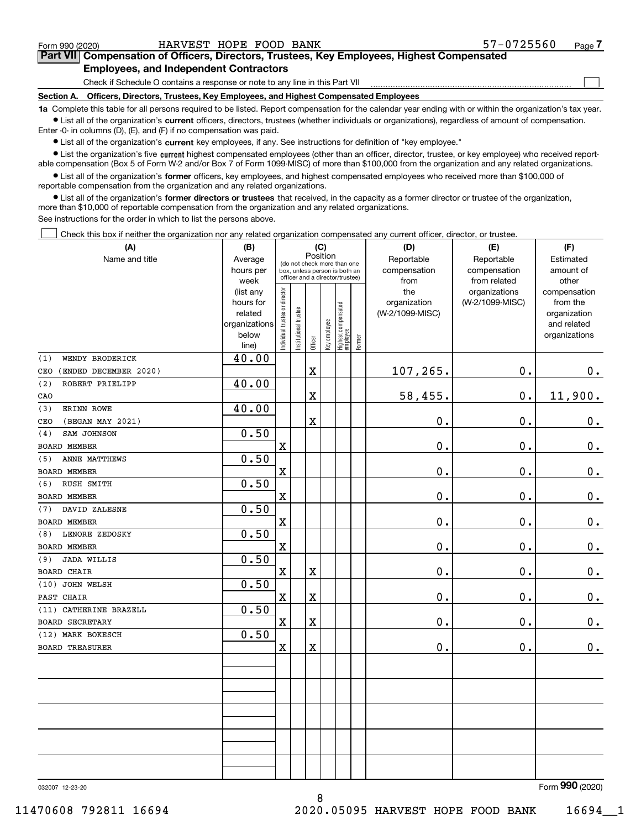|  | Form 990 (2020) |
|--|-----------------|
|  |                 |

 $\mathcal{L}^{\text{max}}$ 

## **7Part VII Compensation of Officers, Directors, Trustees, Key Employees, Highest Compensated Employees, and Independent Contractors**

Check if Schedule O contains a response or note to any line in this Part VII

**Section A. Officers, Directors, Trustees, Key Employees, and Highest Compensated Employees**

**1a**  Complete this table for all persons required to be listed. Report compensation for the calendar year ending with or within the organization's tax year. **•** List all of the organization's current officers, directors, trustees (whether individuals or organizations), regardless of amount of compensation.

Enter -0- in columns (D), (E), and (F) if no compensation was paid.

 $\bullet$  List all of the organization's  $\,$ current key employees, if any. See instructions for definition of "key employee."

**•** List the organization's five current highest compensated employees (other than an officer, director, trustee, or key employee) who received reportable compensation (Box 5 of Form W-2 and/or Box 7 of Form 1099-MISC) of more than \$100,000 from the organization and any related organizations.

**•** List all of the organization's former officers, key employees, and highest compensated employees who received more than \$100,000 of reportable compensation from the organization and any related organizations.

**former directors or trustees**  ¥ List all of the organization's that received, in the capacity as a former director or trustee of the organization, more than \$10,000 of reportable compensation from the organization and any related organizations.

See instructions for the order in which to list the persons above.

Check this box if neither the organization nor any related organization compensated any current officer, director, or trustee.  $\mathcal{L}^{\text{max}}$ 

| (A)                          | (B)                    |                                |                       |                         | (C)          |                                   |        | (D)             | (E)             | (F)                          |
|------------------------------|------------------------|--------------------------------|-----------------------|-------------------------|--------------|-----------------------------------|--------|-----------------|-----------------|------------------------------|
| Name and title               | Average                |                                |                       | Position                |              | (do not check more than one       |        | Reportable      | Reportable      | Estimated                    |
|                              | hours per              |                                |                       |                         |              | box, unless person is both an     |        | compensation    | compensation    | amount of                    |
|                              | week                   |                                |                       |                         |              | officer and a director/trustee)   |        | from            | from related    | other                        |
|                              | (list any              |                                |                       |                         |              |                                   |        | the             | organizations   | compensation                 |
|                              | hours for              |                                |                       |                         |              |                                   |        | organization    | (W-2/1099-MISC) | from the                     |
|                              | related                |                                |                       |                         |              |                                   |        | (W-2/1099-MISC) |                 | organization                 |
|                              | organizations<br>below |                                |                       |                         |              |                                   |        |                 |                 | and related<br>organizations |
|                              | line)                  | Individual trustee or director | Institutional trustee | Officer                 | Key employee | Highest compensated<br>  employee | Former |                 |                 |                              |
| WENDY BRODERICK<br>(1)       | 40.00                  |                                |                       |                         |              |                                   |        |                 |                 |                              |
| (ENDED DECEMBER 2020)<br>CEO |                        |                                |                       | $\rm X$                 |              |                                   |        | 107,265.        | 0.              | $0_{.}$                      |
| (2)<br>ROBERT PRIELIPP       | 40.00                  |                                |                       |                         |              |                                   |        |                 |                 |                              |
| CAO                          |                        |                                |                       | $\overline{\mathbf{X}}$ |              |                                   |        | 58,455.         | 0.              | 11,900.                      |
| ERINN ROWE<br>(3)            | 40.00                  |                                |                       |                         |              |                                   |        |                 |                 |                              |
| (BEGAN MAY 2021)<br>CEO      |                        |                                |                       | $\overline{\mathbf{X}}$ |              |                                   |        | 0.              | 0.              | $\mathbf 0$ .                |
| SAM JOHNSON<br>(4)           | 0.50                   |                                |                       |                         |              |                                   |        |                 |                 |                              |
| <b>BOARD MEMBER</b>          |                        | $\mathbf X$                    |                       |                         |              |                                   |        | $\mathbf 0$ .   | 0.              | $\mathbf 0$ .                |
| ANNE MATTHEWS<br>(5)         | 0.50                   |                                |                       |                         |              |                                   |        |                 |                 |                              |
| BOARD MEMBER                 |                        | X                              |                       |                         |              |                                   |        | 0.              | 0.              | 0.                           |
| RUSH SMITH<br>(6)            | 0.50                   |                                |                       |                         |              |                                   |        |                 |                 |                              |
| <b>BOARD MEMBER</b>          |                        | $\overline{\textbf{X}}$        |                       |                         |              |                                   |        | 0.              | 0.              | $\mathbf 0$ .                |
| DAVID ZALESNE<br>(7)         | 0.50                   |                                |                       |                         |              |                                   |        |                 |                 |                              |
| <b>BOARD MEMBER</b>          |                        | $\mathbf X$                    |                       |                         |              |                                   |        | 0.              | 0.              | $0_{.}$                      |
| LENORE ZEDOSKY<br>(8)        | 0.50                   |                                |                       |                         |              |                                   |        |                 |                 |                              |
| BOARD MEMBER                 |                        | $\mathbf X$                    |                       |                         |              |                                   |        | 0.              | 0.              | 0.                           |
| <b>JADA WILLIS</b><br>(9)    | 0.50                   |                                |                       |                         |              |                                   |        |                 |                 |                              |
| <b>BOARD CHAIR</b>           |                        | $\mathbf X$                    |                       | $\overline{\textbf{X}}$ |              |                                   |        | 0.              | 0.              | $\mathbf 0$ .                |
| (10) JOHN WELSH              | 0.50                   |                                |                       |                         |              |                                   |        |                 |                 |                              |
| PAST CHAIR                   |                        | $\mathbf x$                    |                       | $\overline{\mathbf{X}}$ |              |                                   |        | $\mathbf 0$ .   | 0.              | $\mathbf 0$ .                |
| (11) CATHERINE BRAZELL       | 0.50                   |                                |                       |                         |              |                                   |        |                 |                 |                              |
| <b>BOARD SECRETARY</b>       |                        | $\mathbf X$                    |                       | $\overline{\textbf{X}}$ |              |                                   |        | 0.              | 0.              | $0_{.}$                      |
| (12) MARK BOKESCH            | 0.50                   |                                |                       |                         |              |                                   |        |                 |                 |                              |
| <b>BOARD TREASURER</b>       |                        | $\mathbf X$                    |                       | $\mathbf X$             |              |                                   |        | 0.              | 0.              | 0.                           |
|                              |                        |                                |                       |                         |              |                                   |        |                 |                 |                              |
|                              |                        |                                |                       |                         |              |                                   |        |                 |                 |                              |
|                              |                        |                                |                       |                         |              |                                   |        |                 |                 |                              |
|                              |                        |                                |                       |                         |              |                                   |        |                 |                 |                              |
|                              |                        |                                |                       |                         |              |                                   |        |                 |                 |                              |
|                              |                        |                                |                       |                         |              |                                   |        |                 |                 |                              |
|                              |                        |                                |                       |                         |              |                                   |        |                 |                 |                              |
|                              |                        |                                |                       |                         |              |                                   |        |                 |                 |                              |
|                              |                        |                                |                       |                         |              |                                   |        |                 |                 |                              |
|                              |                        |                                |                       |                         |              |                                   |        |                 |                 | $000$ $(000)$<br>$\sim$      |

8

032007 12-23-20

Form (2020) **990**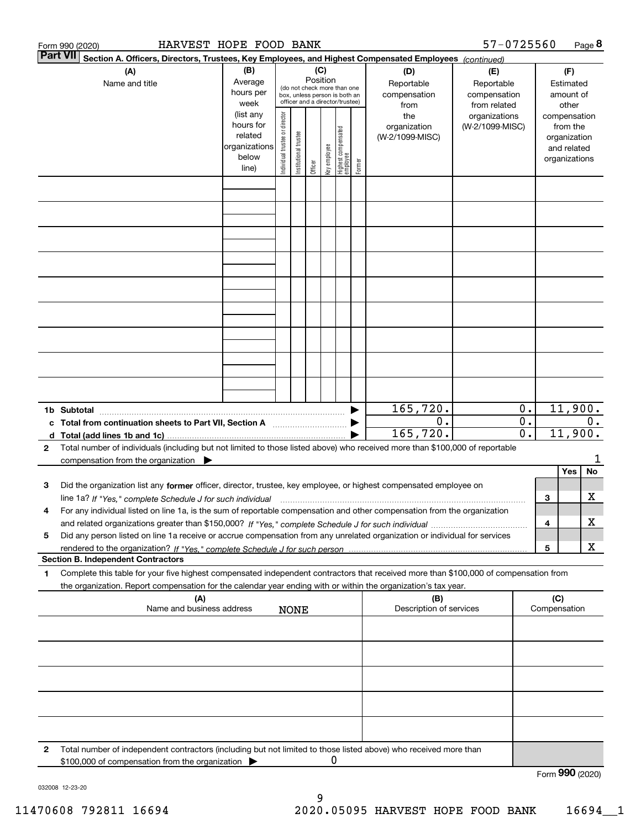|              | HARVEST HOPE FOOD BANK<br>Form 990 (2020)                                                                                            |                |                               |                       |          |              |                                                              |        |                         | 57-0725560      |                  |                 |               | Page 8 |
|--------------|--------------------------------------------------------------------------------------------------------------------------------------|----------------|-------------------------------|-----------------------|----------|--------------|--------------------------------------------------------------|--------|-------------------------|-----------------|------------------|-----------------|---------------|--------|
|              | <b>Part VII</b><br>Section A. Officers, Directors, Trustees, Key Employees, and Highest Compensated Employees (continued)            |                |                               |                       |          |              |                                                              |        |                         |                 |                  |                 |               |        |
|              | (A)                                                                                                                                  | (B)            |                               |                       | (C)      |              |                                                              |        | (D)                     | (E)             |                  |                 | (F)           |        |
|              | Name and title                                                                                                                       | Average        |                               |                       | Position |              |                                                              |        | Reportable              | Reportable      |                  |                 | Estimated     |        |
|              |                                                                                                                                      | hours per      |                               |                       |          |              | (do not check more than one<br>box, unless person is both an |        | compensation            | compensation    |                  |                 | amount of     |        |
|              |                                                                                                                                      | week           |                               |                       |          |              | officer and a director/trustee)                              |        | from                    | from related    |                  |                 | other         |        |
|              |                                                                                                                                      | (list any      |                               |                       |          |              |                                                              |        | the                     | organizations   |                  |                 | compensation  |        |
|              |                                                                                                                                      | hours for      | ndividual trustee or director |                       |          |              |                                                              |        | organization            | (W-2/1099-MISC) |                  |                 | from the      |        |
|              |                                                                                                                                      | related        |                               | Institutional trustee |          |              | Highest compensated<br> employee                             |        | (W-2/1099-MISC)         |                 |                  |                 | organization  |        |
|              |                                                                                                                                      | organizations  |                               |                       |          |              |                                                              |        |                         |                 |                  |                 | and related   |        |
|              |                                                                                                                                      | below<br>line) |                               |                       | Officer  | Key employee |                                                              | Former |                         |                 |                  |                 | organizations |        |
|              |                                                                                                                                      |                |                               |                       |          |              |                                                              |        |                         |                 |                  |                 |               |        |
|              |                                                                                                                                      |                |                               |                       |          |              |                                                              |        |                         |                 |                  |                 |               |        |
|              |                                                                                                                                      |                |                               |                       |          |              |                                                              |        |                         |                 |                  |                 |               |        |
|              |                                                                                                                                      |                |                               |                       |          |              |                                                              |        |                         |                 |                  |                 |               |        |
|              |                                                                                                                                      |                |                               |                       |          |              |                                                              |        |                         |                 |                  |                 |               |        |
|              |                                                                                                                                      |                |                               |                       |          |              |                                                              |        |                         |                 |                  |                 |               |        |
|              |                                                                                                                                      |                |                               |                       |          |              |                                                              |        |                         |                 |                  |                 |               |        |
|              |                                                                                                                                      |                |                               |                       |          |              |                                                              |        |                         |                 |                  |                 |               |        |
|              |                                                                                                                                      |                |                               |                       |          |              |                                                              |        |                         |                 |                  |                 |               |        |
|              |                                                                                                                                      |                |                               |                       |          |              |                                                              |        |                         |                 |                  |                 |               |        |
|              |                                                                                                                                      |                |                               |                       |          |              |                                                              |        |                         |                 |                  |                 |               |        |
|              |                                                                                                                                      |                |                               |                       |          |              |                                                              |        |                         |                 |                  |                 |               |        |
|              |                                                                                                                                      |                |                               |                       |          |              |                                                              |        |                         |                 |                  |                 |               |        |
|              |                                                                                                                                      |                |                               |                       |          |              |                                                              |        |                         |                 |                  |                 |               |        |
|              |                                                                                                                                      |                |                               |                       |          |              |                                                              |        |                         |                 |                  |                 |               |        |
|              |                                                                                                                                      |                |                               |                       |          |              |                                                              |        |                         |                 |                  |                 |               |        |
|              |                                                                                                                                      |                |                               |                       |          |              |                                                              |        |                         |                 |                  |                 |               |        |
|              |                                                                                                                                      |                |                               |                       |          |              |                                                              |        |                         |                 |                  |                 |               |        |
|              |                                                                                                                                      |                |                               |                       |          |              |                                                              |        |                         |                 |                  |                 |               |        |
|              |                                                                                                                                      |                |                               |                       |          |              |                                                              |        |                         |                 |                  |                 |               |        |
|              |                                                                                                                                      |                |                               |                       |          |              |                                                              |        | 165, 720.               |                 | 0.               |                 | 11,900.       |        |
|              | c Total from continuation sheets to Part VII, Section A <b>manual</b> Testion Section 3                                              |                |                               |                       |          |              |                                                              |        | 0.                      |                 | $\overline{0}$ . |                 |               | 0.     |
|              |                                                                                                                                      |                |                               |                       |          |              |                                                              |        | 165,720.                |                 | $\overline{0}$ . |                 | 11,900.       |        |
| $\mathbf{2}$ | Total number of individuals (including but not limited to those listed above) who received more than \$100,000 of reportable         |                |                               |                       |          |              |                                                              |        |                         |                 |                  |                 |               |        |
|              | compensation from the organization                                                                                                   |                |                               |                       |          |              |                                                              |        |                         |                 |                  |                 |               | 1      |
|              |                                                                                                                                      |                |                               |                       |          |              |                                                              |        |                         |                 |                  |                 | Yes           | No     |
| 3            | Did the organization list any former officer, director, trustee, key employee, or highest compensated employee on                    |                |                               |                       |          |              |                                                              |        |                         |                 |                  |                 |               |        |
|              | line 1a? If "Yes," complete Schedule J for such individual manumanamental contents and the numerous manumaname                       |                |                               |                       |          |              |                                                              |        |                         |                 |                  | 3               |               | х      |
|              | For any individual listed on line 1a, is the sum of reportable compensation and other compensation from the organization             |                |                               |                       |          |              |                                                              |        |                         |                 |                  |                 |               |        |
|              |                                                                                                                                      |                |                               |                       |          |              |                                                              |        |                         |                 |                  | 4               |               | х      |
| 5            | Did any person listed on line 1a receive or accrue compensation from any unrelated organization or individual for services           |                |                               |                       |          |              |                                                              |        |                         |                 |                  |                 |               |        |
|              |                                                                                                                                      |                |                               |                       |          |              |                                                              |        |                         |                 |                  | 5               |               | х      |
|              | <b>Section B. Independent Contractors</b>                                                                                            |                |                               |                       |          |              |                                                              |        |                         |                 |                  |                 |               |        |
| 1            | Complete this table for your five highest compensated independent contractors that received more than \$100,000 of compensation from |                |                               |                       |          |              |                                                              |        |                         |                 |                  |                 |               |        |
|              | the organization. Report compensation for the calendar year ending with or within the organization's tax year.                       |                |                               |                       |          |              |                                                              |        |                         |                 |                  |                 |               |        |
|              | (A)                                                                                                                                  |                |                               |                       |          |              |                                                              |        | (B)                     |                 |                  | (C)             |               |        |
|              | Name and business address                                                                                                            |                |                               | <b>NONE</b>           |          |              |                                                              |        | Description of services |                 |                  | Compensation    |               |        |
|              |                                                                                                                                      |                |                               |                       |          |              |                                                              |        |                         |                 |                  |                 |               |        |
|              |                                                                                                                                      |                |                               |                       |          |              |                                                              |        |                         |                 |                  |                 |               |        |
|              |                                                                                                                                      |                |                               |                       |          |              |                                                              |        |                         |                 |                  |                 |               |        |
|              |                                                                                                                                      |                |                               |                       |          |              |                                                              |        |                         |                 |                  |                 |               |        |
|              |                                                                                                                                      |                |                               |                       |          |              |                                                              |        |                         |                 |                  |                 |               |        |
|              |                                                                                                                                      |                |                               |                       |          |              |                                                              |        |                         |                 |                  |                 |               |        |
|              |                                                                                                                                      |                |                               |                       |          |              |                                                              |        |                         |                 |                  |                 |               |        |
|              |                                                                                                                                      |                |                               |                       |          |              |                                                              |        |                         |                 |                  |                 |               |        |
|              |                                                                                                                                      |                |                               |                       |          |              |                                                              |        |                         |                 |                  |                 |               |        |
|              |                                                                                                                                      |                |                               |                       |          |              |                                                              |        |                         |                 |                  |                 |               |        |
|              |                                                                                                                                      |                |                               |                       |          |              |                                                              |        |                         |                 |                  |                 |               |        |
| 2            | Total number of independent contractors (including but not limited to those listed above) who received more than                     |                |                               |                       |          |              |                                                              |        |                         |                 |                  |                 |               |        |
|              | \$100,000 of compensation from the organization                                                                                      |                |                               |                       |          | 0            |                                                              |        |                         |                 |                  |                 |               |        |
|              |                                                                                                                                      |                |                               |                       |          |              |                                                              |        |                         |                 |                  | Form 990 (2020) |               |        |

032008 12-23-20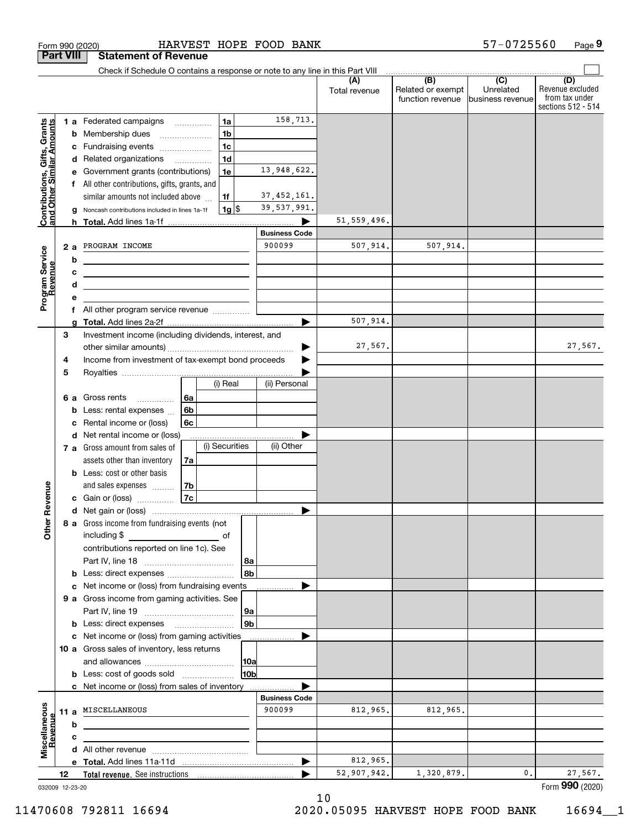|                                                           |     | Form 990 (2020)                                                               |                |                    | HARVEST HOPE FOOD BANK |                      |                                       | 57-0725560                     | Page 9                                                          |
|-----------------------------------------------------------|-----|-------------------------------------------------------------------------------|----------------|--------------------|------------------------|----------------------|---------------------------------------|--------------------------------|-----------------------------------------------------------------|
| <b>Part VIII</b>                                          |     | <b>Statement of Revenue</b>                                                   |                |                    |                        |                      |                                       |                                |                                                                 |
|                                                           |     | Check if Schedule O contains a response or note to any line in this Part VIII |                |                    |                        |                      | $\overline{)}$ (B) $\overline{)}$ (C) |                                |                                                                 |
|                                                           |     |                                                                               |                |                    |                        | (A)<br>Total revenue | Related or exempt<br>function revenue | Unrelated<br>lbusiness revenue | (D)<br>Revenue excluded<br>from tax under<br>sections 512 - 514 |
|                                                           |     | <b>1 a</b> Federated campaigns                                                |                | 1a                 | 158,713.               |                      |                                       |                                |                                                                 |
|                                                           | b   | Membership dues                                                               |                | 1 <sub>b</sub>     |                        |                      |                                       |                                |                                                                 |
|                                                           | с   | Fundraising events                                                            |                | 1 <sub>c</sub>     |                        |                      |                                       |                                |                                                                 |
|                                                           |     | d Related organizations                                                       |                | 1 <sub>d</sub>     |                        |                      |                                       |                                |                                                                 |
|                                                           |     | e Government grants (contributions)                                           |                | 1e                 | 13,948,622.            |                      |                                       |                                |                                                                 |
|                                                           |     | All other contributions, gifts, grants, and                                   |                |                    |                        |                      |                                       |                                |                                                                 |
|                                                           |     | similar amounts not included above                                            |                | 1f                 | 37, 452, 161.          |                      |                                       |                                |                                                                 |
| Contributions, Gifts, Grants<br>and Other Similar Amounts | g   | Noncash contributions included in lines 1a-1f                                 |                | $1g$ $\frac{1}{3}$ | 39,537,991.            |                      |                                       |                                |                                                                 |
|                                                           |     |                                                                               |                |                    | .                      | 51, 559, 496.        |                                       |                                |                                                                 |
|                                                           |     |                                                                               |                |                    | <b>Business Code</b>   |                      |                                       |                                |                                                                 |
|                                                           | 2 a | PROGRAM INCOME                                                                |                |                    | 900099                 | 507,914.             | 507,914.                              |                                |                                                                 |
| Program Service<br>Revenue                                | b   |                                                                               |                |                    |                        |                      |                                       |                                |                                                                 |
|                                                           | с   | the control of the control of the control of the control of the control of    |                |                    |                        |                      |                                       |                                |                                                                 |
|                                                           | d   | <u> 1989 - Johann Stein, mars an deus an deus Amerikaanse komme</u>           |                |                    |                        |                      |                                       |                                |                                                                 |
|                                                           | е   |                                                                               |                |                    |                        |                      |                                       |                                |                                                                 |
|                                                           | f   | All other program service revenue                                             |                |                    |                        |                      |                                       |                                |                                                                 |
|                                                           | a   |                                                                               |                |                    |                        | 507,914.             |                                       |                                |                                                                 |
|                                                           | 3   | Investment income (including dividends, interest, and                         |                |                    |                        |                      |                                       |                                |                                                                 |
|                                                           |     |                                                                               |                |                    |                        | 27,567.              |                                       |                                | 27,567.                                                         |
|                                                           | 4   | Income from investment of tax-exempt bond proceeds                            |                |                    |                        |                      |                                       |                                |                                                                 |
|                                                           | 5   |                                                                               |                |                    |                        |                      |                                       |                                |                                                                 |
|                                                           |     |                                                                               |                | (i) Real           | (ii) Personal          |                      |                                       |                                |                                                                 |
|                                                           | 6а  | Gross rents                                                                   | 6a             |                    |                        |                      |                                       |                                |                                                                 |
|                                                           | b   | Less: rental expenses                                                         | 6 <sub>b</sub> |                    |                        |                      |                                       |                                |                                                                 |
|                                                           | c   | Rental income or (loss)                                                       | 6с             |                    |                        |                      |                                       |                                |                                                                 |
|                                                           |     | d Net rental income or (loss)                                                 |                |                    |                        |                      |                                       |                                |                                                                 |
|                                                           |     | 7 a Gross amount from sales of                                                |                | (i) Securities     | (ii) Other             |                      |                                       |                                |                                                                 |
|                                                           |     | assets other than inventory                                                   | 7a             |                    |                        |                      |                                       |                                |                                                                 |
|                                                           |     | <b>b</b> Less: cost or other basis                                            |                |                    |                        |                      |                                       |                                |                                                                 |
|                                                           |     | and sales expenses                                                            | l 7b           |                    |                        |                      |                                       |                                |                                                                 |
| evenue                                                    |     | c Gain or (loss)                                                              | 7c             |                    |                        |                      |                                       |                                |                                                                 |
| œ                                                         |     |                                                                               |                |                    |                        |                      |                                       |                                |                                                                 |
|                                                           |     | 8 a Gross income from fundraising events (not                                 |                |                    |                        |                      |                                       |                                |                                                                 |
| Other                                                     |     |                                                                               |                |                    |                        |                      |                                       |                                |                                                                 |
|                                                           |     | contributions reported on line 1c). See                                       |                |                    |                        |                      |                                       |                                |                                                                 |
|                                                           |     |                                                                               |                |                    | 8a                     |                      |                                       |                                |                                                                 |
|                                                           |     | <b>b</b> Less: direct expenses <i></i>                                        |                |                    | l 8b                   |                      |                                       |                                |                                                                 |
|                                                           |     | c Net income or (loss) from fundraising events                                |                |                    |                        |                      |                                       |                                |                                                                 |
|                                                           |     | 9 a Gross income from gaming activities. See                                  |                |                    |                        |                      |                                       |                                |                                                                 |
|                                                           |     |                                                                               |                |                    | 9a                     |                      |                                       |                                |                                                                 |
|                                                           |     | <b>b</b> Less: direct expenses <b>manually</b>                                |                |                    | 9 <sub>b</sub>         |                      |                                       |                                |                                                                 |
|                                                           |     | c Net income or (loss) from gaming activities                                 |                |                    |                        |                      |                                       |                                |                                                                 |
|                                                           |     | 10 a Gross sales of inventory, less returns                                   |                |                    |                        |                      |                                       |                                |                                                                 |
|                                                           |     |                                                                               |                |                    | 10a                    |                      |                                       |                                |                                                                 |
|                                                           |     |                                                                               |                |                    | 10 <sub>b</sub>        |                      |                                       |                                |                                                                 |
|                                                           |     | <b>b</b> Less: cost of goods sold                                             |                |                    |                        |                      |                                       |                                |                                                                 |
|                                                           |     | <b>c</b> Net income or (loss) from sales of inventory                         |                |                    | <b>Business Code</b>   |                      |                                       |                                |                                                                 |
|                                                           |     |                                                                               |                |                    | 900099                 |                      |                                       |                                |                                                                 |
|                                                           |     | 11 a MISCELLANEOUS                                                            |                |                    |                        | 812,965.             | 812,965.                              |                                |                                                                 |
| Revenue                                                   | b   |                                                                               |                |                    |                        |                      |                                       |                                |                                                                 |
|                                                           | с   |                                                                               |                |                    |                        |                      |                                       |                                |                                                                 |
| Miscellaneous                                             |     |                                                                               |                |                    |                        |                      |                                       |                                |                                                                 |
|                                                           |     |                                                                               |                |                    |                        | 812,965.             |                                       |                                |                                                                 |
|                                                           | 12  |                                                                               |                |                    |                        | 52,907,942.          | 1,320,879.                            | 0.                             | 27,567.                                                         |
| 032009 12-23-20                                           |     |                                                                               |                |                    |                        |                      |                                       |                                | Form 990 (2020)                                                 |

032009 12-23-20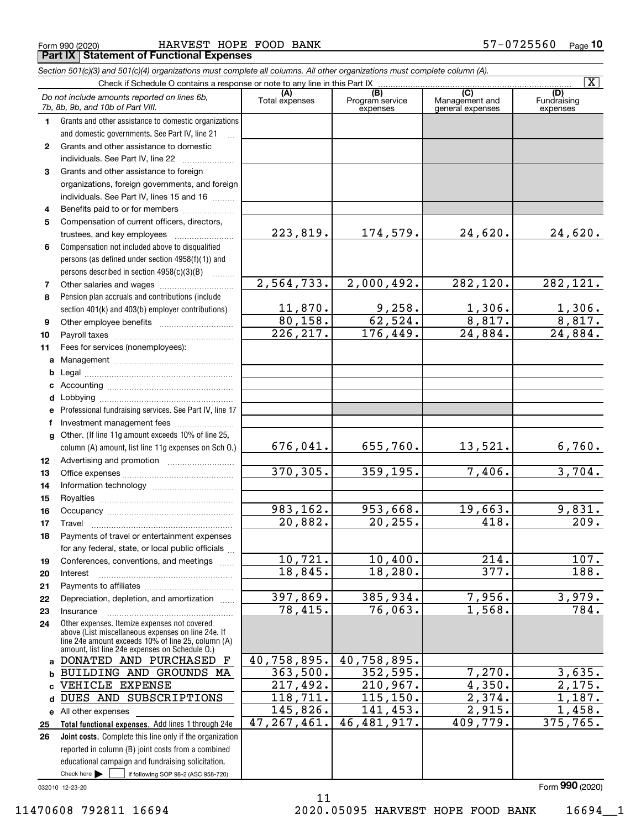|  | Form 990 (2020) |  |
|--|-----------------|--|
|  |                 |  |

Form 990 (2020) HARVEST HOPE FOOD BANK 57-0725560 <sub>Page</sub> **Part IX Statement of Functional Expenses**

|                   | Section 501(c)(3) and 501(c)(4) organizations must complete all columns. All other organizations must complete column (A).                                                                                 |                        |                                    |                                           |                                |
|-------------------|------------------------------------------------------------------------------------------------------------------------------------------------------------------------------------------------------------|------------------------|------------------------------------|-------------------------------------------|--------------------------------|
|                   |                                                                                                                                                                                                            |                        |                                    |                                           | $\overline{\mathbf{X}}$        |
|                   | Do not include amounts reported on lines 6b,<br>7b, 8b, 9b, and 10b of Part VIII.                                                                                                                          | Total expenses         | (B)<br>Program service<br>expenses | (C)<br>Management and<br>general expenses | (D)<br>Fundraising<br>expenses |
| 1.                | Grants and other assistance to domestic organizations                                                                                                                                                      |                        |                                    |                                           |                                |
|                   | and domestic governments. See Part IV, line 21                                                                                                                                                             |                        |                                    |                                           |                                |
| $\mathbf{2}$      | Grants and other assistance to domestic                                                                                                                                                                    |                        |                                    |                                           |                                |
|                   | individuals. See Part IV, line 22                                                                                                                                                                          |                        |                                    |                                           |                                |
| 3                 | Grants and other assistance to foreign                                                                                                                                                                     |                        |                                    |                                           |                                |
|                   | organizations, foreign governments, and foreign                                                                                                                                                            |                        |                                    |                                           |                                |
|                   | individuals. See Part IV, lines 15 and 16                                                                                                                                                                  |                        |                                    |                                           |                                |
| 4                 | Benefits paid to or for members                                                                                                                                                                            |                        |                                    |                                           |                                |
| 5                 | Compensation of current officers, directors,                                                                                                                                                               |                        |                                    |                                           |                                |
|                   | trustees, and key employees                                                                                                                                                                                | 223, 819.              | 174,579.                           | 24,620.                                   | 24,620.                        |
| 6                 | Compensation not included above to disqualified                                                                                                                                                            |                        |                                    |                                           |                                |
|                   | persons (as defined under section 4958(f)(1)) and                                                                                                                                                          |                        |                                    |                                           |                                |
|                   | persons described in section $4958(c)(3)(B)$<br>$\sim$                                                                                                                                                     |                        |                                    |                                           |                                |
| 7                 |                                                                                                                                                                                                            | 2,564,733.             | 2,000,492.                         | 282, 120.                                 | 282, 121.                      |
| 8                 | Pension plan accruals and contributions (include                                                                                                                                                           |                        |                                    |                                           |                                |
|                   | section 401(k) and 403(b) employer contributions)                                                                                                                                                          | 11,870.                | $\frac{9,258}{62,524}$             | $\frac{1,306}{8,817}$                     | $\frac{1,306}{8,817}$          |
| 9                 |                                                                                                                                                                                                            | 80,158.<br>226, 217.   |                                    |                                           |                                |
| 10                |                                                                                                                                                                                                            |                        | 176,449.                           | 24,884.                                   | $\overline{24,884}$ .          |
| 11                | Fees for services (nonemployees):                                                                                                                                                                          |                        |                                    |                                           |                                |
| a                 |                                                                                                                                                                                                            |                        |                                    |                                           |                                |
| b                 |                                                                                                                                                                                                            |                        |                                    |                                           |                                |
| c                 |                                                                                                                                                                                                            |                        |                                    |                                           |                                |
| d                 |                                                                                                                                                                                                            |                        |                                    |                                           |                                |
| е                 | Professional fundraising services. See Part IV, line 17                                                                                                                                                    |                        |                                    |                                           |                                |
| f<br>$\mathbf{q}$ | Investment management fees<br>Other. (If line 11g amount exceeds 10% of line 25,                                                                                                                           |                        |                                    |                                           |                                |
|                   | column (A) amount, list line 11g expenses on Sch O.)                                                                                                                                                       | 676,041.               | 655,760.                           | 13,521.                                   | 6,760.                         |
| 12                |                                                                                                                                                                                                            |                        |                                    |                                           |                                |
| 13                |                                                                                                                                                                                                            | 370, 305.              | 359,195.                           | 7,406.                                    | 3,704.                         |
| 14                |                                                                                                                                                                                                            |                        |                                    |                                           |                                |
| 15                |                                                                                                                                                                                                            |                        |                                    |                                           |                                |
| 16                |                                                                                                                                                                                                            | 983,162.               | 953,668.                           | 19,663.                                   | 9,831.                         |
| 17                |                                                                                                                                                                                                            | 20,882.                | 20, 255.                           | 418.                                      | 209.                           |
| 18                | Payments of travel or entertainment expenses                                                                                                                                                               |                        |                                    |                                           |                                |
|                   | for any federal, state, or local public officials                                                                                                                                                          |                        |                                    |                                           |                                |
| 19                | Conferences, conventions, and meetings                                                                                                                                                                     | 10,721.                | 10,400.                            | 214.                                      | 107.                           |
| 20                | Interest                                                                                                                                                                                                   | 18,845.                | 18, 280.                           | 377.                                      | 188.                           |
| 21                |                                                                                                                                                                                                            |                        |                                    |                                           |                                |
| 22                | Depreciation, depletion, and amortization                                                                                                                                                                  | 397,869.               | 385,934.                           | 7,956.                                    | 3,979.                         |
| 23                | Insurance                                                                                                                                                                                                  | 78,415.                | 76,063.                            | 1,568.                                    | $\overline{784}$ .             |
| 24                | Other expenses. Itemize expenses not covered<br>above (List miscellaneous expenses on line 24e. If<br>line 24e amount exceeds 10% of line 25, column (A)<br>amount, list line 24e expenses on Schedule O.) |                        |                                    |                                           |                                |
| a                 | DONATED AND PURCHASED F                                                                                                                                                                                    | 40,758,895.            | 40,758,895.                        |                                           |                                |
| b                 | BUILDING AND GROUNDS MA                                                                                                                                                                                    | 363,500.               | 352,595.                           | $\overline{7,270}$ .                      | 3,635.                         |
| C.                | VEHICLE EXPENSE                                                                                                                                                                                            | $\overline{217,492}$ . | 210,967.                           | 4,350.                                    | 2,175.                         |
| d                 | DUES AND SUBSCRIPTIONS                                                                                                                                                                                     | 118, 711.              | 115, 150.                          | 2,374.                                    | 1,187.                         |
|                   | e All other expenses                                                                                                                                                                                       | 145,826.               | 141,453.                           | 2,915.                                    | 1,458.                         |
| 25                | Total functional expenses. Add lines 1 through 24e                                                                                                                                                         | 47, 267, 461.          | 46, 481, 917.                      | 409,779.                                  | 375,765.                       |
| 26                | Joint costs. Complete this line only if the organization                                                                                                                                                   |                        |                                    |                                           |                                |
|                   | reported in column (B) joint costs from a combined                                                                                                                                                         |                        |                                    |                                           |                                |
|                   | educational campaign and fundraising solicitation.                                                                                                                                                         |                        |                                    |                                           |                                |
|                   | Check here $\blacktriangleright$<br>if following SOP 98-2 (ASC 958-720)                                                                                                                                    |                        |                                    |                                           |                                |

11

032010 12-23-20

11470608 792811 16694 2020.05095 HARVEST HOPE FOOD BANK 16694\_\_1

Form (2020) **990**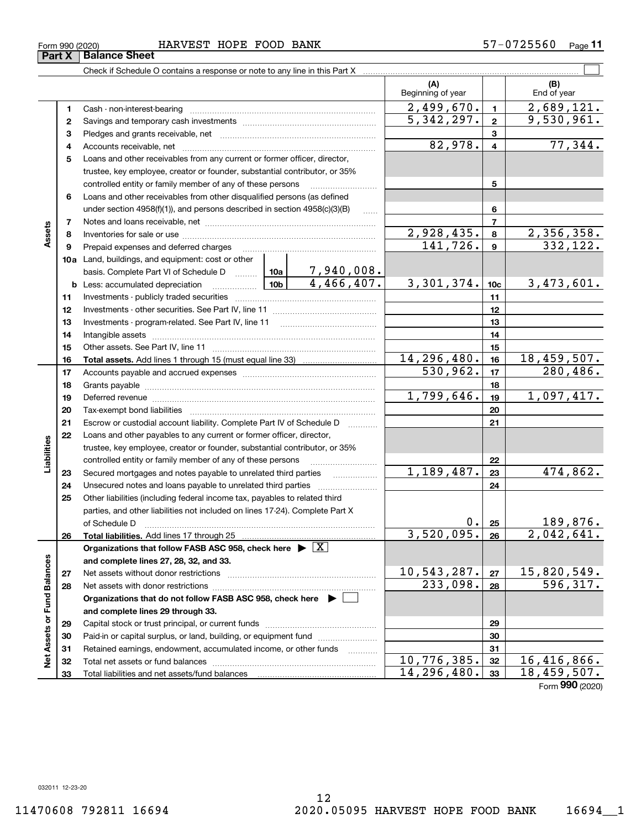#### Form 990 (2020) HARVEST HOPE FOOD BANK 57-0725560 <sub>Page</sub> **Part X Balance Sheet**

|                             |          |                                                                                                                                                                                                                                |            |                 | (A)<br>Beginning of year   |                | (B)<br>End of year             |
|-----------------------------|----------|--------------------------------------------------------------------------------------------------------------------------------------------------------------------------------------------------------------------------------|------------|-----------------|----------------------------|----------------|--------------------------------|
|                             | 1        | Cash - non-interest-bearing                                                                                                                                                                                                    |            |                 | 2,499,670.                 | $\blacksquare$ | 2,689,121.                     |
|                             | 2        |                                                                                                                                                                                                                                |            |                 | $\overline{5,342},297.$    | $\mathbf{2}$   | 9,530,961.                     |
|                             | з        |                                                                                                                                                                                                                                |            |                 |                            | 3              |                                |
|                             | 4        |                                                                                                                                                                                                                                |            |                 | 82,978.                    | 4              | 77,344.                        |
|                             | 5        | Loans and other receivables from any current or former officer, director,                                                                                                                                                      |            |                 |                            |                |                                |
|                             |          | trustee, key employee, creator or founder, substantial contributor, or 35%                                                                                                                                                     |            |                 |                            |                |                                |
|                             |          | controlled entity or family member of any of these persons                                                                                                                                                                     |            |                 |                            | 5              |                                |
|                             | 6        | Loans and other receivables from other disqualified persons (as defined                                                                                                                                                        |            |                 |                            |                |                                |
|                             |          | under section 4958(f)(1)), and persons described in section 4958(c)(3)(B)                                                                                                                                                      |            | 6               |                            |                |                                |
|                             | 7        |                                                                                                                                                                                                                                |            |                 |                            | 7              |                                |
| Assets                      | 8        |                                                                                                                                                                                                                                |            |                 | $\overline{2,928,435}$ .   | 8              | 2,356,358.                     |
|                             | 9        | Prepaid expenses and deferred charges                                                                                                                                                                                          |            |                 | 141,726.                   | $\mathbf{9}$   | 332,122.                       |
|                             |          | <b>10a</b> Land, buildings, and equipment: cost or other                                                                                                                                                                       |            |                 |                            |                |                                |
|                             |          | basis. Complete Part VI of Schedule D    10a   7,940,008.                                                                                                                                                                      |            |                 |                            |                |                                |
|                             |          | $\frac{10b}{4,466,407}$<br><b>b</b> Less: accumulated depreciation                                                                                                                                                             | 3,301,374. | 10 <sub>c</sub> | 3,473,601.                 |                |                                |
|                             | 11       |                                                                                                                                                                                                                                |            | 11              |                            |                |                                |
|                             | 12       |                                                                                                                                                                                                                                |            | 12              |                            |                |                                |
|                             | 13       | Investments - program-related. See Part IV, line 11                                                                                                                                                                            |            | 13              |                            |                |                                |
|                             | 14       |                                                                                                                                                                                                                                |            | 14              |                            |                |                                |
|                             | 15       |                                                                                                                                                                                                                                |            |                 |                            | 15             |                                |
|                             | 16       |                                                                                                                                                                                                                                |            |                 | 14, 296, 480.              | 16             | 18,459,507.                    |
|                             | 17       |                                                                                                                                                                                                                                |            |                 | 530,962.                   | 17             | 280, 486.                      |
|                             | 18       |                                                                                                                                                                                                                                | 1,799,646. | 18              | 1,097,417.                 |                |                                |
|                             | 19       | Deferred revenue material contracts and a contract of the contract of the contract of the contract of the contract of the contract of the contract of the contract of the contract of the contract of the contract of the cont |            | 19<br>20        |                            |                |                                |
|                             | 20<br>21 |                                                                                                                                                                                                                                |            |                 |                            | 21             |                                |
|                             | 22       | Escrow or custodial account liability. Complete Part IV of Schedule D<br>Loans and other payables to any current or former officer, director,                                                                                  |            |                 |                            |                |                                |
| Liabilities                 |          | trustee, key employee, creator or founder, substantial contributor, or 35%                                                                                                                                                     |            |                 |                            |                |                                |
|                             |          | controlled entity or family member of any of these persons                                                                                                                                                                     |            | 22              |                            |                |                                |
|                             | 23       | Secured mortgages and notes payable to unrelated third parties                                                                                                                                                                 |            | .               | 1,189,487.                 | 23             | 474,862.                       |
|                             | 24       | Unsecured notes and loans payable to unrelated third parties                                                                                                                                                                   |            |                 |                            | 24             |                                |
|                             | 25       | Other liabilities (including federal income tax, payables to related third                                                                                                                                                     |            |                 |                            |                |                                |
|                             |          | parties, and other liabilities not included on lines 17-24). Complete Part X                                                                                                                                                   |            |                 |                            |                |                                |
|                             |          | of Schedule D                                                                                                                                                                                                                  |            |                 | 0.                         | 25             | 189,876.                       |
|                             | 26       | Total liabilities. Add lines 17 through 25                                                                                                                                                                                     |            |                 | 3,520,095.                 | 26             | $\overline{2,042,641}$ .       |
|                             |          | Organizations that follow FASB ASC 958, check here $\overline{\triangleright \big[ \overline{X} \big]}$                                                                                                                        |            |                 |                            |                |                                |
|                             |          | and complete lines 27, 28, 32, and 33.                                                                                                                                                                                         |            |                 |                            |                |                                |
|                             | 27       | Net assets without donor restrictions                                                                                                                                                                                          |            |                 | 10,543,287.                | 27             | $\frac{15,820,549.}{596,317.}$ |
|                             | 28       | Net assets with donor restrictions                                                                                                                                                                                             |            |                 | 233,098.                   | 28             |                                |
|                             |          | Organizations that do not follow FASB ASC 958, check here $\blacktriangleright$                                                                                                                                                |            |                 |                            |                |                                |
|                             |          | and complete lines 29 through 33.                                                                                                                                                                                              |            | 29              |                            |                |                                |
| Net Assets or Fund Balances | 29       |                                                                                                                                                                                                                                |            |                 |                            |                |                                |
|                             | 30       | Paid-in or capital surplus, or land, building, or equipment fund                                                                                                                                                               |            |                 |                            | 30             |                                |
|                             | 31       | Retained earnings, endowment, accumulated income, or other funds                                                                                                                                                               |            |                 |                            | 31             |                                |
|                             | 32       | Total net assets or fund balances                                                                                                                                                                                              |            |                 | 10,776,385.<br>14,296,480. | 32             | 16,416,866.<br>18,459,507.     |
|                             | 33       |                                                                                                                                                                                                                                |            |                 |                            | 33             |                                |

Check if Schedule O contains a response or note to any line in this Part X

 $\mathcal{L}^{\text{max}}$ 

Form (2020) **990**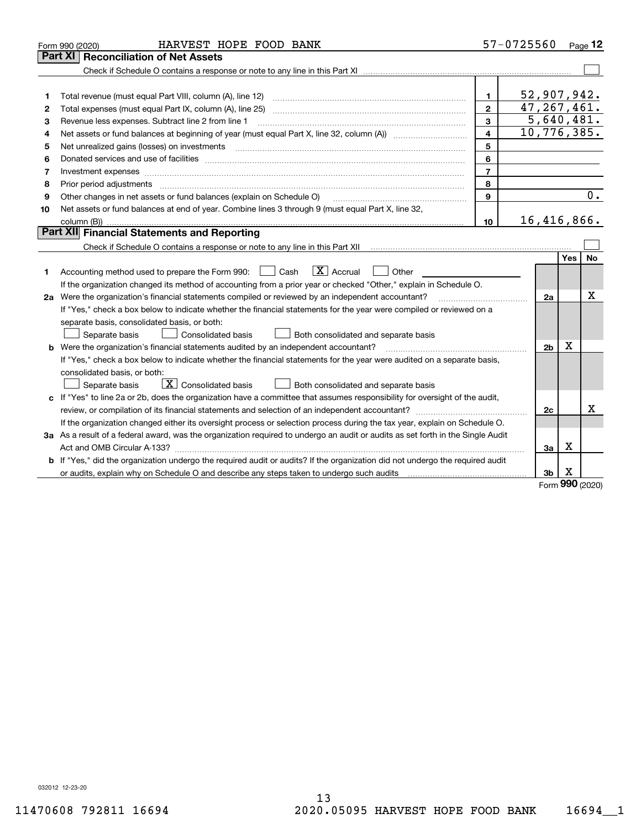|    | HARVEST HOPE FOOD BANK<br>Form 990 (2020)                                                                                       |                | 57-0725560     |                 | Page 12 |
|----|---------------------------------------------------------------------------------------------------------------------------------|----------------|----------------|-----------------|---------|
|    | Part XI<br><b>Reconciliation of Net Assets</b>                                                                                  |                |                |                 |         |
|    |                                                                                                                                 |                |                |                 |         |
|    |                                                                                                                                 |                |                |                 |         |
| 1  |                                                                                                                                 | $\mathbf{1}$   | 52,907,942.    |                 |         |
| 2  |                                                                                                                                 | $\overline{2}$ | 47, 267, 461.  |                 |         |
| 3  | Revenue less expenses. Subtract line 2 from line 1                                                                              | $\mathbf{3}$   | 5,640,481.     |                 |         |
| 4  |                                                                                                                                 | 4              | 10,776,385.    |                 |         |
| 5  | Net unrealized gains (losses) on investments                                                                                    | 5              |                |                 |         |
| 6  |                                                                                                                                 | 6              |                |                 |         |
| 7  | Investment expenses                                                                                                             | $\overline{7}$ |                |                 |         |
| 8  |                                                                                                                                 | 8              |                |                 |         |
| 9  | Other changes in net assets or fund balances (explain on Schedule O)                                                            | 9              |                |                 | 0.      |
| 10 | Net assets or fund balances at end of year. Combine lines 3 through 9 (must equal Part X, line 32,                              |                |                |                 |         |
|    |                                                                                                                                 | 10             | 16,416,866.    |                 |         |
|    | <b>Part XII</b> Financial Statements and Reporting                                                                              |                |                |                 |         |
|    | Check if Schedule O contains a response or note to any line in this Part XII munder in the subsequent of the U                  |                |                |                 |         |
|    |                                                                                                                                 |                |                | Yes             | No      |
| 1  | $\boxed{\text{X}}$ Accrual<br>Accounting method used to prepare the Form 990: <u>I</u> Cash<br>Other                            |                |                |                 |         |
|    | If the organization changed its method of accounting from a prior year or checked "Other," explain in Schedule O.               |                |                |                 |         |
|    | 2a Were the organization's financial statements compiled or reviewed by an independent accountant?                              |                | 2a             |                 | x       |
|    | If "Yes," check a box below to indicate whether the financial statements for the year were compiled or reviewed on a            |                |                |                 |         |
|    | separate basis, consolidated basis, or both:                                                                                    |                |                |                 |         |
|    | Both consolidated and separate basis<br>Separate basis<br>Consolidated basis                                                    |                |                |                 |         |
|    | <b>b</b> Were the organization's financial statements audited by an independent accountant?                                     |                | 2 <sub>b</sub> | X               |         |
|    | If "Yes," check a box below to indicate whether the financial statements for the year were audited on a separate basis,         |                |                |                 |         |
|    | consolidated basis, or both:                                                                                                    |                |                |                 |         |
|    | $\boxed{\textbf{X}}$ Consolidated basis<br>Separate basis<br>Both consolidated and separate basis                               |                |                |                 |         |
|    | c If "Yes" to line 2a or 2b, does the organization have a committee that assumes responsibility for oversight of the audit,     |                |                |                 |         |
|    |                                                                                                                                 |                | 2c             |                 | X       |
|    | If the organization changed either its oversight process or selection process during the tax year, explain on Schedule O.       |                |                |                 |         |
|    | 3a As a result of a federal award, was the organization required to undergo an audit or audits as set forth in the Single Audit |                |                |                 |         |
|    |                                                                                                                                 |                | За             | x               |         |
|    | b If "Yes," did the organization undergo the required audit or audits? If the organization did not undergo the required audit   |                |                |                 |         |
|    | or audits, explain why on Schedule O and describe any steps taken to undergo such audits [11] content to under                  |                | 3 <sub>b</sub> | х<br><u>nuu</u> |         |

Form (2020) **990**

032012 12-23-20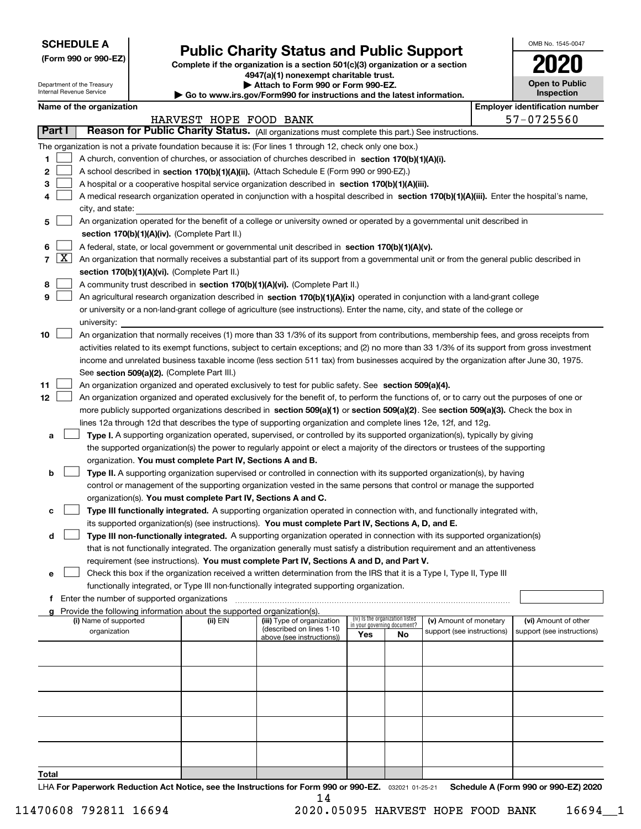| <b>SCHEDULE A</b> |
|-------------------|
|-------------------|

Department of the Treasury Internal Revenue Service

**(Form 990 or 990-EZ)**

## **Public Charity Status and Public Support**

**Complete if the organization is a section 501(c)(3) organization or a section 4947(a)(1) nonexempt charitable trust.**

**| Attach to Form 990 or Form 990-EZ.** 

**| Go to www.irs.gov/Form990 for instructions and the latest information.**

| OMB No. 1545-0047                     |
|---------------------------------------|
| 2020                                  |
| <b>Open to Public</b><br>Inspection   |
| <b>Employer identification number</b> |

|                |                     | name or the organization                                                                                                                                                                                                                                                         |                        |                                                        |                             |                                 |                                                      | <b>_</b> _________________________________         |  |
|----------------|---------------------|----------------------------------------------------------------------------------------------------------------------------------------------------------------------------------------------------------------------------------------------------------------------------------|------------------------|--------------------------------------------------------|-----------------------------|---------------------------------|------------------------------------------------------|----------------------------------------------------|--|
|                |                     |                                                                                                                                                                                                                                                                                  | HARVEST HOPE FOOD BANK |                                                        |                             |                                 |                                                      | 57-0725560                                         |  |
|                | Part I              | Reason for Public Charity Status. (All organizations must complete this part.) See instructions.                                                                                                                                                                                 |                        |                                                        |                             |                                 |                                                      |                                                    |  |
|                |                     | The organization is not a private foundation because it is: (For lines 1 through 12, check only one box.)                                                                                                                                                                        |                        |                                                        |                             |                                 |                                                      |                                                    |  |
| 1              |                     | A church, convention of churches, or association of churches described in section 170(b)(1)(A)(i).                                                                                                                                                                               |                        |                                                        |                             |                                 |                                                      |                                                    |  |
| 2              |                     | A school described in section 170(b)(1)(A)(ii). (Attach Schedule E (Form 990 or 990-EZ).)                                                                                                                                                                                        |                        |                                                        |                             |                                 |                                                      |                                                    |  |
| 3              |                     | A hospital or a cooperative hospital service organization described in section 170(b)(1)(A)(iii).                                                                                                                                                                                |                        |                                                        |                             |                                 |                                                      |                                                    |  |
| 4              |                     | A medical research organization operated in conjunction with a hospital described in section 170(b)(1)(A)(iii). Enter the hospital's name,                                                                                                                                       |                        |                                                        |                             |                                 |                                                      |                                                    |  |
|                |                     | city, and state:                                                                                                                                                                                                                                                                 |                        |                                                        |                             |                                 |                                                      |                                                    |  |
| 5              |                     | An organization operated for the benefit of a college or university owned or operated by a governmental unit described in                                                                                                                                                        |                        |                                                        |                             |                                 |                                                      |                                                    |  |
|                |                     | section 170(b)(1)(A)(iv). (Complete Part II.)                                                                                                                                                                                                                                    |                        |                                                        |                             |                                 |                                                      |                                                    |  |
| 6              |                     | A federal, state, or local government or governmental unit described in section 170(b)(1)(A)(v).                                                                                                                                                                                 |                        |                                                        |                             |                                 |                                                      |                                                    |  |
| $\overline{7}$ | $\lfloor x \rfloor$ | An organization that normally receives a substantial part of its support from a governmental unit or from the general public described in                                                                                                                                        |                        |                                                        |                             |                                 |                                                      |                                                    |  |
|                |                     | section 170(b)(1)(A)(vi). (Complete Part II.)                                                                                                                                                                                                                                    |                        |                                                        |                             |                                 |                                                      |                                                    |  |
| 8              |                     | A community trust described in section 170(b)(1)(A)(vi). (Complete Part II.)                                                                                                                                                                                                     |                        |                                                        |                             |                                 |                                                      |                                                    |  |
| 9              |                     | An agricultural research organization described in section 170(b)(1)(A)(ix) operated in conjunction with a land-grant college                                                                                                                                                    |                        |                                                        |                             |                                 |                                                      |                                                    |  |
|                |                     | or university or a non-land-grant college of agriculture (see instructions). Enter the name, city, and state of the college or                                                                                                                                                   |                        |                                                        |                             |                                 |                                                      |                                                    |  |
|                |                     | university:                                                                                                                                                                                                                                                                      |                        |                                                        |                             |                                 |                                                      |                                                    |  |
| 10             |                     | An organization that normally receives (1) more than 33 1/3% of its support from contributions, membership fees, and gross receipts from                                                                                                                                         |                        |                                                        |                             |                                 |                                                      |                                                    |  |
|                |                     | activities related to its exempt functions, subject to certain exceptions; and (2) no more than 33 1/3% of its support from gross investment                                                                                                                                     |                        |                                                        |                             |                                 |                                                      |                                                    |  |
|                |                     | income and unrelated business taxable income (less section 511 tax) from businesses acquired by the organization after June 30, 1975.                                                                                                                                            |                        |                                                        |                             |                                 |                                                      |                                                    |  |
|                |                     | See section 509(a)(2). (Complete Part III.)                                                                                                                                                                                                                                      |                        |                                                        |                             |                                 |                                                      |                                                    |  |
| 11             |                     | An organization organized and operated exclusively to test for public safety. See section 509(a)(4).                                                                                                                                                                             |                        |                                                        |                             |                                 |                                                      |                                                    |  |
|                |                     |                                                                                                                                                                                                                                                                                  |                        |                                                        |                             |                                 |                                                      |                                                    |  |
| 12             |                     | An organization organized and operated exclusively for the benefit of, to perform the functions of, or to carry out the purposes of one or<br>more publicly supported organizations described in section 509(a)(1) or section 509(a)(2). See section 509(a)(3). Check the box in |                        |                                                        |                             |                                 |                                                      |                                                    |  |
|                |                     |                                                                                                                                                                                                                                                                                  |                        |                                                        |                             |                                 |                                                      |                                                    |  |
|                |                     | lines 12a through 12d that describes the type of supporting organization and complete lines 12e, 12f, and 12g.                                                                                                                                                                   |                        |                                                        |                             |                                 |                                                      |                                                    |  |
| а              |                     | Type I. A supporting organization operated, supervised, or controlled by its supported organization(s), typically by giving                                                                                                                                                      |                        |                                                        |                             |                                 |                                                      |                                                    |  |
|                |                     | the supported organization(s) the power to regularly appoint or elect a majority of the directors or trustees of the supporting                                                                                                                                                  |                        |                                                        |                             |                                 |                                                      |                                                    |  |
|                |                     | organization. You must complete Part IV, Sections A and B.                                                                                                                                                                                                                       |                        |                                                        |                             |                                 |                                                      |                                                    |  |
| b              |                     | Type II. A supporting organization supervised or controlled in connection with its supported organization(s), by having                                                                                                                                                          |                        |                                                        |                             |                                 |                                                      |                                                    |  |
|                |                     | control or management of the supporting organization vested in the same persons that control or manage the supported                                                                                                                                                             |                        |                                                        |                             |                                 |                                                      |                                                    |  |
|                |                     | organization(s). You must complete Part IV, Sections A and C.                                                                                                                                                                                                                    |                        |                                                        |                             |                                 |                                                      |                                                    |  |
| c              |                     | Type III functionally integrated. A supporting organization operated in connection with, and functionally integrated with,                                                                                                                                                       |                        |                                                        |                             |                                 |                                                      |                                                    |  |
|                |                     | its supported organization(s) (see instructions). You must complete Part IV, Sections A, D, and E.                                                                                                                                                                               |                        |                                                        |                             |                                 |                                                      |                                                    |  |
| d              |                     | Type III non-functionally integrated. A supporting organization operated in connection with its supported organization(s)                                                                                                                                                        |                        |                                                        |                             |                                 |                                                      |                                                    |  |
|                |                     | that is not functionally integrated. The organization generally must satisfy a distribution requirement and an attentiveness                                                                                                                                                     |                        |                                                        |                             |                                 |                                                      |                                                    |  |
|                |                     | requirement (see instructions). You must complete Part IV, Sections A and D, and Part V.                                                                                                                                                                                         |                        |                                                        |                             |                                 |                                                      |                                                    |  |
| е              |                     | Check this box if the organization received a written determination from the IRS that it is a Type I, Type II, Type III                                                                                                                                                          |                        |                                                        |                             |                                 |                                                      |                                                    |  |
|                |                     | functionally integrated, or Type III non-functionally integrated supporting organization.                                                                                                                                                                                        |                        |                                                        |                             |                                 |                                                      |                                                    |  |
|                |                     | Enter the number of supported organizations                                                                                                                                                                                                                                      |                        |                                                        |                             |                                 |                                                      |                                                    |  |
|                |                     | Provide the following information about the supported organization(s).                                                                                                                                                                                                           |                        |                                                        |                             | (iv) Is the organization listed |                                                      |                                                    |  |
|                |                     | (i) Name of supported<br>organization                                                                                                                                                                                                                                            | (ii) EIN               | (iii) Type of organization<br>(described on lines 1-10 | in your governing document? |                                 | (v) Amount of monetary<br>support (see instructions) | (vi) Amount of other<br>support (see instructions) |  |
|                |                     |                                                                                                                                                                                                                                                                                  |                        | above (see instructions))                              | Yes                         | No                              |                                                      |                                                    |  |
|                |                     |                                                                                                                                                                                                                                                                                  |                        |                                                        |                             |                                 |                                                      |                                                    |  |
|                |                     |                                                                                                                                                                                                                                                                                  |                        |                                                        |                             |                                 |                                                      |                                                    |  |
|                |                     |                                                                                                                                                                                                                                                                                  |                        |                                                        |                             |                                 |                                                      |                                                    |  |
|                |                     |                                                                                                                                                                                                                                                                                  |                        |                                                        |                             |                                 |                                                      |                                                    |  |
|                |                     |                                                                                                                                                                                                                                                                                  |                        |                                                        |                             |                                 |                                                      |                                                    |  |
|                |                     |                                                                                                                                                                                                                                                                                  |                        |                                                        |                             |                                 |                                                      |                                                    |  |
|                |                     |                                                                                                                                                                                                                                                                                  |                        |                                                        |                             |                                 |                                                      |                                                    |  |
|                |                     |                                                                                                                                                                                                                                                                                  |                        |                                                        |                             |                                 |                                                      |                                                    |  |
|                |                     |                                                                                                                                                                                                                                                                                  |                        |                                                        |                             |                                 |                                                      |                                                    |  |
|                |                     |                                                                                                                                                                                                                                                                                  |                        |                                                        |                             |                                 |                                                      |                                                    |  |
| Total          |                     |                                                                                                                                                                                                                                                                                  |                        |                                                        |                             |                                 |                                                      |                                                    |  |

LHA For Paperwork Reduction Act Notice, see the Instructions for Form 990 or 990-EZ. <sub>032021</sub> o1-25-21 Schedule A (Form 990 or 990-EZ) 2020 14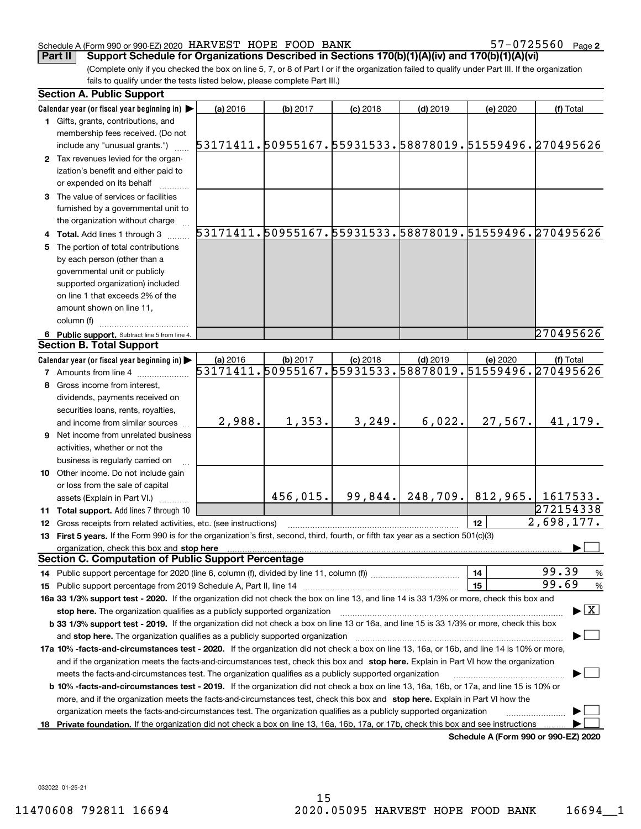57-0725560 Page 2

(Complete only if you checked the box on line 5, 7, or 8 of Part I or if the organization failed to qualify under Part III. If the organization fails to qualify under the tests listed below, please complete Part III.) **Part II Support Schedule for Organizations Described in Sections 170(b)(1)(A)(iv) and 170(b)(1)(A)(vi)**

|   | <b>Section A. Public Support</b>                                                                                                               |          |          |            |            |          |                                                        |
|---|------------------------------------------------------------------------------------------------------------------------------------------------|----------|----------|------------|------------|----------|--------------------------------------------------------|
|   | Calendar year (or fiscal year beginning in)                                                                                                    | (a) 2016 | (b) 2017 | $(c)$ 2018 | $(d)$ 2019 | (e) 2020 | (f) Total                                              |
|   | 1 Gifts, grants, contributions, and                                                                                                            |          |          |            |            |          |                                                        |
|   | membership fees received. (Do not                                                                                                              |          |          |            |            |          |                                                        |
|   | include any "unusual grants.")                                                                                                                 |          |          |            |            |          | 53171411.50955167.55931533.58878019.51559496.270495626 |
|   | 2 Tax revenues levied for the organ-                                                                                                           |          |          |            |            |          |                                                        |
|   | ization's benefit and either paid to                                                                                                           |          |          |            |            |          |                                                        |
|   | or expended on its behalf                                                                                                                      |          |          |            |            |          |                                                        |
|   | 3 The value of services or facilities                                                                                                          |          |          |            |            |          |                                                        |
|   | furnished by a governmental unit to                                                                                                            |          |          |            |            |          |                                                        |
|   | the organization without charge                                                                                                                |          |          |            |            |          |                                                        |
|   | 4 Total. Add lines 1 through 3                                                                                                                 |          |          |            |            |          | 53171411.50955167.55931533.58878019.51559496.270495626 |
|   | 5 The portion of total contributions                                                                                                           |          |          |            |            |          |                                                        |
|   | by each person (other than a                                                                                                                   |          |          |            |            |          |                                                        |
|   | governmental unit or publicly                                                                                                                  |          |          |            |            |          |                                                        |
|   | supported organization) included                                                                                                               |          |          |            |            |          |                                                        |
|   | on line 1 that exceeds 2% of the                                                                                                               |          |          |            |            |          |                                                        |
|   | amount shown on line 11,                                                                                                                       |          |          |            |            |          |                                                        |
|   | column (f)                                                                                                                                     |          |          |            |            |          |                                                        |
|   | 6 Public support. Subtract line 5 from line 4.                                                                                                 |          |          |            |            |          | 270495626                                              |
|   | <b>Section B. Total Support</b>                                                                                                                |          |          |            |            |          |                                                        |
|   | Calendar year (or fiscal year beginning in)                                                                                                    | (a) 2016 | (b) 2017 | $(c)$ 2018 | $(d)$ 2019 | (e) 2020 | (f) Total                                              |
|   | <b>7</b> Amounts from line 4                                                                                                                   |          |          |            |            |          | 53171411.50955167.55931533.58878019.51559496.270495626 |
| 8 | Gross income from interest,                                                                                                                    |          |          |            |            |          |                                                        |
|   | dividends, payments received on                                                                                                                |          |          |            |            |          |                                                        |
|   | securities loans, rents, royalties,                                                                                                            |          |          |            |            |          |                                                        |
|   | and income from similar sources                                                                                                                | 2,988.   | 1,353.   | 3, 249.    | 6,022.     | 27,567.  | 41, 179.                                               |
|   | <b>9</b> Net income from unrelated business                                                                                                    |          |          |            |            |          |                                                        |
|   | activities, whether or not the                                                                                                                 |          |          |            |            |          |                                                        |
|   | business is regularly carried on                                                                                                               |          |          |            |            |          |                                                        |
|   | 10 Other income. Do not include gain                                                                                                           |          |          |            |            |          |                                                        |
|   | or loss from the sale of capital                                                                                                               |          |          |            |            |          |                                                        |
|   | assets (Explain in Part VI.)                                                                                                                   |          | 456,015. |            |            |          | $99,844.$ 248, 709. 812, 965. 1617533.                 |
|   | 11 Total support. Add lines 7 through 10                                                                                                       |          |          |            |            |          | 272154338                                              |
|   | 12 Gross receipts from related activities, etc. (see instructions)                                                                             |          |          |            |            | 12       | 2,698,177.                                             |
|   | 13 First 5 years. If the Form 990 is for the organization's first, second, third, fourth, or fifth tax year as a section 501(c)(3)             |          |          |            |            |          |                                                        |
|   | organization, check this box and stop here                                                                                                     |          |          |            |            |          |                                                        |
|   | <b>Section C. Computation of Public Support Percentage</b>                                                                                     |          |          |            |            |          |                                                        |
|   |                                                                                                                                                |          |          |            |            | 14       | 99.39<br>$\frac{9}{6}$                                 |
|   |                                                                                                                                                |          |          |            |            | 15       | 99.69<br>%                                             |
|   | 16a 33 1/3% support test - 2020. If the organization did not check the box on line 13, and line 14 is 33 1/3% or more, check this box and      |          |          |            |            |          |                                                        |
|   | stop here. The organization qualifies as a publicly supported organization                                                                     |          |          |            |            |          | $\blacktriangleright$ $\vert$ X $\vert$                |
|   | b 33 1/3% support test - 2019. If the organization did not check a box on line 13 or 16a, and line 15 is 33 1/3% or more, check this box       |          |          |            |            |          |                                                        |
|   | and stop here. The organization qualifies as a publicly supported organization                                                                 |          |          |            |            |          |                                                        |
|   | 17a 10% -facts-and-circumstances test - 2020. If the organization did not check a box on line 13, 16a, or 16b, and line 14 is 10% or more,     |          |          |            |            |          |                                                        |
|   | and if the organization meets the facts-and-circumstances test, check this box and stop here. Explain in Part VI how the organization          |          |          |            |            |          |                                                        |
|   | meets the facts-and-circumstances test. The organization qualifies as a publicly supported organization                                        |          |          |            |            |          |                                                        |
|   | <b>b 10% -facts-and-circumstances test - 2019.</b> If the organization did not check a box on line 13, 16a, 16b, or 17a, and line 15 is 10% or |          |          |            |            |          |                                                        |
|   | more, and if the organization meets the facts-and-circumstances test, check this box and stop here. Explain in Part VI how the                 |          |          |            |            |          |                                                        |
|   | organization meets the facts-and-circumstances test. The organization qualifies as a publicly supported organization                           |          |          |            |            |          |                                                        |
|   | 18 Private foundation. If the organization did not check a box on line 13, 16a, 16b, 17a, or 17b, check this box and see instructions          |          |          |            |            |          |                                                        |
|   |                                                                                                                                                |          |          |            |            |          | Schedule A (Form 990 or 990-EZ) 2020                   |

**Schedule A (Form 990 or 990-EZ) 2020**

032022 01-25-21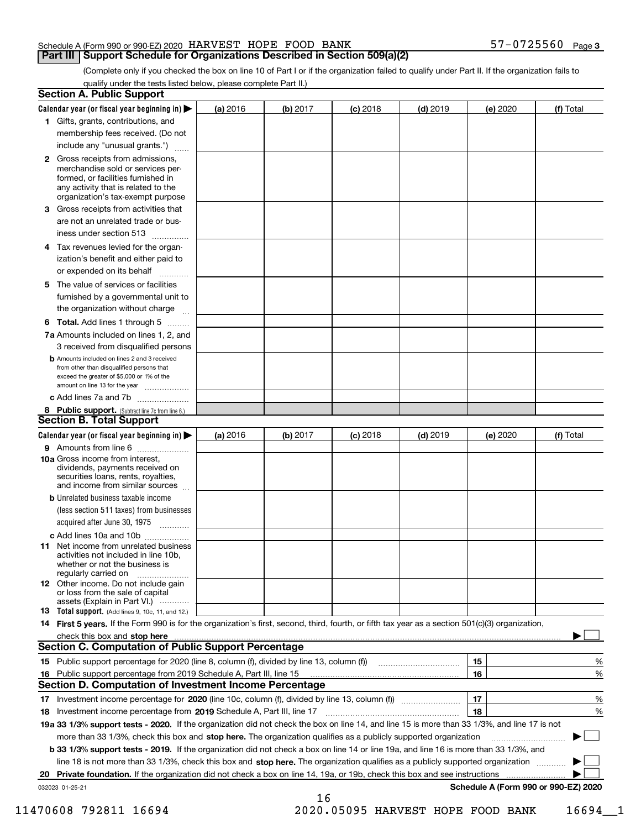### **Part III Support Schedule for Organizations Described in Section 509(a)(2)**

(Complete only if you checked the box on line 10 of Part I or if the organization failed to qualify under Part II. If the organization fails to qualify under the tests listed below, please complete Part II.)

| <b>Section A. Public Support</b>                                                                                                                                                                                                     |          |          |            |            |          |                                      |
|--------------------------------------------------------------------------------------------------------------------------------------------------------------------------------------------------------------------------------------|----------|----------|------------|------------|----------|--------------------------------------|
| Calendar year (or fiscal year beginning in) $\blacktriangleright$                                                                                                                                                                    | (a) 2016 | (b) 2017 | $(c)$ 2018 | $(d)$ 2019 | (e) 2020 | (f) Total                            |
| 1 Gifts, grants, contributions, and                                                                                                                                                                                                  |          |          |            |            |          |                                      |
| membership fees received. (Do not                                                                                                                                                                                                    |          |          |            |            |          |                                      |
| include any "unusual grants.")                                                                                                                                                                                                       |          |          |            |            |          |                                      |
| 2 Gross receipts from admissions,<br>merchandise sold or services per-<br>formed, or facilities furnished in<br>any activity that is related to the<br>organization's tax-exempt purpose                                             |          |          |            |            |          |                                      |
| 3 Gross receipts from activities that<br>are not an unrelated trade or bus-                                                                                                                                                          |          |          |            |            |          |                                      |
| iness under section 513                                                                                                                                                                                                              |          |          |            |            |          |                                      |
| 4 Tax revenues levied for the organ-<br>ization's benefit and either paid to<br>or expended on its behalf<br>.                                                                                                                       |          |          |            |            |          |                                      |
| 5 The value of services or facilities<br>furnished by a governmental unit to<br>the organization without charge                                                                                                                      |          |          |            |            |          |                                      |
| <b>6 Total.</b> Add lines 1 through 5                                                                                                                                                                                                |          |          |            |            |          |                                      |
| 7a Amounts included on lines 1, 2, and<br>3 received from disqualified persons                                                                                                                                                       |          |          |            |            |          |                                      |
| <b>b</b> Amounts included on lines 2 and 3 received<br>from other than disqualified persons that<br>exceed the greater of \$5,000 or 1% of the<br>amount on line 13 for the year                                                     |          |          |            |            |          |                                      |
| c Add lines 7a and 7b                                                                                                                                                                                                                |          |          |            |            |          |                                      |
| 8 Public support. (Subtract line 7c from line 6.)                                                                                                                                                                                    |          |          |            |            |          |                                      |
| <b>Section B. Total Support</b>                                                                                                                                                                                                      |          |          |            |            |          |                                      |
| Calendar year (or fiscal year beginning in) $\blacktriangleright$                                                                                                                                                                    | (a) 2016 | (b) 2017 | $(c)$ 2018 | $(d)$ 2019 | (e) 2020 | (f) Total                            |
| 9 Amounts from line 6                                                                                                                                                                                                                |          |          |            |            |          |                                      |
| 10a Gross income from interest,<br>dividends, payments received on<br>securities loans, rents, royalties,<br>and income from similar sources                                                                                         |          |          |            |            |          |                                      |
| <b>b</b> Unrelated business taxable income<br>(less section 511 taxes) from businesses<br>acquired after June 30, 1975<br>1.1.1.1.1.1.1.1.1.1                                                                                        |          |          |            |            |          |                                      |
| c Add lines 10a and 10b                                                                                                                                                                                                              |          |          |            |            |          |                                      |
| <b>11</b> Net income from unrelated business<br>activities not included in line 10b.<br>whether or not the business is<br>regularly carried on                                                                                       |          |          |            |            |          |                                      |
| <b>12</b> Other income. Do not include gain<br>or loss from the sale of capital<br>assets (Explain in Part VI.)                                                                                                                      |          |          |            |            |          |                                      |
| <b>13</b> Total support. (Add lines 9, 10c, 11, and 12.)                                                                                                                                                                             |          |          |            |            |          |                                      |
| 14 First 5 years. If the Form 990 is for the organization's first, second, third, fourth, or fifth tax year as a section 501(c)(3) organization,                                                                                     |          |          |            |            |          |                                      |
| check this box and stop here <b>contractly contractly and structure and structure of the structure of the structure of the structure of the structure of the structure of the structure of the structure of the structure of the</b> |          |          |            |            |          |                                      |
| <b>Section C. Computation of Public Support Percentage</b>                                                                                                                                                                           |          |          |            |            |          |                                      |
|                                                                                                                                                                                                                                      |          |          |            |            | 15       | %                                    |
| 16 Public support percentage from 2019 Schedule A, Part III, line 15                                                                                                                                                                 |          |          |            |            | 16       | %                                    |
| <b>Section D. Computation of Investment Income Percentage</b>                                                                                                                                                                        |          |          |            |            |          |                                      |
| 17 Investment income percentage for 2020 (line 10c, column (f), divided by line 13, column (f))                                                                                                                                      |          |          |            |            | 17       | %                                    |
| 18 Investment income percentage from 2019 Schedule A, Part III, line 17                                                                                                                                                              |          |          |            |            | 18       | %                                    |
| 19a 33 1/3% support tests - 2020. If the organization did not check the box on line 14, and line 15 is more than 33 1/3%, and line 17 is not                                                                                         |          |          |            |            |          |                                      |
| more than 33 1/3%, check this box and stop here. The organization qualifies as a publicly supported organization                                                                                                                     |          |          |            |            |          |                                      |
| b 33 1/3% support tests - 2019. If the organization did not check a box on line 14 or line 19a, and line 16 is more than 33 1/3%, and                                                                                                |          |          |            |            |          |                                      |
| line 18 is not more than 33 1/3%, check this box and stop here. The organization qualifies as a publicly supported organization                                                                                                      |          |          |            |            |          |                                      |
| 20 Private foundation. If the organization did not check a box on line 14, 19a, or 19b, check this box and see instructions                                                                                                          |          |          |            |            |          | .                                    |
| 032023 01-25-21                                                                                                                                                                                                                      |          | 16       |            |            |          | Schedule A (Form 990 or 990-EZ) 2020 |

11470608 792811 16694 2020.05095 HARVEST HOPE FOOD BANK 16694\_\_1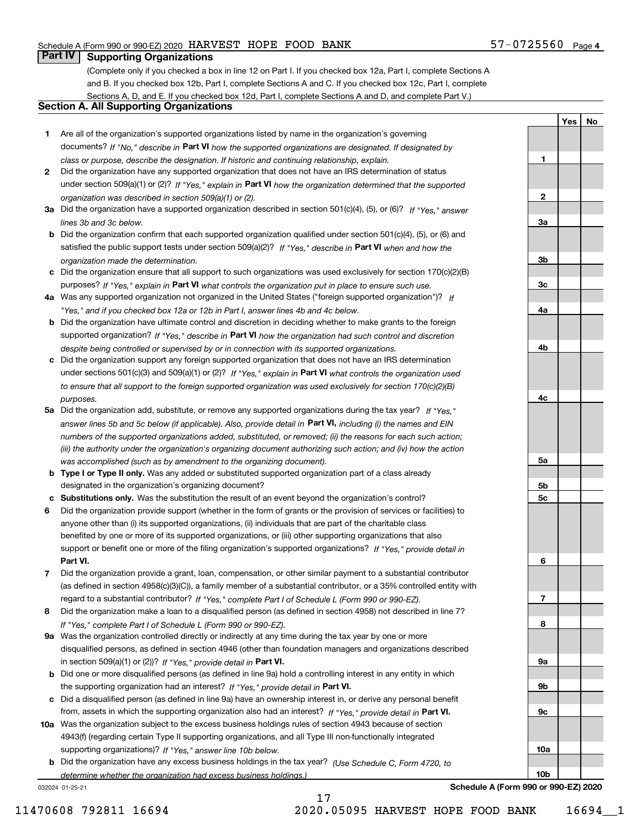#### 57-0725560 Page 4

**1**

**YesNo**

### **Part IV Supporting Organizations**

(Complete only if you checked a box in line 12 on Part I. If you checked box 12a, Part I, complete Sections A and B. If you checked box 12b, Part I, complete Sections A and C. If you checked box 12c, Part I, complete Sections A, D, and E. If you checked box 12d, Part I, complete Sections A and D, and complete Part V.)

#### **Section A. All Supporting Organizations**

- **1** Are all of the organization's supported organizations listed by name in the organization's governing documents? If "No," describe in **Part VI** how the supported organizations are designated. If designated by *class or purpose, describe the designation. If historic and continuing relationship, explain.*
- **2** Did the organization have any supported organization that does not have an IRS determination of status under section 509(a)(1) or (2)? If "Yes," explain in Part VI how the organization determined that the supported *organization was described in section 509(a)(1) or (2).*
- **3a** Did the organization have a supported organization described in section 501(c)(4), (5), or (6)? If "Yes," answer *lines 3b and 3c below.*
- **b** Did the organization confirm that each supported organization qualified under section 501(c)(4), (5), or (6) and satisfied the public support tests under section 509(a)(2)? If "Yes," describe in **Part VI** when and how the *organization made the determination.*
- **c**Did the organization ensure that all support to such organizations was used exclusively for section 170(c)(2)(B) purposes? If "Yes," explain in **Part VI** what controls the organization put in place to ensure such use.
- **4a***If* Was any supported organization not organized in the United States ("foreign supported organization")? *"Yes," and if you checked box 12a or 12b in Part I, answer lines 4b and 4c below.*
- **b** Did the organization have ultimate control and discretion in deciding whether to make grants to the foreign supported organization? If "Yes," describe in **Part VI** how the organization had such control and discretion *despite being controlled or supervised by or in connection with its supported organizations.*
- **c** Did the organization support any foreign supported organization that does not have an IRS determination under sections 501(c)(3) and 509(a)(1) or (2)? If "Yes," explain in **Part VI** what controls the organization used *to ensure that all support to the foreign supported organization was used exclusively for section 170(c)(2)(B) purposes.*
- **5a** Did the organization add, substitute, or remove any supported organizations during the tax year? If "Yes," answer lines 5b and 5c below (if applicable). Also, provide detail in **Part VI,** including (i) the names and EIN *numbers of the supported organizations added, substituted, or removed; (ii) the reasons for each such action; (iii) the authority under the organization's organizing document authorizing such action; and (iv) how the action was accomplished (such as by amendment to the organizing document).*
- **b** Type I or Type II only. Was any added or substituted supported organization part of a class already designated in the organization's organizing document?
- **cSubstitutions only.**  Was the substitution the result of an event beyond the organization's control?
- **6** Did the organization provide support (whether in the form of grants or the provision of services or facilities) to **Part VI.** *If "Yes," provide detail in* support or benefit one or more of the filing organization's supported organizations? anyone other than (i) its supported organizations, (ii) individuals that are part of the charitable class benefited by one or more of its supported organizations, or (iii) other supporting organizations that also
- **7**Did the organization provide a grant, loan, compensation, or other similar payment to a substantial contributor *If "Yes," complete Part I of Schedule L (Form 990 or 990-EZ).* regard to a substantial contributor? (as defined in section 4958(c)(3)(C)), a family member of a substantial contributor, or a 35% controlled entity with
- **8** Did the organization make a loan to a disqualified person (as defined in section 4958) not described in line 7? *If "Yes," complete Part I of Schedule L (Form 990 or 990-EZ).*
- **9a** Was the organization controlled directly or indirectly at any time during the tax year by one or more in section 509(a)(1) or (2))? If "Yes," *provide detail in* <code>Part VI.</code> disqualified persons, as defined in section 4946 (other than foundation managers and organizations described
- **b** Did one or more disqualified persons (as defined in line 9a) hold a controlling interest in any entity in which the supporting organization had an interest? If "Yes," provide detail in P**art VI**.
- **c**Did a disqualified person (as defined in line 9a) have an ownership interest in, or derive any personal benefit from, assets in which the supporting organization also had an interest? If "Yes," provide detail in P**art VI.**
- **10a** Was the organization subject to the excess business holdings rules of section 4943 because of section supporting organizations)? If "Yes," answer line 10b below. 4943(f) (regarding certain Type II supporting organizations, and all Type III non-functionally integrated
- **b** Did the organization have any excess business holdings in the tax year? (Use Schedule C, Form 4720, to *determine whether the organization had excess business holdings.)*

17

032024 01-25-21

**23a3b3c4a4b4c5a 5b5c6789a 9b9c10a10b**

**Schedule A (Form 990 or 990-EZ) 2020**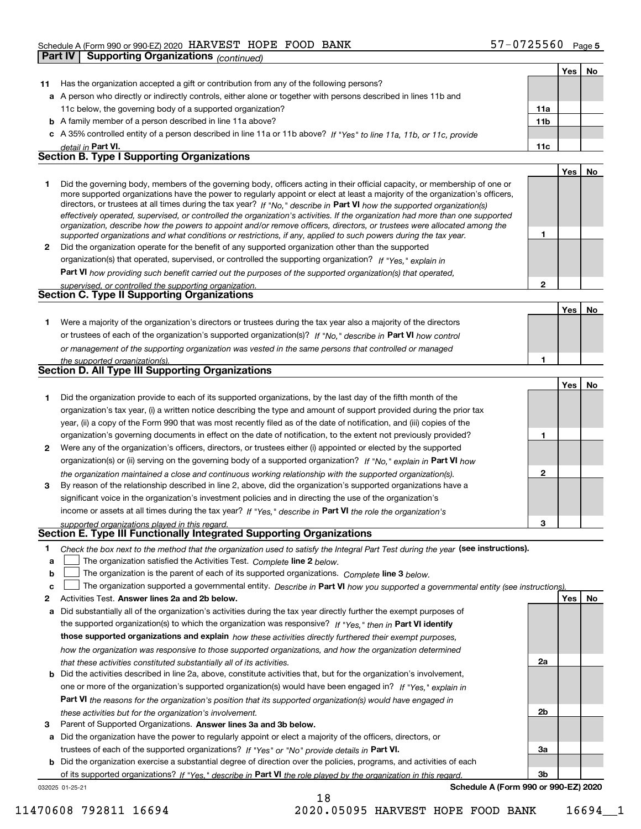|         | <b>Supporting Organizations (continued)</b><br>Part IV                                                                                                                                                                                                                                                                                                                                                                                                                                                                                                                                                                                               |                 |     |    |
|---------|------------------------------------------------------------------------------------------------------------------------------------------------------------------------------------------------------------------------------------------------------------------------------------------------------------------------------------------------------------------------------------------------------------------------------------------------------------------------------------------------------------------------------------------------------------------------------------------------------------------------------------------------------|-----------------|-----|----|
|         |                                                                                                                                                                                                                                                                                                                                                                                                                                                                                                                                                                                                                                                      |                 | Yes | No |
| 11      | Has the organization accepted a gift or contribution from any of the following persons?                                                                                                                                                                                                                                                                                                                                                                                                                                                                                                                                                              |                 |     |    |
|         | a A person who directly or indirectly controls, either alone or together with persons described in lines 11b and                                                                                                                                                                                                                                                                                                                                                                                                                                                                                                                                     |                 |     |    |
|         | 11c below, the governing body of a supported organization?                                                                                                                                                                                                                                                                                                                                                                                                                                                                                                                                                                                           | 11a             |     |    |
|         | <b>b</b> A family member of a person described in line 11a above?                                                                                                                                                                                                                                                                                                                                                                                                                                                                                                                                                                                    | 11 <sub>b</sub> |     |    |
|         | c A 35% controlled entity of a person described in line 11a or 11b above? If "Yes" to line 11a, 11b, or 11c, provide                                                                                                                                                                                                                                                                                                                                                                                                                                                                                                                                 |                 |     |    |
|         | detail in Part VI.                                                                                                                                                                                                                                                                                                                                                                                                                                                                                                                                                                                                                                   | 11c             |     |    |
|         | <b>Section B. Type I Supporting Organizations</b>                                                                                                                                                                                                                                                                                                                                                                                                                                                                                                                                                                                                    |                 |     |    |
|         |                                                                                                                                                                                                                                                                                                                                                                                                                                                                                                                                                                                                                                                      |                 | Yes | No |
| 1       | Did the governing body, members of the governing body, officers acting in their official capacity, or membership of one or<br>more supported organizations have the power to regularly appoint or elect at least a majority of the organization's officers,<br>directors, or trustees at all times during the tax year? If "No," describe in Part VI how the supported organization(s)<br>effectively operated, supervised, or controlled the organization's activities. If the organization had more than one supported<br>organization, describe how the powers to appoint and/or remove officers, directors, or trustees were allocated among the |                 |     |    |
|         | supported organizations and what conditions or restrictions, if any, applied to such powers during the tax year.                                                                                                                                                                                                                                                                                                                                                                                                                                                                                                                                     | 1               |     |    |
| 2       | Did the organization operate for the benefit of any supported organization other than the supported                                                                                                                                                                                                                                                                                                                                                                                                                                                                                                                                                  |                 |     |    |
|         | organization(s) that operated, supervised, or controlled the supporting organization? If "Yes," explain in                                                                                                                                                                                                                                                                                                                                                                                                                                                                                                                                           |                 |     |    |
|         | Part VI how providing such benefit carried out the purposes of the supported organization(s) that operated,                                                                                                                                                                                                                                                                                                                                                                                                                                                                                                                                          |                 |     |    |
|         | supervised, or controlled the supporting organization.                                                                                                                                                                                                                                                                                                                                                                                                                                                                                                                                                                                               | $\overline{2}$  |     |    |
|         | Section C. Type II Supporting Organizations                                                                                                                                                                                                                                                                                                                                                                                                                                                                                                                                                                                                          |                 |     |    |
|         |                                                                                                                                                                                                                                                                                                                                                                                                                                                                                                                                                                                                                                                      |                 | Yes | No |
| 1.      | Were a majority of the organization's directors or trustees during the tax year also a majority of the directors                                                                                                                                                                                                                                                                                                                                                                                                                                                                                                                                     |                 |     |    |
|         | or trustees of each of the organization's supported organization(s)? If "No," describe in Part VI how control                                                                                                                                                                                                                                                                                                                                                                                                                                                                                                                                        |                 |     |    |
|         | or management of the supporting organization was vested in the same persons that controlled or managed                                                                                                                                                                                                                                                                                                                                                                                                                                                                                                                                               |                 |     |    |
|         | the supported organization(s).                                                                                                                                                                                                                                                                                                                                                                                                                                                                                                                                                                                                                       | 1               |     |    |
|         | Section D. All Type III Supporting Organizations                                                                                                                                                                                                                                                                                                                                                                                                                                                                                                                                                                                                     |                 |     |    |
|         |                                                                                                                                                                                                                                                                                                                                                                                                                                                                                                                                                                                                                                                      |                 | Yes | No |
| 1       | Did the organization provide to each of its supported organizations, by the last day of the fifth month of the                                                                                                                                                                                                                                                                                                                                                                                                                                                                                                                                       |                 |     |    |
|         | organization's tax year, (i) a written notice describing the type and amount of support provided during the prior tax                                                                                                                                                                                                                                                                                                                                                                                                                                                                                                                                |                 |     |    |
|         | year, (ii) a copy of the Form 990 that was most recently filed as of the date of notification, and (iii) copies of the                                                                                                                                                                                                                                                                                                                                                                                                                                                                                                                               |                 |     |    |
|         | organization's governing documents in effect on the date of notification, to the extent not previously provided?                                                                                                                                                                                                                                                                                                                                                                                                                                                                                                                                     | 1               |     |    |
| 2       | Were any of the organization's officers, directors, or trustees either (i) appointed or elected by the supported                                                                                                                                                                                                                                                                                                                                                                                                                                                                                                                                     |                 |     |    |
|         | organization(s) or (ii) serving on the governing body of a supported organization? If "No," explain in Part VI how                                                                                                                                                                                                                                                                                                                                                                                                                                                                                                                                   |                 |     |    |
|         | the organization maintained a close and continuous working relationship with the supported organization(s).                                                                                                                                                                                                                                                                                                                                                                                                                                                                                                                                          | $\mathbf{2}$    |     |    |
| 3       | By reason of the relationship described in line 2, above, did the organization's supported organizations have a                                                                                                                                                                                                                                                                                                                                                                                                                                                                                                                                      |                 |     |    |
|         | significant voice in the organization's investment policies and in directing the use of the organization's                                                                                                                                                                                                                                                                                                                                                                                                                                                                                                                                           |                 |     |    |
|         | income or assets at all times during the tax year? If "Yes," describe in Part VI the role the organization's                                                                                                                                                                                                                                                                                                                                                                                                                                                                                                                                         | 3               |     |    |
|         | supported organizations played in this regard.<br>Section E. Type III Functionally Integrated Supporting Organizations                                                                                                                                                                                                                                                                                                                                                                                                                                                                                                                               |                 |     |    |
|         |                                                                                                                                                                                                                                                                                                                                                                                                                                                                                                                                                                                                                                                      |                 |     |    |
| 1.<br>а | Check the box next to the method that the organization used to satisfy the Integral Part Test during the year (see instructions).<br>The organization satisfied the Activities Test. Complete line 2 below.                                                                                                                                                                                                                                                                                                                                                                                                                                          |                 |     |    |
| b       | The organization is the parent of each of its supported organizations. Complete line 3 below.                                                                                                                                                                                                                                                                                                                                                                                                                                                                                                                                                        |                 |     |    |
| c       | The organization supported a governmental entity. Describe in Part VI how you supported a governmental entity (see instructions)                                                                                                                                                                                                                                                                                                                                                                                                                                                                                                                     |                 |     |    |
| 2       | Activities Test. Answer lines 2a and 2b below.                                                                                                                                                                                                                                                                                                                                                                                                                                                                                                                                                                                                       |                 | Yes | No |
| а       | Did substantially all of the organization's activities during the tax year directly further the exempt purposes of                                                                                                                                                                                                                                                                                                                                                                                                                                                                                                                                   |                 |     |    |
|         | the supported organization(s) to which the organization was responsive? If "Yes," then in Part VI identify                                                                                                                                                                                                                                                                                                                                                                                                                                                                                                                                           |                 |     |    |
|         | those supported organizations and explain how these activities directly furthered their exempt purposes,                                                                                                                                                                                                                                                                                                                                                                                                                                                                                                                                             |                 |     |    |
|         | how the organization was responsive to those supported organizations, and how the organization determined                                                                                                                                                                                                                                                                                                                                                                                                                                                                                                                                            |                 |     |    |
|         | that these activities constituted substantially all of its activities.                                                                                                                                                                                                                                                                                                                                                                                                                                                                                                                                                                               | 2a              |     |    |
| b       | Did the activities described in line 2a, above, constitute activities that, but for the organization's involvement,                                                                                                                                                                                                                                                                                                                                                                                                                                                                                                                                  |                 |     |    |
|         | one or more of the organization's supported organization(s) would have been engaged in? If "Yes." explain in                                                                                                                                                                                                                                                                                                                                                                                                                                                                                                                                         |                 |     |    |

**Part VI**  *the reasons for the organization's position that its supported organization(s) would have engaged in these activities but for the organization's involvement.*

**3** Parent of Supported Organizations. Answer lines 3a and 3b below.

**a** Did the organization have the power to regularly appoint or elect a majority of the officers, directors, or trustees of each of the supported organizations? If "Yes" or "No" provide details in P**art VI.** 

032025 01-25-21 **b** Did the organization exercise a substantial degree of direction over the policies, programs, and activities of each of its supported organizations? If "Yes," describe in Part VI the role played by the organization in this regard.

18

**Schedule A (Form 990 or 990-EZ) 2020**

**2b**

**3a**

**3b**

11470608 792811 16694 2020.05095 HARVEST HOPE FOOD BANK 16694\_\_1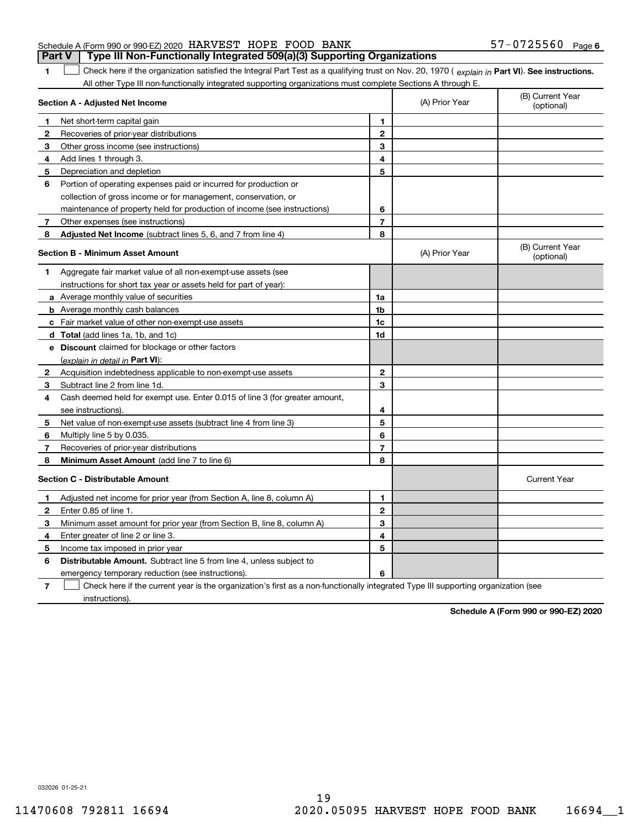#### Schedule A (Form 990 or 990-EZ) 2020 Page HARVEST HOPE FOOD BANK 57-0725560 **Part V Type III Non-Functionally Integrated 509(a)(3) Supporting Organizations**

1 Check here if the organization satisfied the Integral Part Test as a qualifying trust on Nov. 20, 1970 (explain in Part VI). See instructions. All other Type III non-functionally integrated supporting organizations must complete Sections A through E.

|              | Section A - Adjusted Net Income                                                                                                   |                | (A) Prior Year | (B) Current Year<br>(optional) |
|--------------|-----------------------------------------------------------------------------------------------------------------------------------|----------------|----------------|--------------------------------|
| 1            | Net short-term capital gain                                                                                                       | 1              |                |                                |
| 2            | Recoveries of prior-year distributions                                                                                            | $\overline{2}$ |                |                                |
| З            | Other gross income (see instructions)                                                                                             | 3              |                |                                |
| 4            | Add lines 1 through 3.                                                                                                            | 4              |                |                                |
| 5            | Depreciation and depletion                                                                                                        | 5              |                |                                |
| 6            | Portion of operating expenses paid or incurred for production or                                                                  |                |                |                                |
|              | collection of gross income or for management, conservation, or                                                                    |                |                |                                |
|              | maintenance of property held for production of income (see instructions)                                                          | 6              |                |                                |
| 7            | Other expenses (see instructions)                                                                                                 | $\overline{7}$ |                |                                |
| 8            | Adjusted Net Income (subtract lines 5, 6, and 7 from line 4)                                                                      | 8              |                |                                |
|              | <b>Section B - Minimum Asset Amount</b>                                                                                           |                | (A) Prior Year | (B) Current Year<br>(optional) |
| 1            | Aggregate fair market value of all non-exempt-use assets (see                                                                     |                |                |                                |
|              | instructions for short tax year or assets held for part of year):                                                                 |                |                |                                |
|              | a Average monthly value of securities                                                                                             | 1a             |                |                                |
|              | <b>b</b> Average monthly cash balances                                                                                            | 1b             |                |                                |
|              | c Fair market value of other non-exempt-use assets                                                                                | 1c             |                |                                |
|              | d Total (add lines 1a, 1b, and 1c)                                                                                                | 1d             |                |                                |
|              | e Discount claimed for blockage or other factors                                                                                  |                |                |                                |
|              | (explain in detail in Part VI):                                                                                                   |                |                |                                |
| $\mathbf{2}$ | Acquisition indebtedness applicable to non-exempt-use assets                                                                      | $\mathbf{2}$   |                |                                |
| 3            | Subtract line 2 from line 1d.                                                                                                     | 3              |                |                                |
| 4            | Cash deemed held for exempt use. Enter 0.015 of line 3 (for greater amount,                                                       |                |                |                                |
|              | see instructions).                                                                                                                | 4              |                |                                |
| 5            | Net value of non-exempt-use assets (subtract line 4 from line 3)                                                                  | 5              |                |                                |
| 6            | Multiply line 5 by 0.035.                                                                                                         | 6              |                |                                |
| 7            | Recoveries of prior-year distributions                                                                                            | $\overline{7}$ |                |                                |
| 8            | Minimum Asset Amount (add line 7 to line 6)                                                                                       | 8              |                |                                |
|              | <b>Section C - Distributable Amount</b>                                                                                           |                |                | <b>Current Year</b>            |
| 1            | Adjusted net income for prior year (from Section A, line 8, column A)                                                             | 1              |                |                                |
| 2            | Enter 0.85 of line 1.                                                                                                             | $\overline{2}$ |                |                                |
| з            | Minimum asset amount for prior year (from Section B, line 8, column A)                                                            | 3              |                |                                |
| 4            | Enter greater of line 2 or line 3.                                                                                                | 4              |                |                                |
| 5            | Income tax imposed in prior year                                                                                                  | 5              |                |                                |
| 6            | <b>Distributable Amount.</b> Subtract line 5 from line 4, unless subject to                                                       |                |                |                                |
|              | emergency temporary reduction (see instructions).                                                                                 | 6              |                |                                |
| 7            | Check here if the current year is the organization's first as a non-functionally integrated Type III supporting organization (see |                |                |                                |

instructions).

**1**

**Schedule A (Form 990 or 990-EZ) 2020**

032026 01-25-21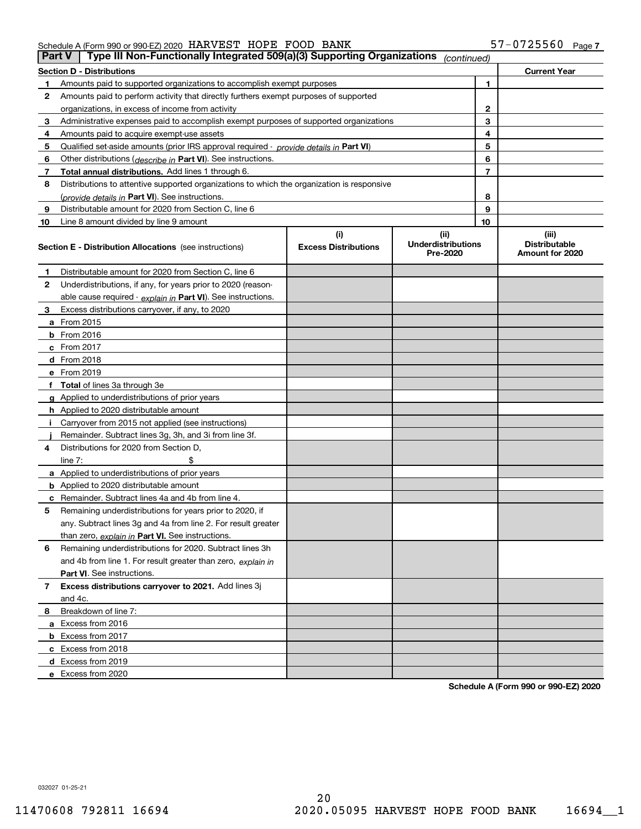| Type III Non-Functionally Integrated 509(a)(3) Supporting Organizations<br>Part V<br>(continued) |                                                                                            |                             |                                       |                                         |  |  |  |
|--------------------------------------------------------------------------------------------------|--------------------------------------------------------------------------------------------|-----------------------------|---------------------------------------|-----------------------------------------|--|--|--|
|                                                                                                  | <b>Section D - Distributions</b>                                                           |                             |                                       | <b>Current Year</b>                     |  |  |  |
|                                                                                                  | Amounts paid to supported organizations to accomplish exempt purposes                      | 1                           |                                       |                                         |  |  |  |
| 2                                                                                                | Amounts paid to perform activity that directly furthers exempt purposes of supported       |                             |                                       |                                         |  |  |  |
|                                                                                                  | organizations, in excess of income from activity                                           | 2                           |                                       |                                         |  |  |  |
| 3                                                                                                | Administrative expenses paid to accomplish exempt purposes of supported organizations      |                             | 3                                     |                                         |  |  |  |
| 4                                                                                                | Amounts paid to acquire exempt-use assets                                                  |                             | 4                                     |                                         |  |  |  |
| 5                                                                                                | Qualified set aside amounts (prior IRS approval required - provide details in Part VI)     |                             | 5                                     |                                         |  |  |  |
| 6                                                                                                | Other distributions ( <i>describe in</i> Part VI). See instructions.                       |                             | 6                                     |                                         |  |  |  |
| 7                                                                                                | Total annual distributions. Add lines 1 through 6.                                         |                             | 7                                     |                                         |  |  |  |
| 8                                                                                                | Distributions to attentive supported organizations to which the organization is responsive |                             |                                       |                                         |  |  |  |
|                                                                                                  | (provide details in Part VI). See instructions.                                            |                             | 8                                     |                                         |  |  |  |
| 9                                                                                                | Distributable amount for 2020 from Section C, line 6                                       |                             | 9                                     |                                         |  |  |  |
| 10                                                                                               | Line 8 amount divided by line 9 amount                                                     |                             | 10                                    |                                         |  |  |  |
|                                                                                                  |                                                                                            | (i)                         | (ii)                                  | (iii)                                   |  |  |  |
|                                                                                                  | <b>Section E - Distribution Allocations</b> (see instructions)                             | <b>Excess Distributions</b> | <b>Underdistributions</b><br>Pre-2020 | <b>Distributable</b><br>Amount for 2020 |  |  |  |
| 1                                                                                                | Distributable amount for 2020 from Section C, line 6                                       |                             |                                       |                                         |  |  |  |
| 2                                                                                                | Underdistributions, if any, for years prior to 2020 (reason-                               |                             |                                       |                                         |  |  |  |
|                                                                                                  | able cause required - explain in Part VI). See instructions.                               |                             |                                       |                                         |  |  |  |
| 3                                                                                                | Excess distributions carryover, if any, to 2020                                            |                             |                                       |                                         |  |  |  |
|                                                                                                  | a From 2015                                                                                |                             |                                       |                                         |  |  |  |
|                                                                                                  | $b$ From 2016                                                                              |                             |                                       |                                         |  |  |  |
|                                                                                                  | $c$ From 2017                                                                              |                             |                                       |                                         |  |  |  |
|                                                                                                  | <b>d</b> From 2018                                                                         |                             |                                       |                                         |  |  |  |
|                                                                                                  | e From 2019                                                                                |                             |                                       |                                         |  |  |  |
|                                                                                                  | f Total of lines 3a through 3e                                                             |                             |                                       |                                         |  |  |  |
|                                                                                                  | g Applied to underdistributions of prior years                                             |                             |                                       |                                         |  |  |  |
|                                                                                                  | <b>h</b> Applied to 2020 distributable amount                                              |                             |                                       |                                         |  |  |  |
|                                                                                                  | Carryover from 2015 not applied (see instructions)                                         |                             |                                       |                                         |  |  |  |
|                                                                                                  | Remainder. Subtract lines 3g, 3h, and 3i from line 3f.                                     |                             |                                       |                                         |  |  |  |
| 4                                                                                                | Distributions for 2020 from Section D.                                                     |                             |                                       |                                         |  |  |  |
|                                                                                                  | line $7:$                                                                                  |                             |                                       |                                         |  |  |  |
|                                                                                                  | a Applied to underdistributions of prior years                                             |                             |                                       |                                         |  |  |  |
|                                                                                                  | <b>b</b> Applied to 2020 distributable amount                                              |                             |                                       |                                         |  |  |  |
|                                                                                                  | <b>c</b> Remainder. Subtract lines 4a and 4b from line 4.                                  |                             |                                       |                                         |  |  |  |
| 5                                                                                                | Remaining underdistributions for years prior to 2020, if                                   |                             |                                       |                                         |  |  |  |
|                                                                                                  | any. Subtract lines 3g and 4a from line 2. For result greater                              |                             |                                       |                                         |  |  |  |
|                                                                                                  | than zero, explain in Part VI. See instructions.                                           |                             |                                       |                                         |  |  |  |
| 6                                                                                                | Remaining underdistributions for 2020. Subtract lines 3h                                   |                             |                                       |                                         |  |  |  |
|                                                                                                  | and 4b from line 1. For result greater than zero, explain in                               |                             |                                       |                                         |  |  |  |
|                                                                                                  | <b>Part VI.</b> See instructions.                                                          |                             |                                       |                                         |  |  |  |
| 7                                                                                                | Excess distributions carryover to 2021. Add lines 3j                                       |                             |                                       |                                         |  |  |  |
|                                                                                                  | and 4c.                                                                                    |                             |                                       |                                         |  |  |  |
| 8                                                                                                | Breakdown of line 7:                                                                       |                             |                                       |                                         |  |  |  |
|                                                                                                  | a Excess from 2016                                                                         |                             |                                       |                                         |  |  |  |
|                                                                                                  | <b>b</b> Excess from 2017                                                                  |                             |                                       |                                         |  |  |  |
|                                                                                                  | c Excess from 2018                                                                         |                             |                                       |                                         |  |  |  |
|                                                                                                  | d Excess from 2019                                                                         |                             |                                       |                                         |  |  |  |
|                                                                                                  | e Excess from 2020                                                                         |                             |                                       |                                         |  |  |  |

**Schedule A (Form 990 or 990-EZ) 2020**

032027 01-25-21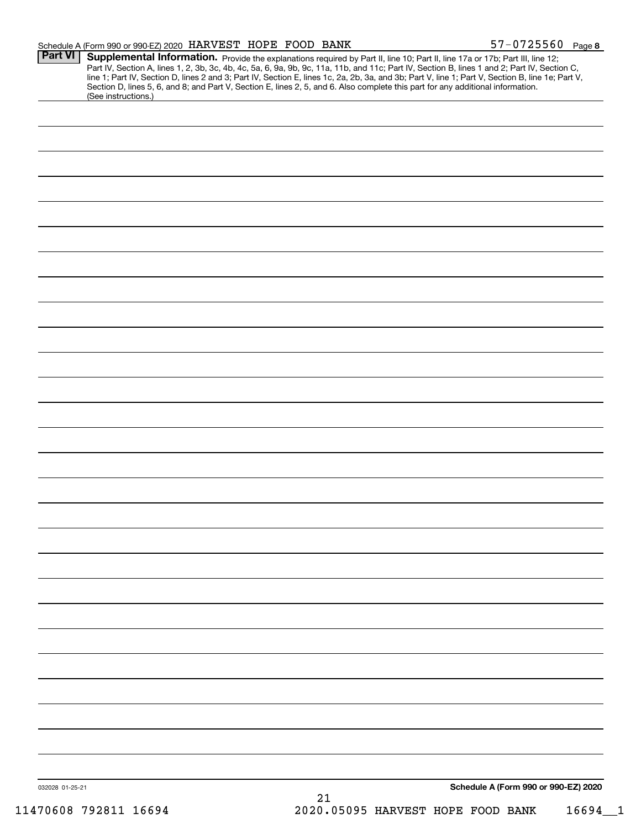|                 | Schedule A (Form 990 or 990-EZ) 2020 HARVEST HOPE FOOD BANK |  |                                                                                                                                 | $57 - 0725560$ Page 8                                                                                                                                                                                                                                                                                                                                                                 |
|-----------------|-------------------------------------------------------------|--|---------------------------------------------------------------------------------------------------------------------------------|---------------------------------------------------------------------------------------------------------------------------------------------------------------------------------------------------------------------------------------------------------------------------------------------------------------------------------------------------------------------------------------|
| <b>Part VI</b>  |                                                             |  |                                                                                                                                 | Supplemental Information. Provide the explanations required by Part II, line 10; Part II, line 17a or 17b; Part III, line 12;<br>Part IV, Section A, lines 1, 2, 3b, 3c, 4b, 4c, 5a, 6, 9a, 9b, 9c, 11a, 11b, and 11c; Part IV, S<br>line 1; Part IV, Section D, lines 2 and 3; Part IV, Section E, lines 1c, 2a, 2b, 3a, and 3b; Part V, line 1; Part V, Section B, line 1e; Part V, |
|                 | (See instructions.)                                         |  | Section D, lines 5, 6, and 8; and Part V, Section E, lines 2, 5, and 6. Also complete this part for any additional information. |                                                                                                                                                                                                                                                                                                                                                                                       |
|                 |                                                             |  |                                                                                                                                 |                                                                                                                                                                                                                                                                                                                                                                                       |
|                 |                                                             |  |                                                                                                                                 |                                                                                                                                                                                                                                                                                                                                                                                       |
|                 |                                                             |  |                                                                                                                                 |                                                                                                                                                                                                                                                                                                                                                                                       |
|                 |                                                             |  |                                                                                                                                 |                                                                                                                                                                                                                                                                                                                                                                                       |
|                 |                                                             |  |                                                                                                                                 |                                                                                                                                                                                                                                                                                                                                                                                       |
|                 |                                                             |  |                                                                                                                                 |                                                                                                                                                                                                                                                                                                                                                                                       |
|                 |                                                             |  |                                                                                                                                 |                                                                                                                                                                                                                                                                                                                                                                                       |
|                 |                                                             |  |                                                                                                                                 |                                                                                                                                                                                                                                                                                                                                                                                       |
|                 |                                                             |  |                                                                                                                                 |                                                                                                                                                                                                                                                                                                                                                                                       |
|                 |                                                             |  |                                                                                                                                 |                                                                                                                                                                                                                                                                                                                                                                                       |
|                 |                                                             |  |                                                                                                                                 |                                                                                                                                                                                                                                                                                                                                                                                       |
|                 |                                                             |  |                                                                                                                                 |                                                                                                                                                                                                                                                                                                                                                                                       |
|                 |                                                             |  |                                                                                                                                 |                                                                                                                                                                                                                                                                                                                                                                                       |
|                 |                                                             |  |                                                                                                                                 |                                                                                                                                                                                                                                                                                                                                                                                       |
|                 |                                                             |  |                                                                                                                                 |                                                                                                                                                                                                                                                                                                                                                                                       |
|                 |                                                             |  |                                                                                                                                 |                                                                                                                                                                                                                                                                                                                                                                                       |
|                 |                                                             |  |                                                                                                                                 |                                                                                                                                                                                                                                                                                                                                                                                       |
|                 |                                                             |  |                                                                                                                                 |                                                                                                                                                                                                                                                                                                                                                                                       |
|                 |                                                             |  |                                                                                                                                 |                                                                                                                                                                                                                                                                                                                                                                                       |
|                 |                                                             |  |                                                                                                                                 |                                                                                                                                                                                                                                                                                                                                                                                       |
|                 |                                                             |  |                                                                                                                                 |                                                                                                                                                                                                                                                                                                                                                                                       |
|                 |                                                             |  |                                                                                                                                 |                                                                                                                                                                                                                                                                                                                                                                                       |
|                 |                                                             |  |                                                                                                                                 |                                                                                                                                                                                                                                                                                                                                                                                       |
|                 |                                                             |  |                                                                                                                                 |                                                                                                                                                                                                                                                                                                                                                                                       |
|                 |                                                             |  |                                                                                                                                 |                                                                                                                                                                                                                                                                                                                                                                                       |
| 032028 01-25-21 |                                                             |  |                                                                                                                                 | Schedule A (Form 990 or 990-EZ) 2020                                                                                                                                                                                                                                                                                                                                                  |
|                 |                                                             |  |                                                                                                                                 |                                                                                                                                                                                                                                                                                                                                                                                       |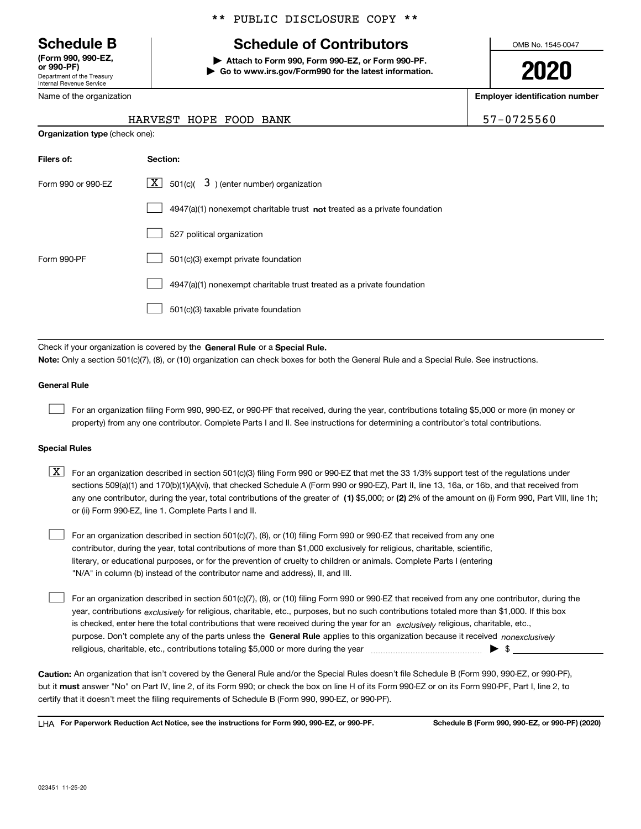Department of the Treasury Internal Revenue Service **(Form 990, 990-EZ, or 990-PF)**

\*\* PUBLIC DISCLOSURE COPY \*\*

## **Schedule B Schedule of Contributors**

**| Attach to Form 990, Form 990-EZ, or Form 990-PF. | Go to www.irs.gov/Form990 for the latest information.** OMB No. 1545-0047

**2020**

**Employer identification number**

| Or 990-PF)                                             |
|--------------------------------------------------------|
| Department of the Treasury<br>Internal Revenue Service |
| Name of the organization                               |

**Organization type** (check one):

### HARVEST HOPE FOOD BANK 57-0725560

| Filers of:         | <b>Section:</b>                                                             |
|--------------------|-----------------------------------------------------------------------------|
| Form 990 or 990-FZ | $\lfloor X \rfloor$ 501(c)( 3) (enter number) organization                  |
|                    | $4947(a)(1)$ nonexempt charitable trust not treated as a private foundation |
|                    | 527 political organization                                                  |
| Form 990-PF        | 501(c)(3) exempt private foundation                                         |
|                    | 4947(a)(1) nonexempt charitable trust treated as a private foundation       |
|                    | 501(c)(3) taxable private foundation                                        |

Check if your organization is covered by the **General Rule** or a **Special Rule. Note:**  Only a section 501(c)(7), (8), or (10) organization can check boxes for both the General Rule and a Special Rule. See instructions.

#### **General Rule**

 $\mathcal{L}^{\text{max}}$ 

For an organization filing Form 990, 990-EZ, or 990-PF that received, during the year, contributions totaling \$5,000 or more (in money or property) from any one contributor. Complete Parts I and II. See instructions for determining a contributor's total contributions.

#### **Special Rules**

any one contributor, during the year, total contributions of the greater of  $\,$  (1) \$5,000; or **(2)** 2% of the amount on (i) Form 990, Part VIII, line 1h;  $\boxed{\textbf{X}}$  For an organization described in section 501(c)(3) filing Form 990 or 990-EZ that met the 33 1/3% support test of the regulations under sections 509(a)(1) and 170(b)(1)(A)(vi), that checked Schedule A (Form 990 or 990-EZ), Part II, line 13, 16a, or 16b, and that received from or (ii) Form 990-EZ, line 1. Complete Parts I and II.

For an organization described in section 501(c)(7), (8), or (10) filing Form 990 or 990-EZ that received from any one contributor, during the year, total contributions of more than \$1,000 exclusively for religious, charitable, scientific, literary, or educational purposes, or for the prevention of cruelty to children or animals. Complete Parts I (entering "N/A" in column (b) instead of the contributor name and address), II, and III.  $\mathcal{L}^{\text{max}}$ 

purpose. Don't complete any of the parts unless the **General Rule** applies to this organization because it received *nonexclusively* year, contributions <sub>exclusively</sub> for religious, charitable, etc., purposes, but no such contributions totaled more than \$1,000. If this box is checked, enter here the total contributions that were received during the year for an  $\;$ exclusively religious, charitable, etc., For an organization described in section 501(c)(7), (8), or (10) filing Form 990 or 990-EZ that received from any one contributor, during the religious, charitable, etc., contributions totaling \$5,000 or more during the year  $\Box$ — $\Box$   $\Box$  $\mathcal{L}^{\text{max}}$ 

**Caution:**  An organization that isn't covered by the General Rule and/or the Special Rules doesn't file Schedule B (Form 990, 990-EZ, or 990-PF),  **must** but it answer "No" on Part IV, line 2, of its Form 990; or check the box on line H of its Form 990-EZ or on its Form 990-PF, Part I, line 2, to certify that it doesn't meet the filing requirements of Schedule B (Form 990, 990-EZ, or 990-PF).

**For Paperwork Reduction Act Notice, see the instructions for Form 990, 990-EZ, or 990-PF. Schedule B (Form 990, 990-EZ, or 990-PF) (2020)** LHA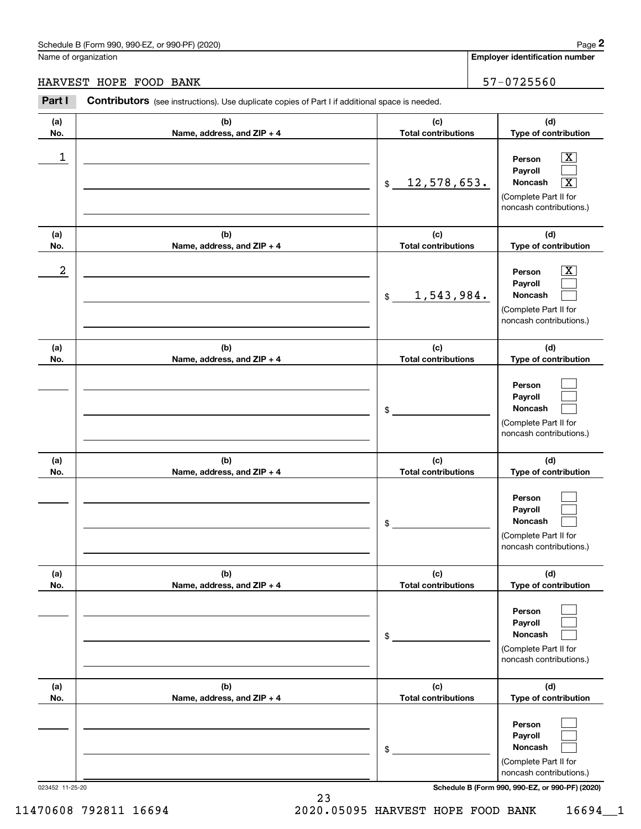#### HARVEST HOPE FOOD BANK

| 57-0725560 |
|------------|
|------------|

|                      | Schedule B (Form 990, 990-EZ, or 990-PF) (2020)                                                       |                                   | Page 2                                                                                                                              |  |                                                                                                                             |
|----------------------|-------------------------------------------------------------------------------------------------------|-----------------------------------|-------------------------------------------------------------------------------------------------------------------------------------|--|-----------------------------------------------------------------------------------------------------------------------------|
| Name of organization |                                                                                                       |                                   | <b>Employer identification number</b>                                                                                               |  |                                                                                                                             |
|                      | HARVEST HOPE FOOD BANK                                                                                |                                   | 57-0725560                                                                                                                          |  |                                                                                                                             |
| Part I               | <b>Contributors</b> (see instructions). Use duplicate copies of Part I if additional space is needed. |                                   |                                                                                                                                     |  |                                                                                                                             |
| (a)<br>No.           | (b)<br>Name, address, and ZIP + 4                                                                     | (c)<br><b>Total contributions</b> | (d)<br>Type of contribution                                                                                                         |  |                                                                                                                             |
| 1                    | 12,578,653.<br>\$                                                                                     |                                   |                                                                                                                                     |  | $\mathbf{X}$<br>Person<br>Payroll<br>Noncash<br>$\overline{\mathbf{x}}$<br>(Complete Part II for<br>noncash contributions.) |
| (a)<br>No.           | (b)<br>Name, address, and ZIP + 4                                                                     | (c)<br><b>Total contributions</b> | (d)<br>Type of contribution                                                                                                         |  |                                                                                                                             |
| 2                    |                                                                                                       | 1,543,984.<br>\$                  | $\overline{\text{X}}$<br>Person<br>Payroll<br>Noncash<br>(Complete Part II for<br>noncash contributions.)                           |  |                                                                                                                             |
| (a)<br>No.           | (b)<br>Name, address, and ZIP + 4                                                                     |                                   | (d)<br><b>Total contributions</b><br>Type of contribution                                                                           |  |                                                                                                                             |
|                      |                                                                                                       | \$                                | Person<br>Payroll<br>Noncash<br>(Complete Part II for<br>noncash contributions.)                                                    |  |                                                                                                                             |
| (a)<br>No.           | (b)<br>Name, address, and ZIP + 4                                                                     | (c)<br><b>Total contributions</b> | (d)<br>Type of contribution                                                                                                         |  |                                                                                                                             |
|                      |                                                                                                       | \$                                | Person<br>Payroll<br>Noncash<br>(Complete Part II for<br>noncash contributions.)                                                    |  |                                                                                                                             |
| (a)<br>No.           | (b)<br>Name, address, and ZIP + 4                                                                     | (c)<br><b>Total contributions</b> | (d)<br>Type of contribution                                                                                                         |  |                                                                                                                             |
|                      |                                                                                                       | \$                                | Person<br>Payroll<br>Noncash<br>(Complete Part II for<br>noncash contributions.)                                                    |  |                                                                                                                             |
| (a)<br>No.           | (b)<br>Name, address, and ZIP + 4                                                                     | (c)<br><b>Total contributions</b> | (d)<br>Type of contribution                                                                                                         |  |                                                                                                                             |
| 023452 11-25-20      |                                                                                                       | \$                                | Person<br>Payroll<br>Noncash<br>(Complete Part II for<br>noncash contributions.)<br>Schedule B (Form 990, 990-EZ, or 990-PF) (2020) |  |                                                                                                                             |

11470608 792811 16694 2020.05095 HARVEST HOPE FOOD BANK 16694\_\_1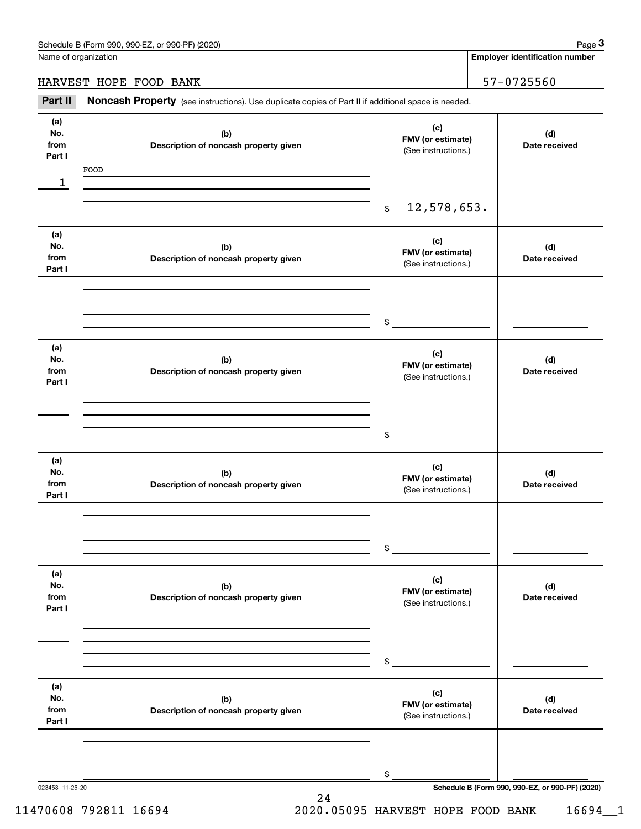**Employer identification number**

HARVEST HOPE FOOD BANK | 57-0725560

Employer identification Page 3<br>
Iame of organization<br> **3Part II Noncash Property** (see instructions). Use duplicate copies of Part II if additional space is needed.<br> **3Part II Noncash Property** (see instructions). Use

| (a)             |                                              | (c)                                      |                                                 |
|-----------------|----------------------------------------------|------------------------------------------|-------------------------------------------------|
| No.<br>from     | (b)<br>Description of noncash property given | FMV (or estimate)                        | (d)<br>Date received                            |
| Part I          |                                              | (See instructions.)                      |                                                 |
|                 | FOOD                                         |                                          |                                                 |
| 1               |                                              |                                          |                                                 |
|                 |                                              | 12,578,653.<br>\$                        |                                                 |
|                 |                                              |                                          |                                                 |
| (a)             |                                              |                                          |                                                 |
| No.             | (b)                                          | (c)<br>FMV (or estimate)                 | (d)                                             |
| from<br>Part I  | Description of noncash property given        | (See instructions.)                      | Date received                                   |
|                 |                                              |                                          |                                                 |
|                 |                                              |                                          |                                                 |
|                 |                                              |                                          |                                                 |
|                 |                                              | $\mathsf{\$}$                            |                                                 |
|                 |                                              |                                          |                                                 |
| (a)<br>No.      | (b)                                          | (c)                                      | (d)                                             |
| from            | Description of noncash property given        | FMV (or estimate)                        | Date received                                   |
| Part I          |                                              | (See instructions.)                      |                                                 |
|                 |                                              |                                          |                                                 |
|                 |                                              |                                          |                                                 |
|                 |                                              | $\frac{1}{2}$                            |                                                 |
|                 |                                              |                                          |                                                 |
| (a)             |                                              | (c)                                      |                                                 |
| No.             | (b)                                          | FMV (or estimate)                        | (d)                                             |
| from<br>Part I  | Description of noncash property given        | (See instructions.)                      | Date received                                   |
|                 |                                              |                                          |                                                 |
|                 |                                              |                                          |                                                 |
|                 |                                              |                                          |                                                 |
|                 |                                              | \$                                       |                                                 |
| (a)             |                                              |                                          |                                                 |
| No.             | (b)                                          | (c)                                      | (d)                                             |
| from            | Description of noncash property given        | FMV (or estimate)<br>(See instructions.) | Date received                                   |
| Part I          |                                              |                                          |                                                 |
|                 |                                              |                                          |                                                 |
|                 |                                              |                                          |                                                 |
|                 |                                              | \$                                       |                                                 |
|                 |                                              |                                          |                                                 |
| (a)             |                                              | (c)                                      |                                                 |
| No.             | (b)                                          | FMV (or estimate)                        | (d)                                             |
| from<br>Part I  | Description of noncash property given        | (See instructions.)                      | Date received                                   |
|                 |                                              |                                          |                                                 |
|                 |                                              |                                          |                                                 |
|                 |                                              |                                          |                                                 |
|                 |                                              | \$                                       |                                                 |
| 023453 11-25-20 |                                              |                                          | Schedule B (Form 990, 990-EZ, or 990-PF) (2020) |

24

11470608 792811 16694 2020.05095 HARVEST HOPE FOOD BANK 16694\_\_1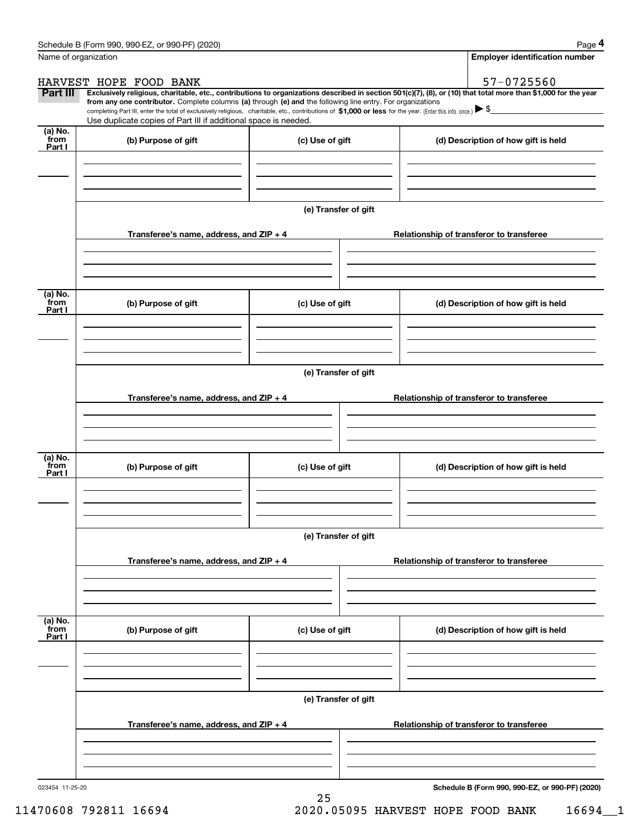|                           | Schedule B (Form 990, 990-EZ, or 990-PF) (2020)                                                                                                                                                                                                                                                 |                                          | Page 4                                                                                                                                                         |  |  |  |  |
|---------------------------|-------------------------------------------------------------------------------------------------------------------------------------------------------------------------------------------------------------------------------------------------------------------------------------------------|------------------------------------------|----------------------------------------------------------------------------------------------------------------------------------------------------------------|--|--|--|--|
|                           | Name of organization                                                                                                                                                                                                                                                                            |                                          | <b>Employer identification number</b>                                                                                                                          |  |  |  |  |
|                           | HARVEST HOPE FOOD BANK                                                                                                                                                                                                                                                                          |                                          | 57-0725560                                                                                                                                                     |  |  |  |  |
| Part III                  | from any one contributor. Complete columns (a) through (e) and the following line entry. For organizations<br>completing Part III, enter the total of exclusively religious, charitable, etc., contributions of \$1,000 or less for the year. (Enter this info. once.) $\blacktriangleright$ \$ |                                          | Exclusively religious, charitable, etc., contributions to organizations described in section 501(c)(7), (8), or (10) that total more than \$1,000 for the year |  |  |  |  |
|                           | Use duplicate copies of Part III if additional space is needed.                                                                                                                                                                                                                                 |                                          |                                                                                                                                                                |  |  |  |  |
| (a) No.<br>from<br>Part I | (b) Purpose of gift                                                                                                                                                                                                                                                                             | (c) Use of gift                          | (d) Description of how gift is held                                                                                                                            |  |  |  |  |
|                           |                                                                                                                                                                                                                                                                                                 |                                          |                                                                                                                                                                |  |  |  |  |
|                           |                                                                                                                                                                                                                                                                                                 |                                          |                                                                                                                                                                |  |  |  |  |
|                           |                                                                                                                                                                                                                                                                                                 | (e) Transfer of gift                     |                                                                                                                                                                |  |  |  |  |
|                           | Transferee's name, address, and ZIP + 4                                                                                                                                                                                                                                                         |                                          | Relationship of transferor to transferee                                                                                                                       |  |  |  |  |
|                           |                                                                                                                                                                                                                                                                                                 |                                          |                                                                                                                                                                |  |  |  |  |
| (a) No.<br>from           | (b) Purpose of gift                                                                                                                                                                                                                                                                             | (c) Use of gift                          | (d) Description of how gift is held                                                                                                                            |  |  |  |  |
| Part I                    |                                                                                                                                                                                                                                                                                                 |                                          |                                                                                                                                                                |  |  |  |  |
|                           |                                                                                                                                                                                                                                                                                                 |                                          |                                                                                                                                                                |  |  |  |  |
|                           | (e) Transfer of gift                                                                                                                                                                                                                                                                            |                                          |                                                                                                                                                                |  |  |  |  |
|                           | Transferee's name, address, and ZIP + 4                                                                                                                                                                                                                                                         |                                          | Relationship of transferor to transferee                                                                                                                       |  |  |  |  |
|                           |                                                                                                                                                                                                                                                                                                 |                                          |                                                                                                                                                                |  |  |  |  |
| (a) No.                   |                                                                                                                                                                                                                                                                                                 |                                          |                                                                                                                                                                |  |  |  |  |
| from<br>Part I            | (b) Purpose of gift                                                                                                                                                                                                                                                                             | (c) Use of gift                          | (d) Description of how gift is held                                                                                                                            |  |  |  |  |
|                           |                                                                                                                                                                                                                                                                                                 |                                          |                                                                                                                                                                |  |  |  |  |
|                           |                                                                                                                                                                                                                                                                                                 | (e) Transfer of gift                     |                                                                                                                                                                |  |  |  |  |
|                           | Transferee's name, address, and ZIP + 4                                                                                                                                                                                                                                                         | Relationship of transferor to transferee |                                                                                                                                                                |  |  |  |  |
|                           |                                                                                                                                                                                                                                                                                                 |                                          |                                                                                                                                                                |  |  |  |  |
|                           |                                                                                                                                                                                                                                                                                                 |                                          |                                                                                                                                                                |  |  |  |  |
| (a) No.<br>from<br>Part I | (b) Purpose of gift                                                                                                                                                                                                                                                                             | (c) Use of gift                          | (d) Description of how gift is held                                                                                                                            |  |  |  |  |
|                           |                                                                                                                                                                                                                                                                                                 |                                          |                                                                                                                                                                |  |  |  |  |
|                           |                                                                                                                                                                                                                                                                                                 |                                          |                                                                                                                                                                |  |  |  |  |
|                           |                                                                                                                                                                                                                                                                                                 | (e) Transfer of gift                     |                                                                                                                                                                |  |  |  |  |
|                           | Transferee's name, address, and ZIP + 4                                                                                                                                                                                                                                                         |                                          | Relationship of transferor to transferee                                                                                                                       |  |  |  |  |
|                           |                                                                                                                                                                                                                                                                                                 |                                          |                                                                                                                                                                |  |  |  |  |
|                           |                                                                                                                                                                                                                                                                                                 |                                          |                                                                                                                                                                |  |  |  |  |

25

**Schedule B (Form 990, 990-EZ, or 990-PF) (2020)**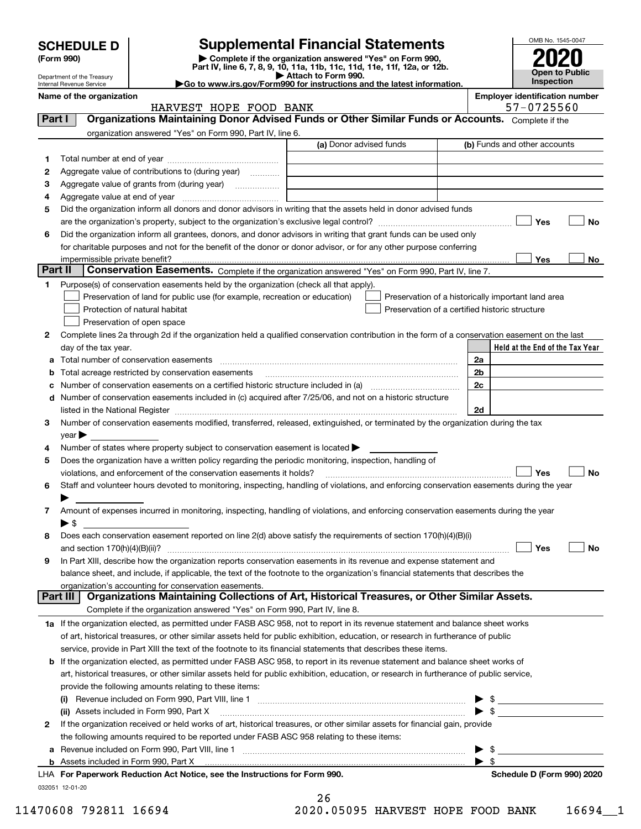|         | <b>SCHEDULE D</b>                                                                                                                                                                                                                                        |                                                                                                        | <b>Supplemental Financial Statements</b>                                                                                                                                                                                                                                        |    | OMB No. 1545-0047                                  |  |  |
|---------|----------------------------------------------------------------------------------------------------------------------------------------------------------------------------------------------------------------------------------------------------------|--------------------------------------------------------------------------------------------------------|---------------------------------------------------------------------------------------------------------------------------------------------------------------------------------------------------------------------------------------------------------------------------------|----|----------------------------------------------------|--|--|
|         | (Form 990)                                                                                                                                                                                                                                               |                                                                                                        | Complete if the organization answered "Yes" on Form 990,                                                                                                                                                                                                                        |    |                                                    |  |  |
|         |                                                                                                                                                                                                                                                          |                                                                                                        | Part IV, line 6, 7, 8, 9, 10, 11a, 11b, 11c, 11d, 11e, 11f, 12a, or 12b.                                                                                                                                                                                                        |    | <b>Open to Public</b>                              |  |  |
|         | Department of the Treasury<br>Internal Revenue Service                                                                                                                                                                                                   |                                                                                                        | Attach to Form 990.<br>Go to www.irs.gov/Form990 for instructions and the latest information.                                                                                                                                                                                   |    | Inspection                                         |  |  |
|         | Name of the organization                                                                                                                                                                                                                                 | HARVEST HOPE FOOD BANK                                                                                 |                                                                                                                                                                                                                                                                                 |    | <b>Employer identification number</b>              |  |  |
| Part I  |                                                                                                                                                                                                                                                          |                                                                                                        | 57-0725560<br>Organizations Maintaining Donor Advised Funds or Other Similar Funds or Accounts. Complete if the                                                                                                                                                                 |    |                                                    |  |  |
|         |                                                                                                                                                                                                                                                          | organization answered "Yes" on Form 990, Part IV, line 6.                                              |                                                                                                                                                                                                                                                                                 |    |                                                    |  |  |
|         |                                                                                                                                                                                                                                                          |                                                                                                        | (a) Donor advised funds                                                                                                                                                                                                                                                         |    | (b) Funds and other accounts                       |  |  |
| 1       |                                                                                                                                                                                                                                                          |                                                                                                        |                                                                                                                                                                                                                                                                                 |    |                                                    |  |  |
| 2       |                                                                                                                                                                                                                                                          | Aggregate value of contributions to (during year)                                                      |                                                                                                                                                                                                                                                                                 |    |                                                    |  |  |
| з       |                                                                                                                                                                                                                                                          |                                                                                                        |                                                                                                                                                                                                                                                                                 |    |                                                    |  |  |
| 4       |                                                                                                                                                                                                                                                          |                                                                                                        |                                                                                                                                                                                                                                                                                 |    |                                                    |  |  |
| 5       |                                                                                                                                                                                                                                                          |                                                                                                        | Did the organization inform all donors and donor advisors in writing that the assets held in donor advised funds                                                                                                                                                                |    |                                                    |  |  |
|         |                                                                                                                                                                                                                                                          |                                                                                                        |                                                                                                                                                                                                                                                                                 |    | Yes<br>No                                          |  |  |
| 6       |                                                                                                                                                                                                                                                          |                                                                                                        | Did the organization inform all grantees, donors, and donor advisors in writing that grant funds can be used only                                                                                                                                                               |    |                                                    |  |  |
|         | impermissible private benefit?                                                                                                                                                                                                                           |                                                                                                        | for charitable purposes and not for the benefit of the donor or donor advisor, or for any other purpose conferring                                                                                                                                                              |    | Yes<br>No                                          |  |  |
| Part II |                                                                                                                                                                                                                                                          |                                                                                                        | Conservation Easements. Complete if the organization answered "Yes" on Form 990, Part IV, line 7.                                                                                                                                                                               |    |                                                    |  |  |
| 1.      |                                                                                                                                                                                                                                                          | Purpose(s) of conservation easements held by the organization (check all that apply).                  |                                                                                                                                                                                                                                                                                 |    |                                                    |  |  |
|         |                                                                                                                                                                                                                                                          | Preservation of land for public use (for example, recreation or education)                             |                                                                                                                                                                                                                                                                                 |    | Preservation of a historically important land area |  |  |
|         |                                                                                                                                                                                                                                                          | Protection of natural habitat                                                                          | Preservation of a certified historic structure                                                                                                                                                                                                                                  |    |                                                    |  |  |
|         |                                                                                                                                                                                                                                                          | Preservation of open space                                                                             |                                                                                                                                                                                                                                                                                 |    |                                                    |  |  |
| 2       |                                                                                                                                                                                                                                                          |                                                                                                        | Complete lines 2a through 2d if the organization held a qualified conservation contribution in the form of a conservation easement on the last                                                                                                                                  |    |                                                    |  |  |
|         | day of the tax year.                                                                                                                                                                                                                                     |                                                                                                        |                                                                                                                                                                                                                                                                                 |    | Held at the End of the Tax Year                    |  |  |
|         |                                                                                                                                                                                                                                                          | Total number of conservation easements                                                                 |                                                                                                                                                                                                                                                                                 | 2a |                                                    |  |  |
|         | Total acreage restricted by conservation easements                                                                                                                                                                                                       | 2b                                                                                                     |                                                                                                                                                                                                                                                                                 |    |                                                    |  |  |
|         | Number of conservation easements on a certified historic structure included in (a) manufacture included in (a)                                                                                                                                           | 2 <sub>c</sub>                                                                                         |                                                                                                                                                                                                                                                                                 |    |                                                    |  |  |
|         | d Number of conservation easements included in (c) acquired after 7/25/06, and not on a historic structure                                                                                                                                               | 2d                                                                                                     |                                                                                                                                                                                                                                                                                 |    |                                                    |  |  |
| 3       |                                                                                                                                                                                                                                                          |                                                                                                        | Number of conservation easements modified, transferred, released, extinguished, or terminated by the organization during the tax                                                                                                                                                |    |                                                    |  |  |
|         | $\vee$ ear                                                                                                                                                                                                                                               |                                                                                                        |                                                                                                                                                                                                                                                                                 |    |                                                    |  |  |
| 4       |                                                                                                                                                                                                                                                          | Number of states where property subject to conservation easement is located $\blacktriangleright$      |                                                                                                                                                                                                                                                                                 |    |                                                    |  |  |
| 5       |                                                                                                                                                                                                                                                          | Does the organization have a written policy regarding the periodic monitoring, inspection, handling of |                                                                                                                                                                                                                                                                                 |    |                                                    |  |  |
|         |                                                                                                                                                                                                                                                          | violations, and enforcement of the conservation easements it holds?                                    |                                                                                                                                                                                                                                                                                 |    | No<br>Yes                                          |  |  |
|         |                                                                                                                                                                                                                                                          |                                                                                                        | Staff and volunteer hours devoted to monitoring, inspecting, handling of violations, and enforcing conservation easements during the year                                                                                                                                       |    |                                                    |  |  |
|         |                                                                                                                                                                                                                                                          |                                                                                                        |                                                                                                                                                                                                                                                                                 |    |                                                    |  |  |
| 7       |                                                                                                                                                                                                                                                          |                                                                                                        | Amount of expenses incurred in monitoring, inspecting, handling of violations, and enforcing conservation easements during the year                                                                                                                                             |    |                                                    |  |  |
|         | ▶ \$                                                                                                                                                                                                                                                     |                                                                                                        | Does each conservation easement reported on line 2(d) above satisfy the requirements of section 170(h)(4)(B)(i)                                                                                                                                                                 |    |                                                    |  |  |
| 8       | and section $170(h)(4)(B)(ii)?$                                                                                                                                                                                                                          |                                                                                                        |                                                                                                                                                                                                                                                                                 |    | Yes<br>No                                          |  |  |
| 9       |                                                                                                                                                                                                                                                          |                                                                                                        |                                                                                                                                                                                                                                                                                 |    |                                                    |  |  |
|         | In Part XIII, describe how the organization reports conservation easements in its revenue and expense statement and<br>balance sheet, and include, if applicable, the text of the footnote to the organization's financial statements that describes the |                                                                                                        |                                                                                                                                                                                                                                                                                 |    |                                                    |  |  |
|         |                                                                                                                                                                                                                                                          | organization's accounting for conservation easements.                                                  |                                                                                                                                                                                                                                                                                 |    |                                                    |  |  |
|         | Part III                                                                                                                                                                                                                                                 |                                                                                                        | Organizations Maintaining Collections of Art, Historical Treasures, or Other Similar Assets.                                                                                                                                                                                    |    |                                                    |  |  |
|         |                                                                                                                                                                                                                                                          | Complete if the organization answered "Yes" on Form 990, Part IV, line 8.                              |                                                                                                                                                                                                                                                                                 |    |                                                    |  |  |
|         |                                                                                                                                                                                                                                                          |                                                                                                        | 1a If the organization elected, as permitted under FASB ASC 958, not to report in its revenue statement and balance sheet works                                                                                                                                                 |    |                                                    |  |  |
|         |                                                                                                                                                                                                                                                          |                                                                                                        | of art, historical treasures, or other similar assets held for public exhibition, education, or research in furtherance of public                                                                                                                                               |    |                                                    |  |  |
|         | service, provide in Part XIII the text of the footnote to its financial statements that describes these items.                                                                                                                                           |                                                                                                        |                                                                                                                                                                                                                                                                                 |    |                                                    |  |  |
|         |                                                                                                                                                                                                                                                          |                                                                                                        | <b>b</b> If the organization elected, as permitted under FASB ASC 958, to report in its revenue statement and balance sheet works of<br>art, historical treasures, or other similar assets held for public exhibition, education, or research in furtherance of public service, |    |                                                    |  |  |
|         |                                                                                                                                                                                                                                                          | provide the following amounts relating to these items:                                                 |                                                                                                                                                                                                                                                                                 |    |                                                    |  |  |
|         |                                                                                                                                                                                                                                                          |                                                                                                        |                                                                                                                                                                                                                                                                                 |    | \$                                                 |  |  |
|         |                                                                                                                                                                                                                                                          | (ii) Assets included in Form 990, Part X                                                               |                                                                                                                                                                                                                                                                                 |    | $\blacktriangleright$ s                            |  |  |
| 2       |                                                                                                                                                                                                                                                          |                                                                                                        | If the organization received or held works of art, historical treasures, or other similar assets for financial gain, provide                                                                                                                                                    |    |                                                    |  |  |
|         |                                                                                                                                                                                                                                                          | the following amounts required to be reported under FASB ASC 958 relating to these items:              |                                                                                                                                                                                                                                                                                 |    |                                                    |  |  |
| a       |                                                                                                                                                                                                                                                          |                                                                                                        |                                                                                                                                                                                                                                                                                 |    | - \$                                               |  |  |
|         |                                                                                                                                                                                                                                                          |                                                                                                        |                                                                                                                                                                                                                                                                                 |    | $\blacktriangleright$ s                            |  |  |

032051 12-01-20 **For Paperwork Reduction Act Notice, see the Instructions for Form 990. Schedule D (Form 990) 2020** LHA

26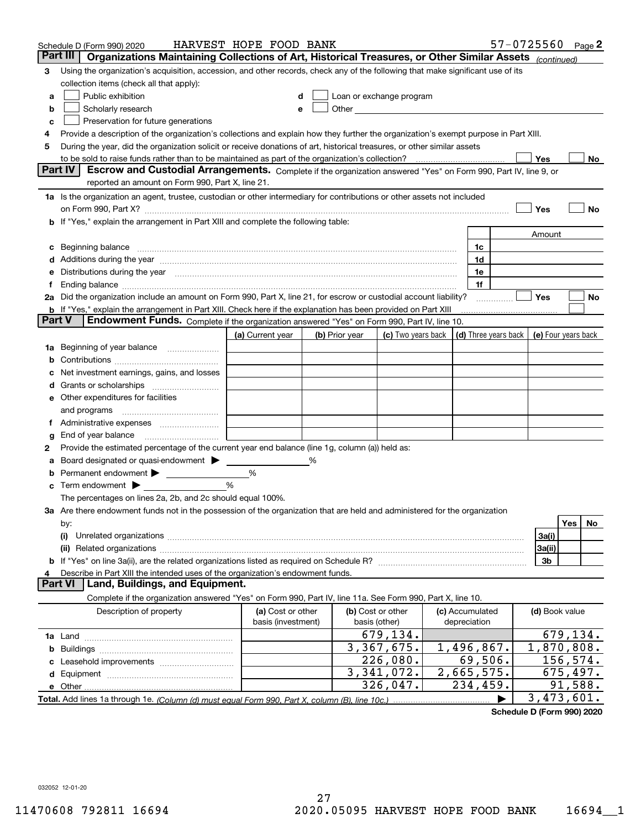|        | Schedule D (Form 990) 2020                                                                                                                                                                                                     | HARVEST HOPE FOOD BANK                  |   |                |                                                      |  |                                 | $57 - 0725560$ Page 2 |                     |          |     |
|--------|--------------------------------------------------------------------------------------------------------------------------------------------------------------------------------------------------------------------------------|-----------------------------------------|---|----------------|------------------------------------------------------|--|---------------------------------|-----------------------|---------------------|----------|-----|
|        | Part III<br>Organizations Maintaining Collections of Art, Historical Treasures, or Other Similar Assets (continued)                                                                                                            |                                         |   |                |                                                      |  |                                 |                       |                     |          |     |
| 3      | Using the organization's acquisition, accession, and other records, check any of the following that make significant use of its                                                                                                |                                         |   |                |                                                      |  |                                 |                       |                     |          |     |
|        | collection items (check all that apply):                                                                                                                                                                                       |                                         |   |                |                                                      |  |                                 |                       |                     |          |     |
| a      | Public exhibition                                                                                                                                                                                                              |                                         |   |                | Loan or exchange program                             |  |                                 |                       |                     |          |     |
| b      | Scholarly research                                                                                                                                                                                                             | е                                       |   |                | Other <b>Committee Committee Committee Committee</b> |  |                                 |                       |                     |          |     |
| с      | Preservation for future generations                                                                                                                                                                                            |                                         |   |                |                                                      |  |                                 |                       |                     |          |     |
| 4      | Provide a description of the organization's collections and explain how they further the organization's exempt purpose in Part XIII.                                                                                           |                                         |   |                |                                                      |  |                                 |                       |                     |          |     |
| 5      | During the year, did the organization solicit or receive donations of art, historical treasures, or other similar assets                                                                                                       |                                         |   |                |                                                      |  |                                 |                       |                     |          |     |
|        | to be sold to raise funds rather than to be maintained as part of the organization's collection?<br>Yes<br>No                                                                                                                  |                                         |   |                |                                                      |  |                                 |                       |                     |          |     |
|        | <b>Part IV</b><br>Escrow and Custodial Arrangements. Complete if the organization answered "Yes" on Form 990, Part IV, line 9, or                                                                                              |                                         |   |                |                                                      |  |                                 |                       |                     |          |     |
|        | reported an amount on Form 990, Part X, line 21.                                                                                                                                                                               |                                         |   |                |                                                      |  |                                 |                       |                     |          |     |
|        | 1a Is the organization an agent, trustee, custodian or other intermediary for contributions or other assets not included                                                                                                       |                                         |   |                |                                                      |  |                                 |                       |                     |          |     |
|        | on Form 990, Part X? [11] matter contracts and contracts and contracts are contracted as a form 990, Part X?                                                                                                                   |                                         |   |                |                                                      |  |                                 |                       | Yes                 |          | No  |
|        | b If "Yes," explain the arrangement in Part XIII and complete the following table:                                                                                                                                             |                                         |   |                |                                                      |  |                                 |                       |                     |          |     |
|        |                                                                                                                                                                                                                                |                                         |   |                |                                                      |  |                                 |                       | Amount              |          |     |
| c      | Beginning balance measurements and contain a series of the series of the series of the series of the series of                                                                                                                 |                                         |   |                |                                                      |  | 1c                              |                       |                     |          |     |
|        | Additions during the year manufactured and an account of the state of the state of the state of the state of the state of the state of the state of the state of the state of the state of the state of the state of the state |                                         |   |                |                                                      |  | 1d                              |                       |                     |          |     |
|        | Distributions during the year manufactured and continuum and continuum and continuum and continuum and continuum                                                                                                               |                                         |   |                |                                                      |  | 1e                              |                       |                     |          |     |
| Ť.     |                                                                                                                                                                                                                                |                                         |   |                |                                                      |  | 1f                              |                       |                     |          |     |
|        | 2a Did the organization include an amount on Form 990, Part X, line 21, for escrow or custodial account liability?                                                                                                             |                                         |   |                |                                                      |  |                                 | .                     | Yes                 |          | No  |
| Part V | <b>b</b> If "Yes," explain the arrangement in Part XIII. Check here if the explanation has been provided on Part XIII<br>Endowment Funds. Complete if the organization answered "Yes" on Form 990, Part IV, line 10.           |                                         |   |                |                                                      |  |                                 |                       |                     |          |     |
|        |                                                                                                                                                                                                                                |                                         |   |                |                                                      |  |                                 |                       |                     |          |     |
|        |                                                                                                                                                                                                                                | (a) Current year                        |   | (b) Prior year | (c) Two years back                                   |  | (d) Three years back            |                       | (e) Four years back |          |     |
| 1a     | Beginning of year balance                                                                                                                                                                                                      |                                         |   |                |                                                      |  |                                 |                       |                     |          |     |
|        |                                                                                                                                                                                                                                |                                         |   |                |                                                      |  |                                 |                       |                     |          |     |
|        | Net investment earnings, gains, and losses                                                                                                                                                                                     |                                         |   |                |                                                      |  |                                 |                       |                     |          |     |
| d      |                                                                                                                                                                                                                                |                                         |   |                |                                                      |  |                                 |                       |                     |          |     |
|        | e Other expenditures for facilities                                                                                                                                                                                            |                                         |   |                |                                                      |  |                                 |                       |                     |          |     |
|        | and programs                                                                                                                                                                                                                   |                                         |   |                |                                                      |  |                                 |                       |                     |          |     |
|        | End of year balance                                                                                                                                                                                                            |                                         |   |                |                                                      |  |                                 |                       |                     |          |     |
| g<br>2 | Provide the estimated percentage of the current year end balance (line 1g, column (a)) held as:                                                                                                                                |                                         |   |                |                                                      |  |                                 |                       |                     |          |     |
| а      | Board designated or quasi-endowment                                                                                                                                                                                            |                                         | ℅ |                |                                                      |  |                                 |                       |                     |          |     |
|        | Permanent endowment > <u>example</u>                                                                                                                                                                                           | %                                       |   |                |                                                      |  |                                 |                       |                     |          |     |
|        | Term endowment $\blacktriangleright$                                                                                                                                                                                           | %                                       |   |                |                                                      |  |                                 |                       |                     |          |     |
|        | The percentages on lines 2a, 2b, and 2c should equal 100%.                                                                                                                                                                     |                                         |   |                |                                                      |  |                                 |                       |                     |          |     |
|        | 3a Are there endowment funds not in the possession of the organization that are held and administered for the organization                                                                                                     |                                         |   |                |                                                      |  |                                 |                       |                     |          |     |
|        | by:                                                                                                                                                                                                                            |                                         |   |                |                                                      |  |                                 |                       |                     | Yes      | No. |
|        | (i)                                                                                                                                                                                                                            |                                         |   |                |                                                      |  |                                 |                       | 3a(i)               |          |     |
|        |                                                                                                                                                                                                                                |                                         |   |                |                                                      |  |                                 |                       | 3a(ii)              |          |     |
|        |                                                                                                                                                                                                                                |                                         |   |                |                                                      |  |                                 |                       | 3b                  |          |     |
|        | Describe in Part XIII the intended uses of the organization's endowment funds.                                                                                                                                                 |                                         |   |                |                                                      |  |                                 |                       |                     |          |     |
|        | Land, Buildings, and Equipment.<br>Part VI                                                                                                                                                                                     |                                         |   |                |                                                      |  |                                 |                       |                     |          |     |
|        | Complete if the organization answered "Yes" on Form 990, Part IV, line 11a. See Form 990, Part X, line 10.                                                                                                                     |                                         |   |                |                                                      |  |                                 |                       |                     |          |     |
|        | Description of property                                                                                                                                                                                                        | (a) Cost or other<br>basis (investment) |   |                | (b) Cost or other<br>basis (other)                   |  | (c) Accumulated<br>depreciation |                       | (d) Book value      |          |     |
|        |                                                                                                                                                                                                                                |                                         |   |                | 679,134.                                             |  |                                 |                       |                     | 679,134. |     |
| b      |                                                                                                                                                                                                                                |                                         |   |                | 3, 367, 675.                                         |  | 1,496,867.                      |                       | 1,870,808.          |          |     |
|        |                                                                                                                                                                                                                                |                                         |   |                | 226,080.                                             |  | 69,506.                         |                       | 156,574.            |          |     |
|        |                                                                                                                                                                                                                                |                                         |   |                | 3,341,072.                                           |  | 2,665,575.                      |                       | 675, 497.           |          |     |
|        |                                                                                                                                                                                                                                |                                         |   |                | 326,047.                                             |  | 234,459.                        |                       |                     | 91,588.  |     |
|        |                                                                                                                                                                                                                                |                                         |   |                |                                                      |  |                                 |                       | 3,473,601.          |          |     |
|        |                                                                                                                                                                                                                                |                                         |   |                |                                                      |  |                                 |                       |                     |          |     |

**Schedule D (Form 990) 2020**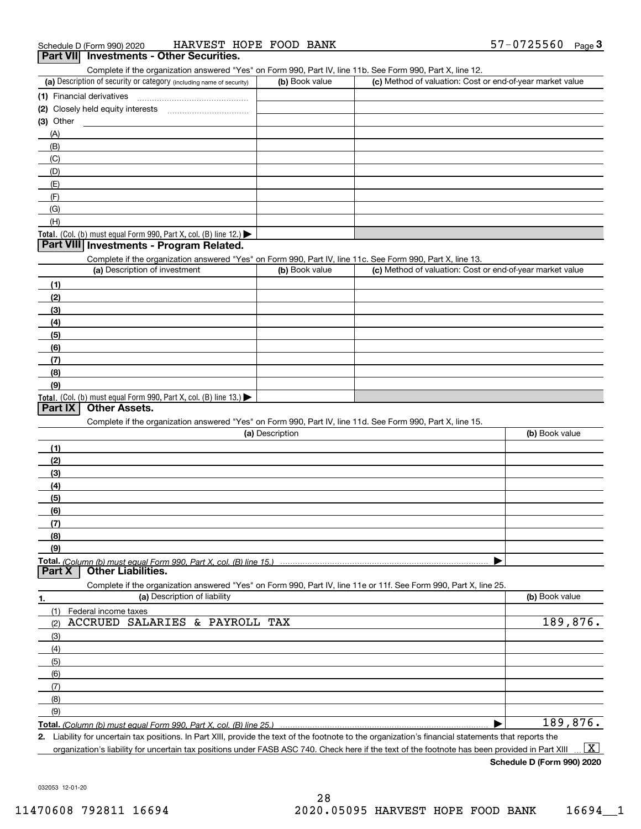Complete if the organization answered "Yes" on Form 990, Part IV, line 11b. See Form 990, Part X, line 12.

| (a) Description of security or category (including name of security)                          | (b) Book value | (c) Method of valuation: Cost or end-of-year market value |
|-----------------------------------------------------------------------------------------------|----------------|-----------------------------------------------------------|
| (1) Financial derivatives                                                                     |                |                                                           |
| (2) Closely held equity interests                                                             |                |                                                           |
| $(3)$ Other                                                                                   |                |                                                           |
| (A)                                                                                           |                |                                                           |
| (B)                                                                                           |                |                                                           |
| (C)                                                                                           |                |                                                           |
| (D)                                                                                           |                |                                                           |
| (E)                                                                                           |                |                                                           |
| (F)                                                                                           |                |                                                           |
| (G)                                                                                           |                |                                                           |
| (H)                                                                                           |                |                                                           |
| <b>Total.</b> (Col. (b) must equal Form 990, Part X, col. (B) line 12.) $\blacktriangleright$ |                |                                                           |

#### **Part VIII Investments - Program Related.**

Complete if the organization answered "Yes" on Form 990, Part IV, line 11c. See Form 990, Part X, line 13.

| (a) Description of investment                                       | (b) Book value | (c) Method of valuation: Cost or end-of-year market value |
|---------------------------------------------------------------------|----------------|-----------------------------------------------------------|
| (1)                                                                 |                |                                                           |
| (2)                                                                 |                |                                                           |
| $\frac{1}{2}$                                                       |                |                                                           |
| (4)                                                                 |                |                                                           |
| $\left(5\right)$                                                    |                |                                                           |
| (6)                                                                 |                |                                                           |
| (7)                                                                 |                |                                                           |
| (8)                                                                 |                |                                                           |
| (9)                                                                 |                |                                                           |
| Total. (Col. (b) must equal Form 990, Part X, col. (B) line $13.$ ) |                |                                                           |

#### **Part IX Other Assets.**

Complete if the organization answered "Yes" on Form 990, Part IV, line 11d. See Form 990, Part X, line 15.

| (a) Description                                                                                                                       | (b) Book value |
|---------------------------------------------------------------------------------------------------------------------------------------|----------------|
|                                                                                                                                       |                |
| (2)                                                                                                                                   |                |
| (3)                                                                                                                                   |                |
| (4)                                                                                                                                   |                |
| (5)                                                                                                                                   |                |
| (6)                                                                                                                                   |                |
|                                                                                                                                       |                |
| (8)                                                                                                                                   |                |
| (9)                                                                                                                                   |                |
|                                                                                                                                       |                |
| Total. (Column (b) must equal Form 990, Part X, col. (B) line 15.) ………………………………………………………………………………………<br>  Part X   Other Liabilities. |                |

**1.(a)** Description of liability **Book value** Book value Book value Book value Book value **Total.**  *(Column (b) must equal Form 990, Part X, col. (B) line 25.)* Complete if the organization answered "Yes" on Form 990, Part IV, line 11e or 11f. See Form 990, Part X, line 25. (1)(2)(3)(4)(5) (6)(7)(8)(9)Federal income taxes  $\blacktriangleright$ ACCRUED SALARIES & PAYROLL TAX 189,876. 189,876.

**2.**Liability for uncertain tax positions. In Part XIII, provide the text of the footnote to the organization's financial statements that reports the organization's liability for uncertain tax positions under FASB ASC 740. Check here if the text of the footnote has been provided in Part XIII  $\boxed{\text{X}}$ 

**Schedule D (Form 990) 2020**

032053 12-01-20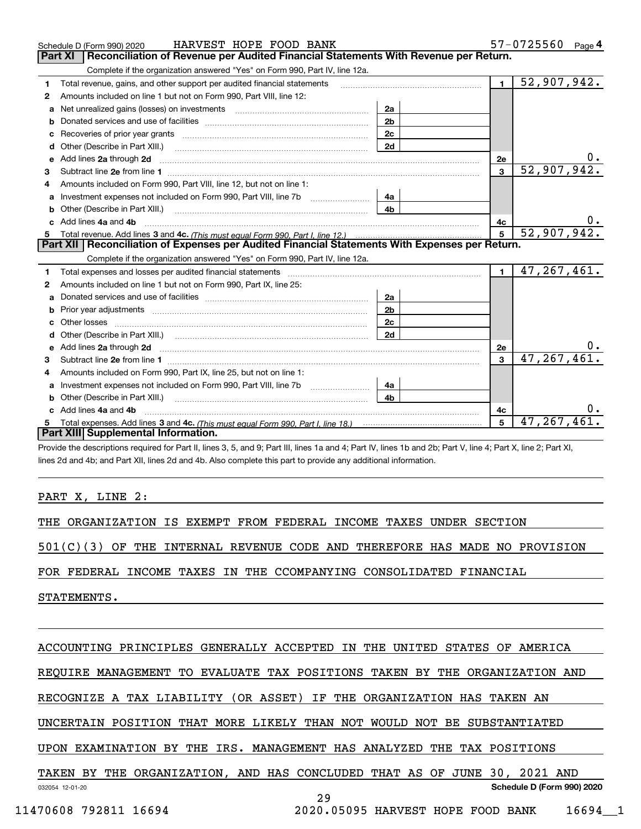|    | HARVEST HOPE FOOD BANK<br>Schedule D (Form 990) 2020                                                                                                                                                                                 |                |                | 57-0725560<br>Page $4$   |
|----|--------------------------------------------------------------------------------------------------------------------------------------------------------------------------------------------------------------------------------------|----------------|----------------|--------------------------|
|    | Reconciliation of Revenue per Audited Financial Statements With Revenue per Return.<br>Part XI                                                                                                                                       |                |                |                          |
|    | Complete if the organization answered "Yes" on Form 990, Part IV, line 12a.                                                                                                                                                          |                |                |                          |
| 1. | Total revenue, gains, and other support per audited financial statements                                                                                                                                                             |                | $\blacksquare$ | 52,907,942.              |
| 2  | Amounts included on line 1 but not on Form 990, Part VIII, line 12:                                                                                                                                                                  |                |                |                          |
| a  | Net unrealized gains (losses) on investments [11] matter contracts and the unrealized gains (losses) on investments                                                                                                                  | 2a             |                |                          |
|    |                                                                                                                                                                                                                                      | 2 <sub>b</sub> |                |                          |
|    |                                                                                                                                                                                                                                      | 2 <sub>c</sub> |                |                          |
| d  | Other (Describe in Part XIII.) <b>Construction (Construction Construction</b> Chemical Construction Chemical Chemical Chemical Chemical Chemical Chemical Chemical Chemical Chemical Chemical Chemical Chemical Chemical Chemical C  | 2d             |                |                          |
| е  | Add lines 2a through 2d                                                                                                                                                                                                              |                | 2e             |                          |
| 3  |                                                                                                                                                                                                                                      |                | 3              | 52,907,942.              |
| 4  | Amounts included on Form 990, Part VIII, line 12, but not on line 1:                                                                                                                                                                 |                |                |                          |
|    |                                                                                                                                                                                                                                      |                |                |                          |
| b  |                                                                                                                                                                                                                                      | 4 <sub>b</sub> |                |                          |
| c. | Add lines 4a and 4b                                                                                                                                                                                                                  |                | 4с             | 0.                       |
|    |                                                                                                                                                                                                                                      |                | 5              | $\overline{52,907,942.}$ |
|    |                                                                                                                                                                                                                                      |                |                |                          |
|    | Part XII   Reconciliation of Expenses per Audited Financial Statements With Expenses per Return.                                                                                                                                     |                |                |                          |
|    | Complete if the organization answered "Yes" on Form 990, Part IV, line 12a.                                                                                                                                                          |                |                |                          |
| 1  |                                                                                                                                                                                                                                      |                | $\blacksquare$ | 47, 267, 461.            |
| 2  | Amounts included on line 1 but not on Form 990, Part IX, line 25:                                                                                                                                                                    |                |                |                          |
| a  |                                                                                                                                                                                                                                      | 2a             |                |                          |
|    | Prior year adjustments www.communication.com/www.communication.com/www.com/www.com/                                                                                                                                                  | 2 <sub>b</sub> |                |                          |
|    |                                                                                                                                                                                                                                      | 2c             |                |                          |
|    |                                                                                                                                                                                                                                      | 2d             |                |                          |
|    | Add lines 2a through 2d <b>contained a contained a contained a contained a contained a contained a contained a contained a contact a contact a contact a contact a contact a contact a contact a contact a contact a contact a c</b> |                | 2e             |                          |
| 3  |                                                                                                                                                                                                                                      |                | $\mathbf{a}$   | 47, 267, 461.            |
| 4  | Amounts included on Form 990, Part IX, line 25, but not on line 1:                                                                                                                                                                   |                |                |                          |
|    | Investment expenses not included on Form 990, Part VIII, line 7b [11, 111, 111, 111]                                                                                                                                                 | 4a             |                |                          |
| b  |                                                                                                                                                                                                                                      | 4 <sub>b</sub> |                |                          |
|    | c Add lines 4a and 4b                                                                                                                                                                                                                |                | 4c             |                          |
|    | Part XIII Supplemental Information.                                                                                                                                                                                                  |                | 5              | 47, 267, 461.            |

Provide the descriptions required for Part II, lines 3, 5, and 9; Part III, lines 1a and 4; Part IV, lines 1b and 2b; Part V, line 4; Part X, line 2; Part XI, lines 2d and 4b; and Part XII, lines 2d and 4b. Also complete this part to provide any additional information.

#### PART X, LINE 2:

THE ORGANIZATION IS EXEMPT FROM FEDERAL INCOME TAXES UNDER SECTION

501(C)(3) OF THE INTERNAL REVENUE CODE AND THEREFORE HAS MADE NO PROVISION

FOR FEDERAL INCOME TAXES IN THE CCOMPANYING CONSOLIDATED FINANCIAL

STATEMENTS.

### ACCOUNTING PRINCIPLES GENERALLY ACCEPTED IN THE UNITED STATES OF AMERICA

REQUIRE MANAGEMENT TO EVALUATE TAX POSITIONS TAKEN BY THE ORGANIZATION AND

RECOGNIZE A TAX LIABILITY (OR ASSET) IF THE ORGANIZATION HAS TAKEN AN

UNCERTAIN POSITION THAT MORE LIKELY THAN NOT WOULD NOT BE SUBSTANTIATED

UPON EXAMINATION BY THE IRS. MANAGEMENT HAS ANALYZED THE TAX POSITIONS

032054 12-01-20 **Schedule D (Form 990) 2020** TAKEN BY THE ORGANIZATION, AND HAS CONCLUDED THAT AS OF JUNE 30, 2021 AND

29

11470608 792811 16694 2020.05095 HARVEST HOPE FOOD BANK 16694\_\_1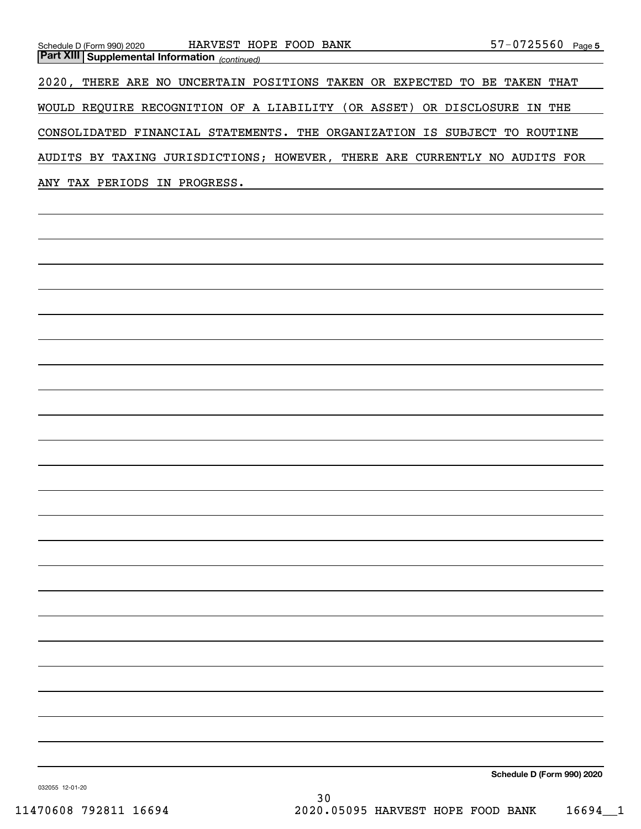| Schedule D (Form 990) 2020                            | HARVEST HOPE FOOD BANK         |                                                                   | 57-0725560<br>Page 5    |
|-------------------------------------------------------|--------------------------------|-------------------------------------------------------------------|-------------------------|
| <b>Part XIII Supplemental Information</b> (continued) |                                |                                                                   |                         |
| $2020$ ,                                              |                                | THERE ARE NO UNCERTAIN POSITIONS TAKEN OR EXPECTED                | BE TAKEN<br>TO.<br>THAT |
| <b>WOULD</b>                                          |                                | REQUIRE RECOGNITION OF A LIABILITY (OR ASSET) OR DISCLOSURE       | IN THE                  |
|                                                       |                                | CONSOLIDATED FINANCIAL STATEMENTS. THE ORGANIZATION IS SUBJECT TO | ROUTINE                 |
| AUDITS BY                                             | TAXING JURISDICTIONS; HOWEVER, | THERE ARE CURRENTLY NO                                            | AUDITS FOR              |
| TAX PERIODS IN PROGRESS.<br>ANY                       |                                |                                                                   |                         |

**Schedule D (Form 990) 2020**

032055 12-01-20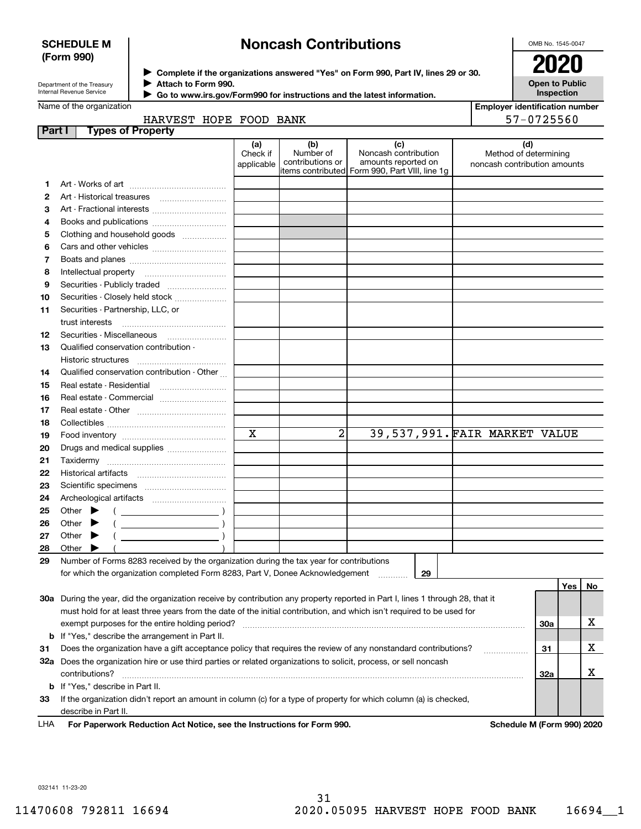#### **SCHEDULE M (Form 990)**

# **Noncash Contributions**

OMB No. 1545-0047

| Department of the Treasury |
|----------------------------|
| Internal Revenue Service   |

**Complete if the organizations answered "Yes" on Form 990, Part IV, lines 29 or 30.** <sup>J</sup>**2020 Attach to Form 990.** J

 **Go to www.irs.gov/Form990 for instructions and the latest information.** J

| OZ                                  |
|-------------------------------------|
| <b>Open to Public</b><br>Inspection |

**Employer identification number** 57-0725560

| HARVEST HOPE FOOD BANK |  |  |
|------------------------|--|--|
|                        |  |  |
|                        |  |  |

| Part I |       | <b>Types of Property</b>                                                                                                       |                               |                                      |                                                                                                       |                                                              |            |     |     |
|--------|-------|--------------------------------------------------------------------------------------------------------------------------------|-------------------------------|--------------------------------------|-------------------------------------------------------------------------------------------------------|--------------------------------------------------------------|------------|-----|-----|
|        |       |                                                                                                                                | (a)<br>Check if<br>applicable | (b)<br>Number of<br>contributions or | (c)<br>Noncash contribution<br>amounts reported on<br>items contributed  Form 990, Part VIII, line 1g | (d)<br>Method of determining<br>noncash contribution amounts |            |     |     |
| 1.     |       |                                                                                                                                |                               |                                      |                                                                                                       |                                                              |            |     |     |
| 2      |       | Art - Historical treasures                                                                                                     |                               |                                      |                                                                                                       |                                                              |            |     |     |
| З      |       |                                                                                                                                |                               |                                      |                                                                                                       |                                                              |            |     |     |
| 4      |       | Books and publications                                                                                                         |                               |                                      |                                                                                                       |                                                              |            |     |     |
| 5      |       | Clothing and household goods                                                                                                   |                               |                                      |                                                                                                       |                                                              |            |     |     |
| 6      |       | Cars and other vehicles                                                                                                        |                               |                                      |                                                                                                       |                                                              |            |     |     |
| 7      |       |                                                                                                                                |                               |                                      |                                                                                                       |                                                              |            |     |     |
| 8      |       | Intellectual property                                                                                                          |                               |                                      |                                                                                                       |                                                              |            |     |     |
| 9      |       | Securities - Publicly traded                                                                                                   |                               |                                      |                                                                                                       |                                                              |            |     |     |
| 10     |       | Securities - Closely held stock                                                                                                |                               |                                      |                                                                                                       |                                                              |            |     |     |
| 11     |       | Securities - Partnership, LLC, or<br>trust interests                                                                           |                               |                                      |                                                                                                       |                                                              |            |     |     |
| 12     |       | Securities - Miscellaneous                                                                                                     |                               |                                      |                                                                                                       |                                                              |            |     |     |
| 13     |       | Qualified conservation contribution -                                                                                          |                               |                                      |                                                                                                       |                                                              |            |     |     |
|        |       | Historic structures                                                                                                            |                               |                                      |                                                                                                       |                                                              |            |     |     |
| 14     |       | Qualified conservation contribution - Other                                                                                    |                               |                                      |                                                                                                       |                                                              |            |     |     |
| 15     |       | Real estate - Residential                                                                                                      |                               |                                      |                                                                                                       |                                                              |            |     |     |
| 16     |       | Real estate - Commercial                                                                                                       |                               |                                      |                                                                                                       |                                                              |            |     |     |
| 17     |       |                                                                                                                                |                               |                                      |                                                                                                       |                                                              |            |     |     |
| 18     |       |                                                                                                                                |                               |                                      |                                                                                                       |                                                              |            |     |     |
| 19     |       |                                                                                                                                | X                             | $\overline{a}$                       | 39,537,991. FAIR MARKET VALUE                                                                         |                                                              |            |     |     |
| 20     |       | Drugs and medical supplies                                                                                                     |                               |                                      |                                                                                                       |                                                              |            |     |     |
| 21     |       | Taxidermy                                                                                                                      |                               |                                      |                                                                                                       |                                                              |            |     |     |
| 22     |       |                                                                                                                                |                               |                                      |                                                                                                       |                                                              |            |     |     |
| 23     |       |                                                                                                                                |                               |                                      |                                                                                                       |                                                              |            |     |     |
| 24     |       |                                                                                                                                |                               |                                      |                                                                                                       |                                                              |            |     |     |
| 25     |       | Other $\blacktriangleright$<br>$\left(\begin{array}{ccc}\n\end{array}\right)$                                                  |                               |                                      |                                                                                                       |                                                              |            |     |     |
| 26     | Other |                                                                                                                                |                               |                                      |                                                                                                       |                                                              |            |     |     |
| 27     | Other |                                                                                                                                |                               |                                      |                                                                                                       |                                                              |            |     |     |
| 28     | Other |                                                                                                                                |                               |                                      |                                                                                                       |                                                              |            |     |     |
| 29     |       | Number of Forms 8283 received by the organization during the tax year for contributions                                        |                               |                                      |                                                                                                       |                                                              |            |     |     |
|        |       | for which the organization completed Form 8283, Part V, Donee Acknowledgement                                                  |                               |                                      | 29                                                                                                    |                                                              |            |     |     |
|        |       |                                                                                                                                |                               |                                      |                                                                                                       |                                                              |            | Yes | No. |
|        |       | 30a During the year, did the organization receive by contribution any property reported in Part I, lines 1 through 28, that it |                               |                                      |                                                                                                       |                                                              |            |     |     |
|        |       | must hold for at least three years from the date of the initial contribution, and which isn't required to be used for          |                               |                                      |                                                                                                       |                                                              |            |     |     |
|        |       | exempt purposes for the entire holding period?                                                                                 |                               |                                      |                                                                                                       |                                                              | <b>30a</b> |     | х   |
|        |       | <b>b</b> If "Yes," describe the arrangement in Part II.                                                                        |                               |                                      |                                                                                                       |                                                              |            |     |     |
| 31     |       | Does the organization have a gift acceptance policy that requires the review of any nonstandard contributions?                 |                               |                                      |                                                                                                       |                                                              | 31         |     | х   |
|        |       | 32a Does the organization hire or use third parties or related organizations to solicit, process, or sell noncash              |                               |                                      |                                                                                                       |                                                              |            |     |     |
|        |       | contributions?                                                                                                                 |                               |                                      |                                                                                                       |                                                              | 32a        |     | х   |
|        |       | <b>b</b> If "Yes," describe in Part II.                                                                                        |                               |                                      |                                                                                                       |                                                              |            |     |     |
| 33     |       | If the organization didn't report an amount in column (c) for a type of property for which column (a) is checked,              |                               |                                      |                                                                                                       |                                                              |            |     |     |

describe in Part II.

For Paperwork Reduction Act Notice, see the Instructions for Form 990. **Schedule M** (Form 990) 2020 LHA

032141 11-23-20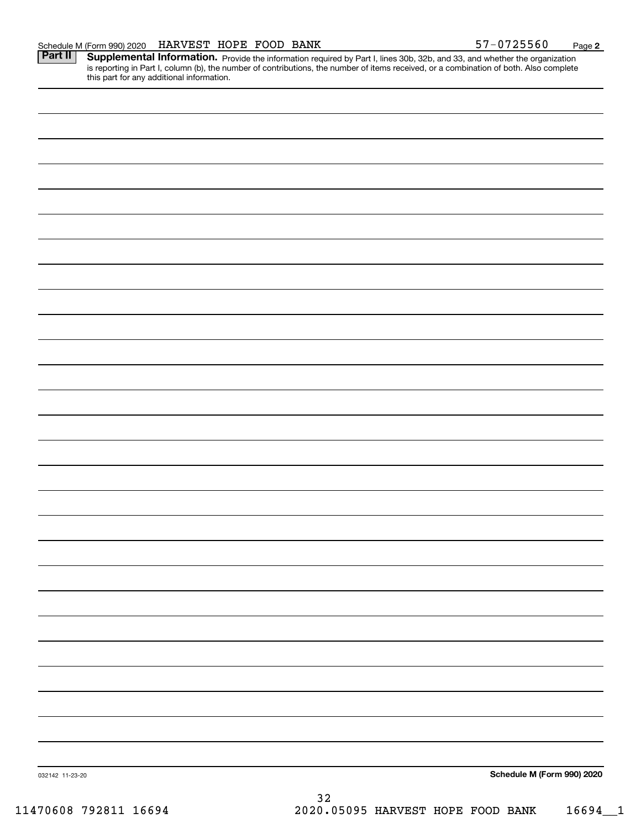Part II | Supplemental Information. Provide the information required by Part I, lines 30b, 32b, and 33, and whether the organization is reporting in Part I, column (b), the number of contributions, the number of items received, or a combination of both. Also complete this part for any additional information.

| 032142 11-23-20 | 32 | Schedule M (Form 990) 2020 |
|-----------------|----|----------------------------|
|                 |    |                            |
|                 |    |                            |
|                 |    |                            |
|                 |    |                            |
|                 |    |                            |
|                 |    |                            |
|                 |    |                            |
|                 |    |                            |
|                 |    |                            |
|                 |    |                            |
|                 |    |                            |
|                 |    |                            |
|                 |    |                            |
|                 |    |                            |
|                 |    |                            |
|                 |    |                            |
|                 |    |                            |
|                 |    |                            |
|                 |    |                            |
|                 |    |                            |
|                 |    |                            |
|                 |    |                            |
|                 |    |                            |
|                 |    |                            |
|                 |    |                            |
|                 |    |                            |
|                 |    |                            |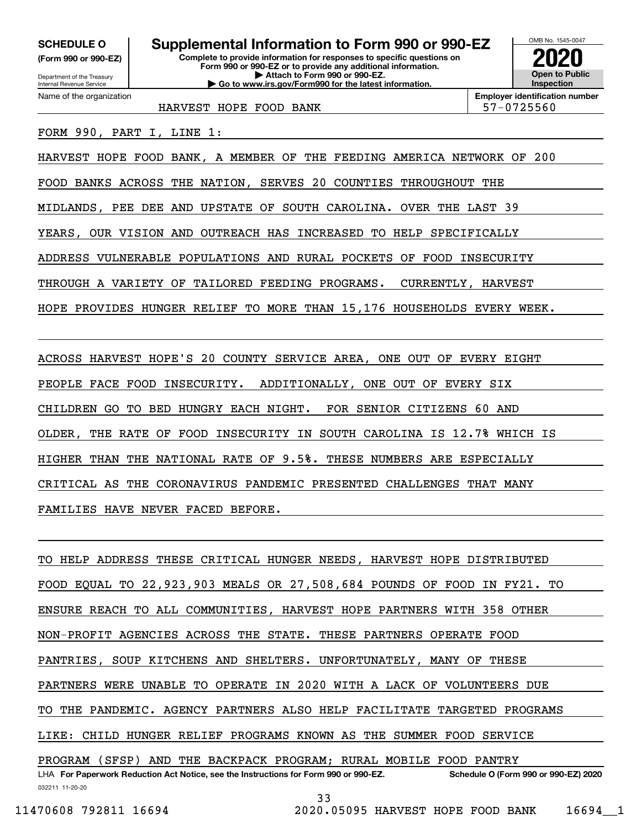**(Form 990 or 990-EZ)**

Department of the Treasury Internal Revenue Service Name of the organization

# **SCHEDULE O Supplemental Information to Form 990 or 990-EZ**

**Complete to provide information for responses to specific questions on Form 990 or 990-EZ or to provide any additional information. | Attach to Form 990 or 990-EZ. | Go to www.irs.gov/Form990 for the latest information.**



**Employer identification number**

HARVEST HOPE FOOD BANK FORE STRAIN STRAIN STRAIN STRAIN STRAIN STRAIN STRAIN STRAIN

FORM 990, PART I, LINE 1:

HARVEST HOPE FOOD BANK, A MEMBER OF THE FEEDING AMERICA NETWORK OF 200

FOOD BANKS ACROSS THE NATION, SERVES 20 COUNTIES THROUGHOUT THE

MIDLANDS, PEE DEE AND UPSTATE OF SOUTH CAROLINA. OVER THE LAST 39

YEARS, OUR VISION AND OUTREACH HAS INCREASED TO HELP SPECIFICALLY

ADDRESS VULNERABLE POPULATIONS AND RURAL POCKETS OF FOOD INSECURITY

THROUGH A VARIETY OF TAILORED FEEDING PROGRAMS. CURRENTLY, HARVEST

HOPE PROVIDES HUNGER RELIEF TO MORE THAN 15,176 HOUSEHOLDS EVERY WEEK.

ACROSS HARVEST HOPE'S 20 COUNTY SERVICE AREA, ONE OUT OF EVERY EIGHT PEOPLE FACE FOOD INSECURITY. ADDITIONALLY, ONE OUT OF EVERY SIX CHILDREN GO TO BED HUNGRY EACH NIGHT. FOR SENIOR CITIZENS 60 AND OLDER, THE RATE OF FOOD INSECURITY IN SOUTH CAROLINA IS 12.7% WHICH IS HIGHER THAN THE NATIONAL RATE OF 9.5%. THESE NUMBERS ARE ESPECIALLY CRITICAL AS THE CORONAVIRUS PANDEMIC PRESENTED CHALLENGES THAT MANY FAMILIES HAVE NEVER FACED BEFORE.

032211 11-20-20 LHA For Paperwork Reduction Act Notice, see the Instructions for Form 990 or 990-EZ. Schedule O (Form 990 or 990-EZ) 2020 TO HELP ADDRESS THESE CRITICAL HUNGER NEEDS, HARVEST HOPE DISTRIBUTED FOOD EQUAL TO 22,923,903 MEALS OR 27,508,684 POUNDS OF FOOD IN FY21. TO ENSURE REACH TO ALL COMMUNITIES, HARVEST HOPE PARTNERS WITH 358 OTHER NON-PROFIT AGENCIES ACROSS THE STATE. THESE PARTNERS OPERATE FOOD PANTRIES, SOUP KITCHENS AND SHELTERS. UNFORTUNATELY, MANY OF THESE PARTNERS WERE UNABLE TO OPERATE IN 2020 WITH A LACK OF VOLUNTEERS DUE TO THE PANDEMIC. AGENCY PARTNERS ALSO HELP FACILITATE TARGETED PROGRAMS LIKE: CHILD HUNGER RELIEF PROGRAMS KNOWN AS THE SUMMER FOOD SERVICE PROGRAM (SFSP) AND THE BACKPACK PROGRAM; RURAL MOBILE FOOD PANTRY

33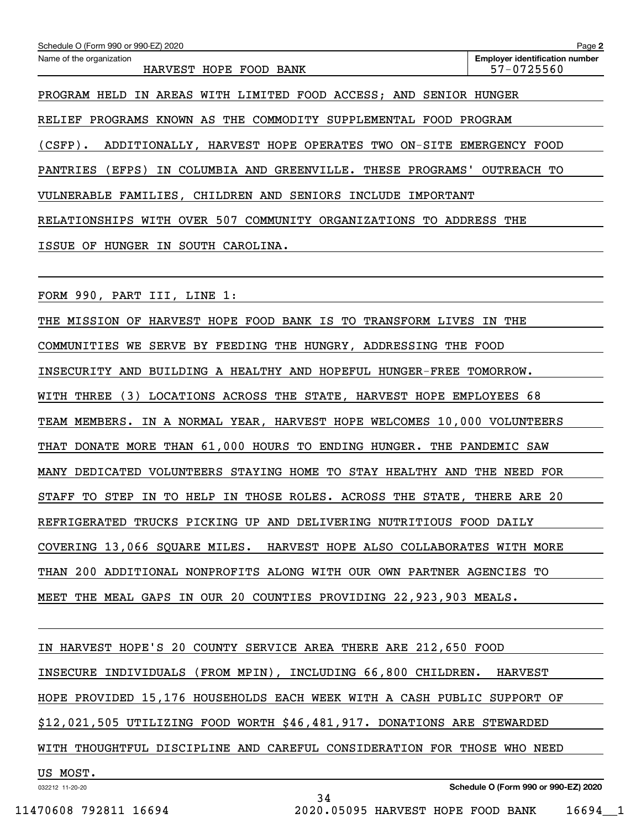| Schedule O (Form 990 or 990-EZ) 2020                                             | Page 2                                              |  |  |  |
|----------------------------------------------------------------------------------|-----------------------------------------------------|--|--|--|
| Name of the organization<br>HARVEST HOPE FOOD BANK                               | <b>Employer identification number</b><br>57-0725560 |  |  |  |
| PROGRAM HELD<br>IN AREAS WITH LIMITED FOOD ACCESS; AND SENIOR HUNGER             |                                                     |  |  |  |
| PROGRAMS KNOWN AS THE COMMODITY SUPPLEMENTAL FOOD<br>RELIEF                      | PROGRAM                                             |  |  |  |
| $(CSFP)$ .<br>ADDITIONALLY, HARVEST HOPE OPERATES TWO ON-SITE EMERGENCY FOOD     |                                                     |  |  |  |
| (EFPS)<br>COLUMBIA AND GREENVILLE. THESE PROGRAMS'<br>PANTRIES<br>IN             | OUTREACH<br>TО                                      |  |  |  |
| VULNERABLE FAMILIES, CHILDREN AND SENIORS INCLUDE IMPORTANT                      |                                                     |  |  |  |
| RELATIONSHIPS WITH OVER 507 COMMUNITY ORGANIZATIONS TO ADDRESS<br>THE            |                                                     |  |  |  |
| ISSUE OF<br>HUNGER<br>IN SOUTH CAROLINA.                                         |                                                     |  |  |  |
|                                                                                  |                                                     |  |  |  |
| FORM 990, PART III, LINE 1:                                                      |                                                     |  |  |  |
| THE MISSION OF HARVEST HOPE FOOD BANK IS TO TRANSFORM LIVES IN                   | THE                                                 |  |  |  |
| COMMUNITIES<br>SERVE BY FEEDING THE HUNGRY,<br>WE<br>ADDRESSING THE FOOD         |                                                     |  |  |  |
| INSECURITY AND BUILDING A HEALTHY AND HOPEFUL HUNGER-FREE TOMORROW.              |                                                     |  |  |  |
| (3)<br>THREE<br>LOCATIONS ACROSS<br>THE<br>STATE, HARVEST HOPE EMPLOYEES<br>WITH | 68                                                  |  |  |  |

TEAM MEMBERS. IN A NORMAL YEAR, HARVEST HOPE WELCOMES 10,000 VOLUNTEERS

THAT DONATE MORE THAN 61,000 HOURS TO ENDING HUNGER. THE PANDEMIC SAW

MANY DEDICATED VOLUNTEERS STAYING HOME TO STAY HEALTHY AND THE NEED FOR

STAFF TO STEP IN TO HELP IN THOSE ROLES. ACROSS THE STATE, THERE ARE 20

REFRIGERATED TRUCKS PICKING UP AND DELIVERING NUTRITIOUS FOOD DAILY

COVERING 13,066 SQUARE MILES. HARVEST HOPE ALSO COLLABORATES WITH MORE

THAN 200 ADDITIONAL NONPROFITS ALONG WITH OUR OWN PARTNER AGENCIES TO

MEET THE MEAL GAPS IN OUR 20 COUNTIES PROVIDING 22,923,903 MEALS.

IN HARVEST HOPE'S 20 COUNTY SERVICE AREA THERE ARE 212,650 FOOD INSECURE INDIVIDUALS (FROM MPIN), INCLUDING 66,800 CHILDREN. HARVEST HOPE PROVIDED 15,176 HOUSEHOLDS EACH WEEK WITH A CASH PUBLIC SUPPORT OF \$12,021,505 UTILIZING FOOD WORTH \$46,481,917. DONATIONS ARE STEWARDED WITH THOUGHTFUL DISCIPLINE AND CAREFUL CONSIDERATION FOR THOSE WHO NEED US MOST.

34

032212 11-20-20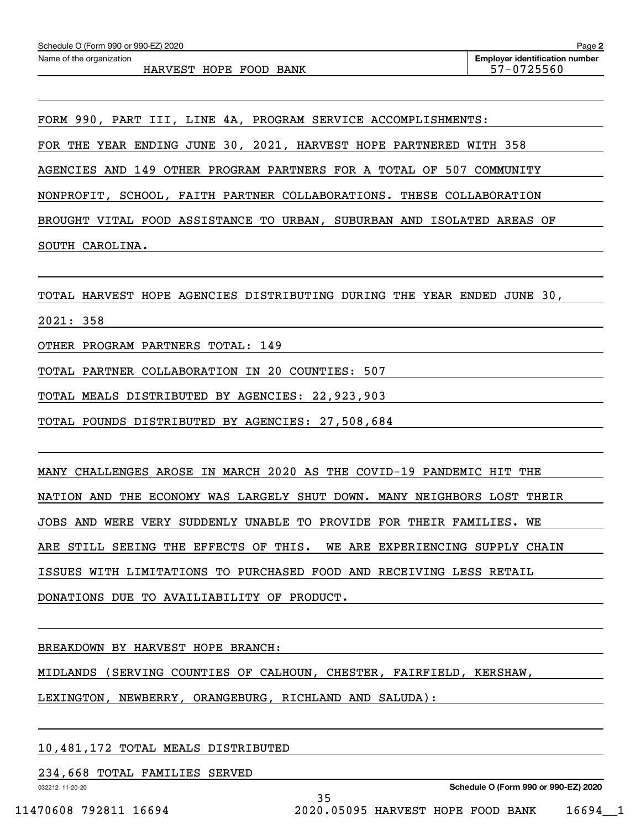FORM 990, PART III, LINE 4A, PROGRAM SERVICE ACCOMPLISHMENTS: FOR THE YEAR ENDING JUNE 30, 2021, HARVEST HOPE PARTNERED WITH 358 AGENCIES AND 149 OTHER PROGRAM PARTNERS FOR A TOTAL OF 507 COMMUNITY NONPROFIT, SCHOOL, FAITH PARTNER COLLABORATIONS. THESE COLLABORATION BROUGHT VITAL FOOD ASSISTANCE TO URBAN, SUBURBAN AND ISOLATED AREAS OF SOUTH CAROLINA.

TOTAL HARVEST HOPE AGENCIES DISTRIBUTING DURING THE YEAR ENDED JUNE 30,

2021: 358

OTHER PROGRAM PARTNERS TOTAL: 149

TOTAL PARTNER COLLABORATION IN 20 COUNTIES: 507

TOTAL MEALS DISTRIBUTED BY AGENCIES: 22,923,903

TOTAL POUNDS DISTRIBUTED BY AGENCIES: 27,508,684

MANY CHALLENGES AROSE IN MARCH 2020 AS THE COVID-19 PANDEMIC HIT THE NATION AND THE ECONOMY WAS LARGELY SHUT DOWN. MANY NEIGHBORS LOST THEIR JOBS AND WERE VERY SUDDENLY UNABLE TO PROVIDE FOR THEIR FAMILIES. WE ARE STILL SEEING THE EFFECTS OF THIS. WE ARE EXPERIENCING SUPPLY CHAIN ISSUES WITH LIMITATIONS TO PURCHASED FOOD AND RECEIVING LESS RETAIL DONATIONS DUE TO AVAILIABILITY OF PRODUCT.

BREAKDOWN BY HARVEST HOPE BRANCH:

MIDLANDS (SERVING COUNTIES OF CALHOUN, CHESTER, FAIRFIELD, KERSHAW,

35

LEXINGTON, NEWBERRY, ORANGEBURG, RICHLAND AND SALUDA):

#### 10,481,172 TOTAL MEALS DISTRIBUTED

234,668 TOTAL FAMILIES SERVED

032212 11-20-20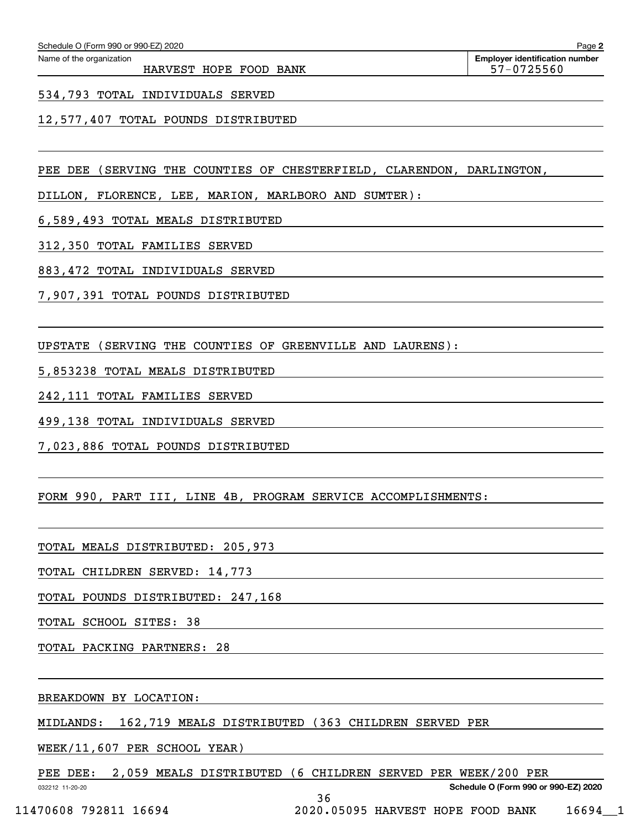HARVEST HOPE FOOD BANK 57-0725560

#### 534,793 TOTAL INDIVIDUALS SERVED

### 12,577,407 TOTAL POUNDS DISTRIBUTED

PEE DEE (SERVING THE COUNTIES OF CHESTERFIELD, CLARENDON, DARLINGTON,

DILLON, FLORENCE, LEE, MARION, MARLBORO AND SUMTER):

6,589,493 TOTAL MEALS DISTRIBUTED

312,350 TOTAL FAMILIES SERVED

883,472 TOTAL INDIVIDUALS SERVED

7,907,391 TOTAL POUNDS DISTRIBUTED

UPSTATE (SERVING THE COUNTIES OF GREENVILLE AND LAURENS):

5,853238 TOTAL MEALS DISTRIBUTED

242,111 TOTAL FAMILIES SERVED

499,138 TOTAL INDIVIDUALS SERVED

7,023,886 TOTAL POUNDS DISTRIBUTED

FORM 990, PART III, LINE 4B, PROGRAM SERVICE ACCOMPLISHMENTS:

TOTAL MEALS DISTRIBUTED: 205,973

TOTAL CHILDREN SERVED: 14,773

TOTAL POUNDS DISTRIBUTED: 247,168

TOTAL SCHOOL SITES: 38

TOTAL PACKING PARTNERS: 28

BREAKDOWN BY LOCATION:

MIDLANDS: 162,719 MEALS DISTRIBUTED (363 CHILDREN SERVED PER

WEEK/11,607 PER SCHOOL YEAR)

PEE DEE: 2,059 MEALS DISTRIBUTED (6 CHILDREN SERVED PER WEEK/200 PER

36

**Schedule O (Form 990 or 990-EZ) 2020**

032212 11-20-20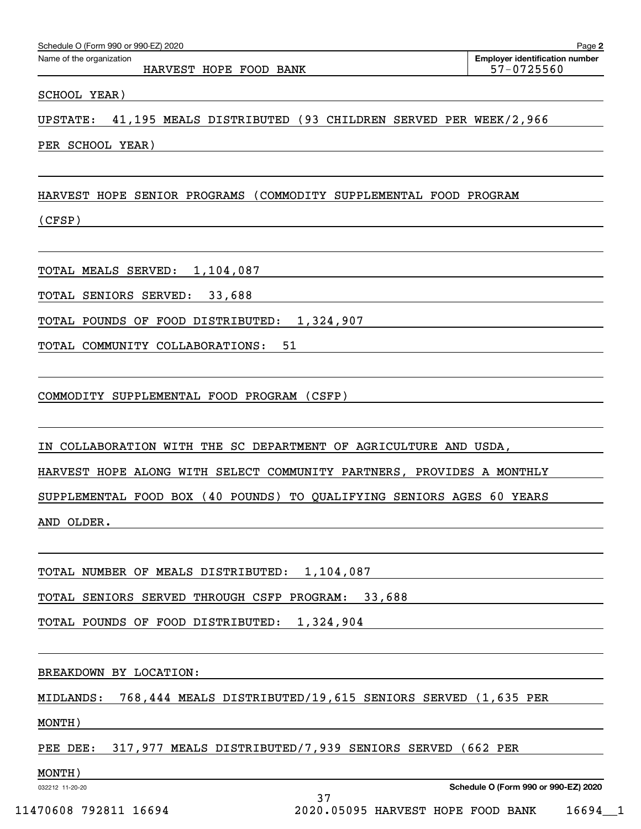| Schedule O (Form 990 or 990-EZ) 2020                                           | Page 2                                              |
|--------------------------------------------------------------------------------|-----------------------------------------------------|
| Name of the organization<br>HARVEST HOPE FOOD BANK                             | <b>Employer identification number</b><br>57-0725560 |
| SCHOOL YEAR)                                                                   |                                                     |
| 41,195 MEALS DISTRIBUTED (93 CHILDREN SERVED PER WEEK/2,966<br><b>UPSTATE:</b> |                                                     |
| PER SCHOOL YEAR)                                                               |                                                     |
| HARVEST HOPE SENIOR PROGRAMS (COMMODITY SUPPLEMENTAL FOOD PROGRAM              |                                                     |
| (CFSP)                                                                         |                                                     |
| TOTAL MEALS SERVED: 1,104,087                                                  |                                                     |
| TOTAL SENIORS SERVED:<br>33,688                                                |                                                     |
| 1,324,907<br>TOTAL POUNDS OF FOOD DISTRIBUTED:                                 |                                                     |
| 51<br>TOTAL COMMUNITY COLLABORATIONS:                                          |                                                     |
| COMMODITY SUPPLEMENTAL FOOD PROGRAM (CSFP)                                     |                                                     |
| IN COLLABORATION WITH THE SC DEPARTMENT OF AGRICULTURE AND USDA,               |                                                     |
| HARVEST HOPE ALONG WITH SELECT COMMUNITY PARTNERS, PROVIDES A MONTHLY          |                                                     |
| SUPPLEMENTAL FOOD BOX (40 POUNDS) TO QUALIFYING SENIORS AGES 60 YEARS          |                                                     |
| AND OLDER.                                                                     |                                                     |
| TOTAL NUMBER OF MEALS DISTRIBUTED: 1,104,087                                   |                                                     |
| TOTAL SENIORS SERVED THROUGH CSFP PROGRAM: 33,688                              |                                                     |
| TOTAL POUNDS OF FOOD DISTRIBUTED: 1,324,904                                    |                                                     |
| BREAKDOWN BY LOCATION:                                                         |                                                     |
| 768,444 MEALS DISTRIBUTED/19,615 SENIORS SERVED (1,635 PER<br>MIDLANDS:        |                                                     |
| MONTH)                                                                         |                                                     |
| PEE DEE: 317,977 MEALS DISTRIBUTED/7,939 SENIORS SERVED (662 PER               |                                                     |
| MONTH)<br>032212 11-20-20                                                      | Schedule O (Form 990 or 990-EZ) 2020                |
| 37<br>170000700117001<br>2020 AEAAE HADIERE HADE BOOD DANIE                    |                                                     |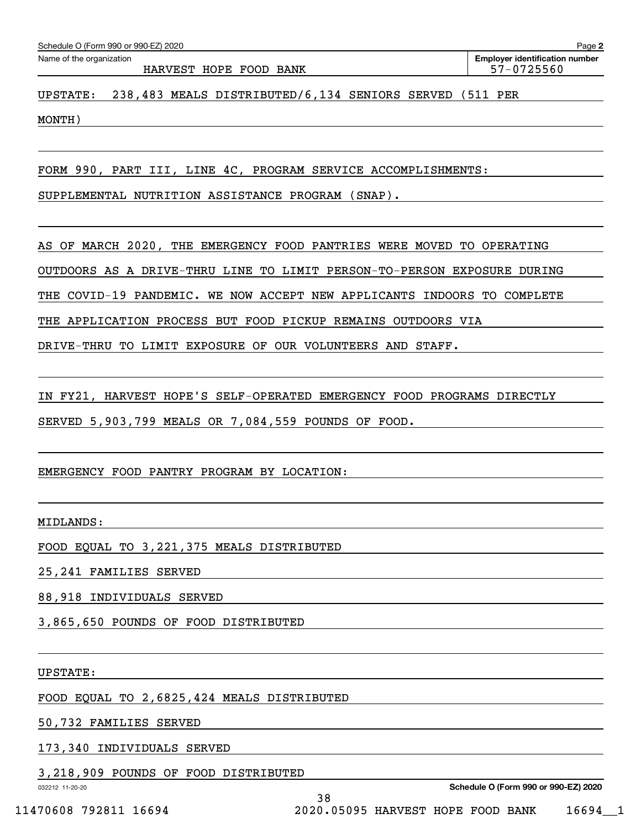| Schedule O (Form 990 or 990-EZ) 2020 | Page 2                                |
|--------------------------------------|---------------------------------------|
| Name of the organization             | <b>Employer identification number</b> |
| HARVEST HOPE FOOD BANK               | 57-0725560                            |
|                                      |                                       |

UPSTATE: 238,483 MEALS DISTRIBUTED/6,134 SENIORS SERVED (511 PER

MONTH)

FORM 990, PART III, LINE 4C, PROGRAM SERVICE ACCOMPLISHMENTS:

SUPPLEMENTAL NUTRITION ASSISTANCE PROGRAM (SNAP).

AS OF MARCH 2020, THE EMERGENCY FOOD PANTRIES WERE MOVED TO OPERATING

OUTDOORS AS A DRIVE-THRU LINE TO LIMIT PERSON-TO-PERSON EXPOSURE DURING

THE COVID-19 PANDEMIC. WE NOW ACCEPT NEW APPLICANTS INDOORS TO COMPLETE

THE APPLICATION PROCESS BUT FOOD PICKUP REMAINS OUTDOORS VIA

DRIVE-THRU TO LIMIT EXPOSURE OF OUR VOLUNTEERS AND STAFF.

IN FY21, HARVEST HOPE'S SELF-OPERATED EMERGENCY FOOD PROGRAMS DIRECTLY

38

SERVED 5,903,799 MEALS OR 7,084,559 POUNDS OF FOOD.

### EMERGENCY FOOD PANTRY PROGRAM BY LOCATION:

MIDLANDS:

FOOD EQUAL TO 3,221,375 MEALS DISTRIBUTED

25,241 FAMILIES SERVED

88,918 INDIVIDUALS SERVED

3,865,650 POUNDS OF FOOD DISTRIBUTED

UPSTATE:

FOOD EQUAL TO 2,6825,424 MEALS DISTRIBUTED

50,732 FAMILIES SERVED

173,340 INDIVIDUALS SERVED

3,218,909 POUNDS OF FOOD DISTRIBUTED

032212 11-20-20

**Schedule O (Form 990 or 990-EZ) 2020**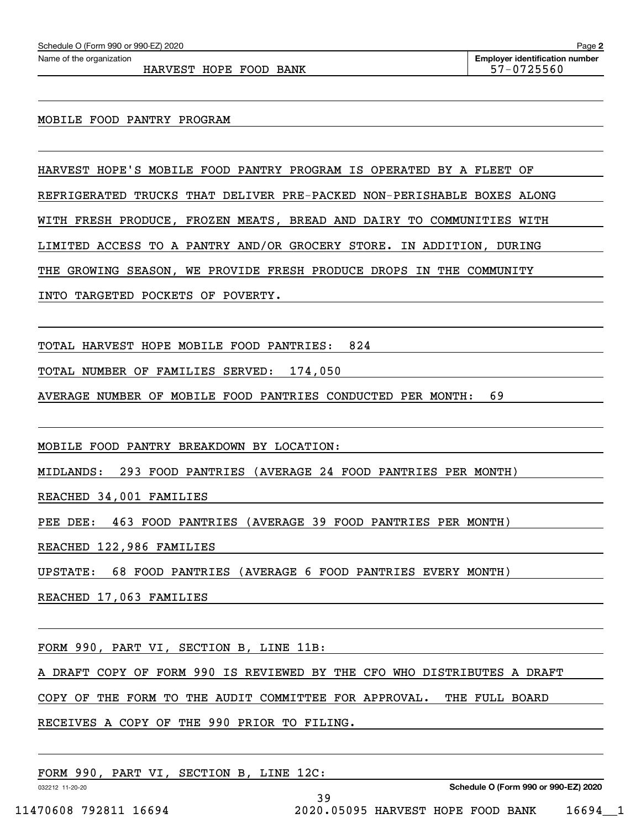HARVEST HOPE FOOD BANK 57-0725560

#### MOBILE FOOD PANTRY PROGRAM

HARVEST HOPE'S MOBILE FOOD PANTRY PROGRAM IS OPERATED BY A FLEET OF

REFRIGERATED TRUCKS THAT DELIVER PRE-PACKED NON-PERISHABLE BOXES ALONG

WITH FRESH PRODUCE, FROZEN MEATS, BREAD AND DAIRY TO COMMUNITIES WITH

LIMITED ACCESS TO A PANTRY AND/OR GROCERY STORE. IN ADDITION, DURING

THE GROWING SEASON, WE PROVIDE FRESH PRODUCE DROPS IN THE COMMUNITY

INTO TARGETED POCKETS OF POVERTY.

TOTAL HARVEST HOPE MOBILE FOOD PANTRIES: 824

TOTAL NUMBER OF FAMILIES SERVED: 174,050

AVERAGE NUMBER OF MOBILE FOOD PANTRIES CONDUCTED PER MONTH: 69

MOBILE FOOD PANTRY BREAKDOWN BY LOCATION:

MIDLANDS: 293 FOOD PANTRIES (AVERAGE 24 FOOD PANTRIES PER MONTH)

REACHED 34,001 FAMILIES

PEE DEE: 463 FOOD PANTRIES (AVERAGE 39 FOOD PANTRIES PER MONTH)

REACHED 122,986 FAMILIES

UPSTATE: 68 FOOD PANTRIES (AVERAGE 6 FOOD PANTRIES EVERY MONTH)

REACHED 17,063 FAMILIES

FORM 990, PART VI, SECTION B, LINE 11B:

A DRAFT COPY OF FORM 990 IS REVIEWED BY THE CFO WHO DISTRIBUTES A DRAFT

39

COPY OF THE FORM TO THE AUDIT COMMITTEE FOR APPROVAL. THE FULL BOARD

RECEIVES A COPY OF THE 990 PRIOR TO FILING.

FORM 990, PART VI, SECTION B, LINE 12C:

032212 11-20-20

**Schedule O (Form 990 or 990-EZ) 2020**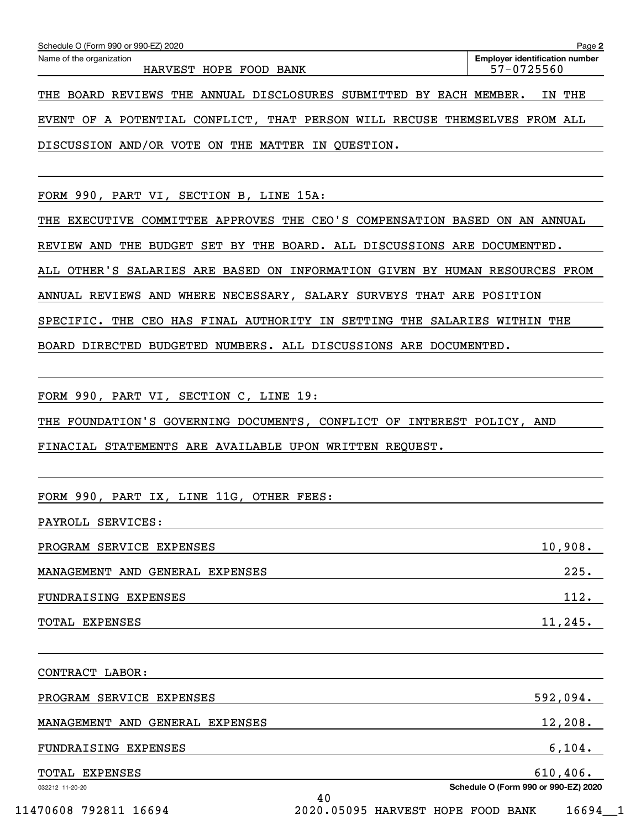| Schedule O (Form 990 or 990-EZ) 2020                                        | Page 2                                                                                    |
|-----------------------------------------------------------------------------|-------------------------------------------------------------------------------------------|
| Name of the organization<br>HARVEST HOPE FOOD BANK                          | <b>Employer identification number</b><br>57-0725560                                       |
| THE BOARD REVIEWS THE ANNUAL DISCLOSURES SUBMITTED BY EACH MEMBER.          | IN THE                                                                                    |
| EVENT OF A POTENTIAL CONFLICT, THAT PERSON WILL RECUSE THEMSELVES FROM ALL  |                                                                                           |
| DISCUSSION AND/OR VOTE ON THE MATTER IN QUESTION.                           | the control of the control of the control of the control of the control of the control of |
|                                                                             |                                                                                           |
| FORM 990, PART VI, SECTION B, LINE 15A:                                     |                                                                                           |
| THE EXECUTIVE COMMITTEE APPROVES THE CEO'S COMPENSATION BASED ON AN ANNUAL  |                                                                                           |
| REVIEW AND THE BUDGET SET BY THE BOARD. ALL DISCUSSIONS ARE DOCUMENTED.     |                                                                                           |
| ALL OTHER'S SALARIES ARE BASED ON INFORMATION GIVEN BY HUMAN RESOURCES FROM |                                                                                           |
| ANNUAL REVIEWS AND WHERE NECESSARY, SALARY SURVEYS THAT ARE POSITION        |                                                                                           |
| SPECIFIC. THE CEO HAS FINAL AUTHORITY IN SETTING THE SALARIES WITHIN THE    |                                                                                           |
| BOARD DIRECTED BUDGETED NUMBERS. ALL DISCUSSIONS ARE DOCUMENTED.            |                                                                                           |
|                                                                             |                                                                                           |
| FORM 990, PART VI, SECTION C, LINE 19:                                      |                                                                                           |
| THE FOUNDATION'S GOVERNING DOCUMENTS, CONFLICT OF INTEREST POLICY, AND      |                                                                                           |
| FINACIAL STATEMENTS ARE AVAILABLE UPON WRITTEN REQUEST.                     |                                                                                           |
|                                                                             |                                                                                           |
| FORM 990, PART IX, LINE 11G, OTHER FEES:                                    |                                                                                           |
| PAYROLL SERVICES:                                                           |                                                                                           |
| PROGRAM SERVICE EXPENSES                                                    | 10,908.                                                                                   |
| MANAGEMENT AND GENERAL EXPENSES                                             | 225.                                                                                      |
| FUNDRAISING EXPENSES                                                        | 112.                                                                                      |
| TOTAL EXPENSES                                                              | 11, 245.                                                                                  |
|                                                                             |                                                                                           |
| CONTRACT LABOR:                                                             |                                                                                           |
| PROGRAM SERVICE EXPENSES                                                    | 592,094.                                                                                  |

MANAGEMENT AND GENERAL EXPENSES 12,208.

40

# FUNDRAISING EXPENSES 6,104.

TOTAL EXPENSES 610,406.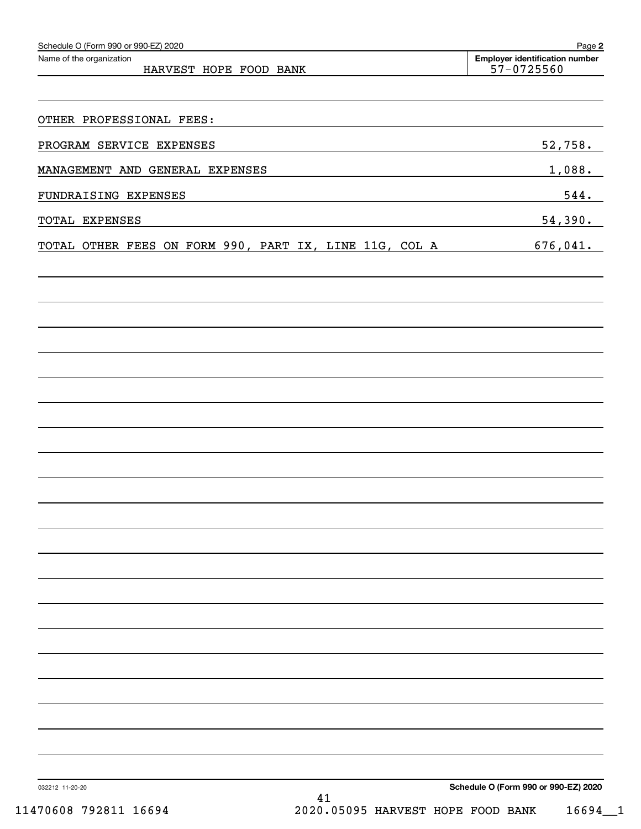| Schedule O (Form 990 or 990-EZ) 2020<br>Name of the organization | Page 2<br><b>Employer identification number</b> |
|------------------------------------------------------------------|-------------------------------------------------|
| HARVEST HOPE FOOD BANK                                           | 57-0725560                                      |
|                                                                  |                                                 |
| OTHER PROFESSIONAL FEES:                                         |                                                 |
| PROGRAM SERVICE EXPENSES                                         | 52,758.                                         |
| MANAGEMENT AND GENERAL EXPENSES                                  | <u>1,088.</u>                                   |
| FUNDRAISING EXPENSES                                             | 544.                                            |
| TOTAL EXPENSES                                                   | 54,390.                                         |
| TOTAL OTHER FEES ON FORM 990, PART IX, LINE 11G, COL A           | 676,041.                                        |
|                                                                  |                                                 |
|                                                                  |                                                 |
|                                                                  |                                                 |
|                                                                  |                                                 |
|                                                                  |                                                 |
|                                                                  |                                                 |
|                                                                  |                                                 |
|                                                                  |                                                 |
|                                                                  |                                                 |
|                                                                  |                                                 |
|                                                                  |                                                 |
|                                                                  |                                                 |
|                                                                  |                                                 |
|                                                                  |                                                 |
|                                                                  |                                                 |
|                                                                  |                                                 |
|                                                                  |                                                 |
|                                                                  |                                                 |
|                                                                  |                                                 |
|                                                                  |                                                 |
|                                                                  |                                                 |
|                                                                  |                                                 |
| 032212 11-20-20<br>$\Lambda$ 1                                   | Schedule O (Form 990 or 990-EZ) 2020            |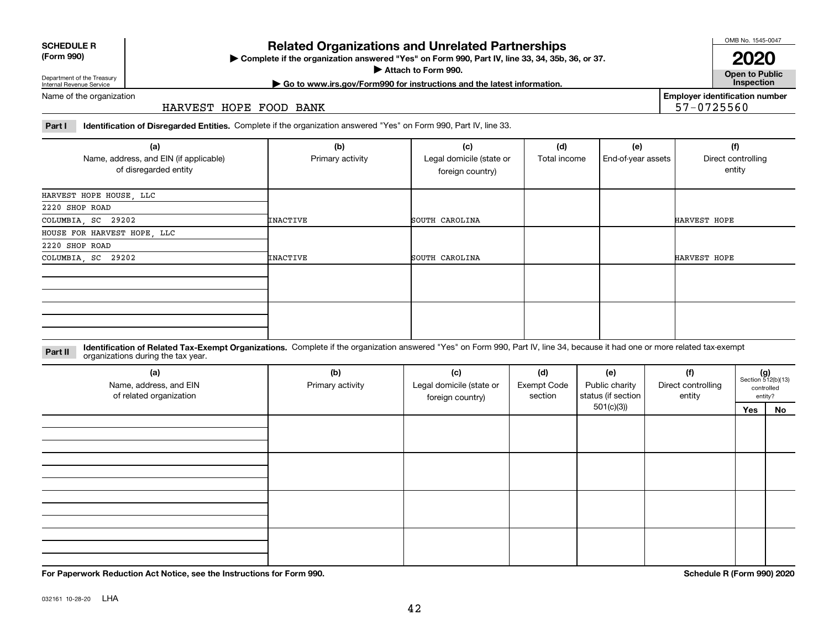032161 10-28-20 LHA

# **Related Organizations and Unrelated Partnerships**

**Complete if the organization answered "Yes" on Form 990, Part IV, line 33, 34, 35b, 36, or 37.** |

**Attach to Form 990.**  |

**Open to Public | Go to www.irs.gov/Form990 for instructions and the latest information. Inspection**

**Employer identification number**

57-0725560

Name of the organization

Department of the Treasury Internal Revenue Service

#### HARVEST HOPE FOOD BANK

**Part I Identification of Disregarded Entities.**  Complete if the organization answered "Yes" on Form 990, Part IV, line 33.

| (a)<br>Name, address, and EIN (if applicable)<br>of disregarded entity | (b)<br>Primary activity | (c)<br>Legal domicile (state or<br>foreign country) | (d)<br>Total income | (e)<br>End-of-year assets | (f)<br>Direct controlling<br>entity |
|------------------------------------------------------------------------|-------------------------|-----------------------------------------------------|---------------------|---------------------------|-------------------------------------|
| HARVEST HOPE HOUSE, LLC                                                |                         |                                                     |                     |                           |                                     |
| 2220 SHOP ROAD                                                         |                         |                                                     |                     |                           |                                     |
| COLUMBIA, SC 29202                                                     | INACTIVE                | SOUTH CAROLINA                                      |                     |                           | HARVEST HOPE                        |
| HOUSE FOR HARVEST HOPE, LLC                                            |                         |                                                     |                     |                           |                                     |
| 2220 SHOP ROAD                                                         |                         |                                                     |                     |                           |                                     |
| COLUMBIA, SC 29202                                                     | <b>INACTIVE</b>         | SOUTH CAROLINA                                      |                     |                           | HARVEST HOPE                        |
|                                                                        |                         |                                                     |                     |                           |                                     |
|                                                                        |                         |                                                     |                     |                           |                                     |

**Identification of Related Tax-Exempt Organizations.** Complete if the organization answered "Yes" on Form 990, Part IV, line 34, because it had one or more related tax-exempt **Part II** organizations during the tax year.

| (a)<br>Name, address, and EIN<br>of related organization | (b)<br>Primary activity | (c)<br>Legal domicile (state or<br>foreign country) | (d)<br>Exempt Code<br>section | (e)<br>Public charity<br>status (if section | (f)<br>Direct controlling<br>entity |     | $(g)$<br>Section 512(b)(13)<br>controlled<br>entity? |
|----------------------------------------------------------|-------------------------|-----------------------------------------------------|-------------------------------|---------------------------------------------|-------------------------------------|-----|------------------------------------------------------|
|                                                          |                         |                                                     |                               | 501(c)(3)                                   |                                     | Yes | No                                                   |
|                                                          |                         |                                                     |                               |                                             |                                     |     |                                                      |
|                                                          |                         |                                                     |                               |                                             |                                     |     |                                                      |
|                                                          |                         |                                                     |                               |                                             |                                     |     |                                                      |
|                                                          |                         |                                                     |                               |                                             |                                     |     |                                                      |
|                                                          |                         |                                                     |                               |                                             |                                     |     |                                                      |
|                                                          |                         |                                                     |                               |                                             |                                     |     |                                                      |
|                                                          |                         |                                                     |                               |                                             |                                     |     |                                                      |
|                                                          |                         |                                                     |                               |                                             |                                     |     |                                                      |
|                                                          |                         |                                                     |                               |                                             |                                     |     |                                                      |
|                                                          |                         |                                                     |                               |                                             |                                     |     |                                                      |
|                                                          |                         |                                                     |                               |                                             |                                     |     |                                                      |
|                                                          |                         |                                                     |                               |                                             |                                     |     |                                                      |

**SCHEDULE R**

**(Form 990)**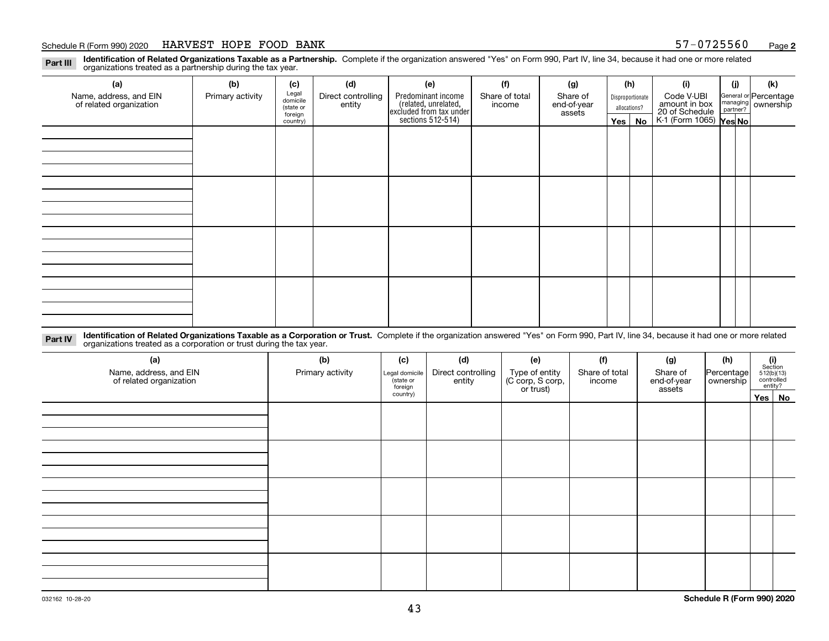#### Schedule R (Form 990) 2020  $\rm{HARKVEST}$  HOPE FOOD BANK 57-0725560 <sub>Page</sub>

**2**

**Identification of Related Organizations Taxable as a Partnership.** Complete if the organization answered "Yes" on Form 990, Part IV, line 34, because it had one or more related **Part III** organizations treated as a partnership during the tax year.

| (a)                                               | (b)              | (c)                  | (d)                          | (e)                                                                 | (f)                      | (g)                     |         | (h)              | (i)                                      | (j)                                                       | (k) |
|---------------------------------------------------|------------------|----------------------|------------------------------|---------------------------------------------------------------------|--------------------------|-------------------------|---------|------------------|------------------------------------------|-----------------------------------------------------------|-----|
| Name, address, and EIN<br>of related organization | Primary activity | Legal<br>domicile    | Direct controlling<br>entity | Predominant income                                                  | Share of total<br>income | Share of<br>end-of-year |         | Disproportionate | Code V-UBI<br>amount in box              | General or Percentage<br>managing<br>partner?<br>partner? |     |
|                                                   |                  | (state or<br>foreign |                              |                                                                     |                          | assets                  |         | allocations?     |                                          |                                                           |     |
|                                                   |                  | country)             |                              | related, unrelated,<br>excluded from tax under<br>sections 512-514) |                          |                         | Yes $ $ | No               | 20 of Schedule<br>K-1 (Form 1065) Yes No |                                                           |     |
|                                                   |                  |                      |                              |                                                                     |                          |                         |         |                  |                                          |                                                           |     |
|                                                   |                  |                      |                              |                                                                     |                          |                         |         |                  |                                          |                                                           |     |
|                                                   |                  |                      |                              |                                                                     |                          |                         |         |                  |                                          |                                                           |     |
|                                                   |                  |                      |                              |                                                                     |                          |                         |         |                  |                                          |                                                           |     |
|                                                   |                  |                      |                              |                                                                     |                          |                         |         |                  |                                          |                                                           |     |
|                                                   |                  |                      |                              |                                                                     |                          |                         |         |                  |                                          |                                                           |     |
|                                                   |                  |                      |                              |                                                                     |                          |                         |         |                  |                                          |                                                           |     |
|                                                   |                  |                      |                              |                                                                     |                          |                         |         |                  |                                          |                                                           |     |
|                                                   |                  |                      |                              |                                                                     |                          |                         |         |                  |                                          |                                                           |     |
|                                                   |                  |                      |                              |                                                                     |                          |                         |         |                  |                                          |                                                           |     |
|                                                   |                  |                      |                              |                                                                     |                          |                         |         |                  |                                          |                                                           |     |
|                                                   |                  |                      |                              |                                                                     |                          |                         |         |                  |                                          |                                                           |     |
|                                                   |                  |                      |                              |                                                                     |                          |                         |         |                  |                                          |                                                           |     |
|                                                   |                  |                      |                              |                                                                     |                          |                         |         |                  |                                          |                                                           |     |
|                                                   |                  |                      |                              |                                                                     |                          |                         |         |                  |                                          |                                                           |     |
|                                                   |                  |                      |                              |                                                                     |                          |                         |         |                  |                                          |                                                           |     |
|                                                   |                  |                      |                              |                                                                     |                          |                         |         |                  |                                          |                                                           |     |

**Identification of Related Organizations Taxable as a Corporation or Trust.** Complete if the organization answered "Yes" on Form 990, Part IV, line 34, because it had one or more related **Part IV** organizations treated as a corporation or trust during the tax year.

| (a)<br>Name, address, and EIN<br>of related organization | (b)<br>Primary activity | (c)<br>Legal domicile<br>(state or<br>foreign | (d)<br>Direct controlling<br>entity | (e)<br>Type of entity<br>(C corp, S corp,<br>or trust) | (f)<br>Share of total<br>income | (g)<br>Share of<br>end-of-year<br>assets | (h)<br>Percentage<br>ownership | $\begin{array}{c} \textbf{(i)}\\ \text{Section}\\ 512 \text{(b)} \text{(13)}\\ \text{controlled} \\ \text{entity?} \end{array}$ |
|----------------------------------------------------------|-------------------------|-----------------------------------------------|-------------------------------------|--------------------------------------------------------|---------------------------------|------------------------------------------|--------------------------------|---------------------------------------------------------------------------------------------------------------------------------|
|                                                          |                         | country)                                      |                                     |                                                        |                                 |                                          |                                | Yes No                                                                                                                          |
|                                                          |                         |                                               |                                     |                                                        |                                 |                                          |                                |                                                                                                                                 |
|                                                          |                         |                                               |                                     |                                                        |                                 |                                          |                                |                                                                                                                                 |
|                                                          |                         |                                               |                                     |                                                        |                                 |                                          |                                |                                                                                                                                 |
|                                                          |                         |                                               |                                     |                                                        |                                 |                                          |                                |                                                                                                                                 |
|                                                          |                         |                                               |                                     |                                                        |                                 |                                          |                                |                                                                                                                                 |
|                                                          |                         |                                               |                                     |                                                        |                                 |                                          |                                |                                                                                                                                 |
|                                                          |                         |                                               |                                     |                                                        |                                 |                                          |                                |                                                                                                                                 |
|                                                          |                         |                                               |                                     |                                                        |                                 |                                          |                                |                                                                                                                                 |
|                                                          |                         |                                               |                                     |                                                        |                                 |                                          |                                |                                                                                                                                 |
|                                                          |                         |                                               |                                     |                                                        |                                 |                                          |                                |                                                                                                                                 |
|                                                          |                         |                                               |                                     |                                                        |                                 |                                          |                                |                                                                                                                                 |
|                                                          |                         |                                               |                                     |                                                        |                                 |                                          |                                |                                                                                                                                 |
|                                                          |                         |                                               |                                     |                                                        |                                 |                                          |                                |                                                                                                                                 |
|                                                          |                         |                                               |                                     |                                                        |                                 |                                          |                                |                                                                                                                                 |
|                                                          |                         |                                               |                                     |                                                        |                                 |                                          |                                |                                                                                                                                 |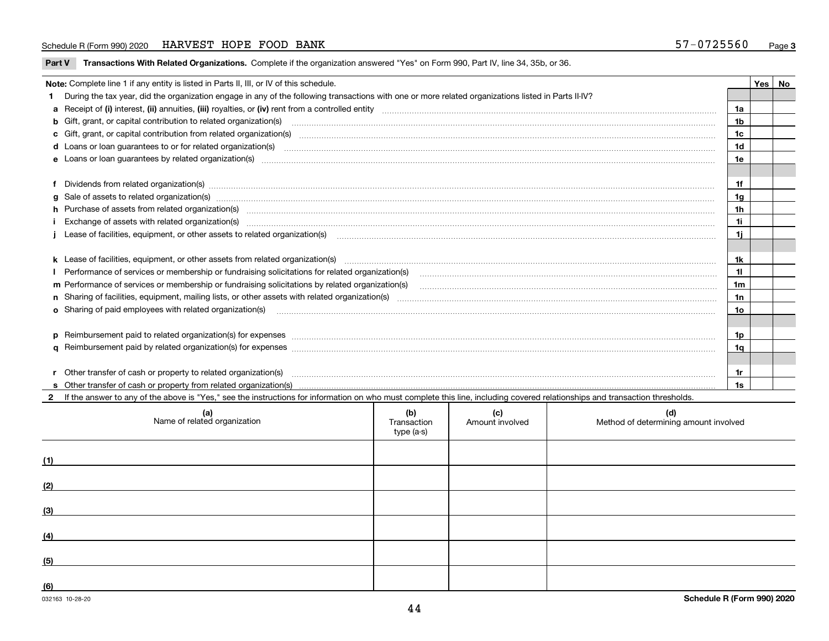#### Schedule R (Form 990) 2020  $\rm{HARKVEST}$  HOPE FOOD BANK 57-0725560 <sub>Page</sub>

|  | Part V Transactions With Related Organizations. Complete if the organization answered "Yes" on Form 990, Part IV, line 34, 35b, or 36. |  |  |
|--|----------------------------------------------------------------------------------------------------------------------------------------|--|--|
|--|----------------------------------------------------------------------------------------------------------------------------------------|--|--|

| Note: Complete line 1 if any entity is listed in Parts II, III, or IV of this schedule. |                                                                                                                                                                                                                                       |    |  |  |  |  |  |
|-----------------------------------------------------------------------------------------|---------------------------------------------------------------------------------------------------------------------------------------------------------------------------------------------------------------------------------------|----|--|--|--|--|--|
|                                                                                         | 1 During the tax year, did the organization engage in any of the following transactions with one or more related organizations listed in Parts II-IV?                                                                                 |    |  |  |  |  |  |
|                                                                                         |                                                                                                                                                                                                                                       | 1a |  |  |  |  |  |
|                                                                                         | <b>b</b> Gift, grant, or capital contribution to related organization(s)                                                                                                                                                              | 1b |  |  |  |  |  |
|                                                                                         | c Gift, grant, or capital contribution from related organization(s)                                                                                                                                                                   | 1c |  |  |  |  |  |
|                                                                                         | <b>d</b> Loans or loan quarantees to or for related organization(s)                                                                                                                                                                   | 1d |  |  |  |  |  |
|                                                                                         | e Loans or loan quarantees by related organization(s)                                                                                                                                                                                 | 1e |  |  |  |  |  |
|                                                                                         |                                                                                                                                                                                                                                       |    |  |  |  |  |  |
|                                                                                         | f Dividends from related organization(s) manufactured contains and contained and contained contained and contained and contained and contained and contained and contained and contained and contained and contained and conta        | 1f |  |  |  |  |  |
|                                                                                         | $g$ Sale of assets to related organization(s) with an example and construction of the state of assets to related organization(s) with an example and construction of the state of assets to related organization(s) with an e         | 1g |  |  |  |  |  |
|                                                                                         | h Purchase of assets from related organization(s) manufactured and content to the content of the content of the content of the content of the content of the content of the content of the content of the content of the conte        | 1h |  |  |  |  |  |
|                                                                                         | 1i                                                                                                                                                                                                                                    |    |  |  |  |  |  |
|                                                                                         | Lease of facilities, equipment, or other assets to related organization(s) [11] manufaction manufaction in the manufaction (s) and manufaction (s) and manufaction in the manufaction of facilities, equipment, or other asset<br>1i. |    |  |  |  |  |  |
|                                                                                         |                                                                                                                                                                                                                                       |    |  |  |  |  |  |
|                                                                                         | k Lease of facilities, equipment, or other assets from related organization(s) manufaction content to the content of the content of facilities, equipment, or other assets from related organization(s) manufaction entertainm        | 1k |  |  |  |  |  |
|                                                                                         | Performance of services or membership or fundraising solicitations for related organization(s)                                                                                                                                        | 11 |  |  |  |  |  |
|                                                                                         | m Performance of services or membership or fundraising solicitations by related organization(s)                                                                                                                                       | 1m |  |  |  |  |  |
|                                                                                         |                                                                                                                                                                                                                                       | 1n |  |  |  |  |  |
|                                                                                         | <b>o</b> Sharing of paid employees with related organization(s)                                                                                                                                                                       | 10 |  |  |  |  |  |
|                                                                                         |                                                                                                                                                                                                                                       |    |  |  |  |  |  |
|                                                                                         | p Reimbursement paid to related organization(s) for expenses [1111] and the material content of the set of the set of the set of the set of the set of the set of the set of the set of the set of the set of the set of the s        | 1p |  |  |  |  |  |
|                                                                                         |                                                                                                                                                                                                                                       | 1q |  |  |  |  |  |
|                                                                                         |                                                                                                                                                                                                                                       |    |  |  |  |  |  |
|                                                                                         | r Other transfer of cash or property to related organization(s)                                                                                                                                                                       | 1r |  |  |  |  |  |
|                                                                                         |                                                                                                                                                                                                                                       | 1s |  |  |  |  |  |

**2**If the answer to any of the above is "Yes," see the instructions for information on who must complete this line, including covered relationships and transaction thresholds.

| (a)<br>Name of related organization | (b)<br>Transaction<br>type (a-s) | (c)<br>Amount involved | (d)<br>Method of determining amount involved |
|-------------------------------------|----------------------------------|------------------------|----------------------------------------------|
| (1)                                 |                                  |                        |                                              |
| (2)                                 |                                  |                        |                                              |
| (3)                                 |                                  |                        |                                              |
| (4)                                 |                                  |                        |                                              |
| (5)                                 |                                  |                        |                                              |
| (6)                                 |                                  |                        |                                              |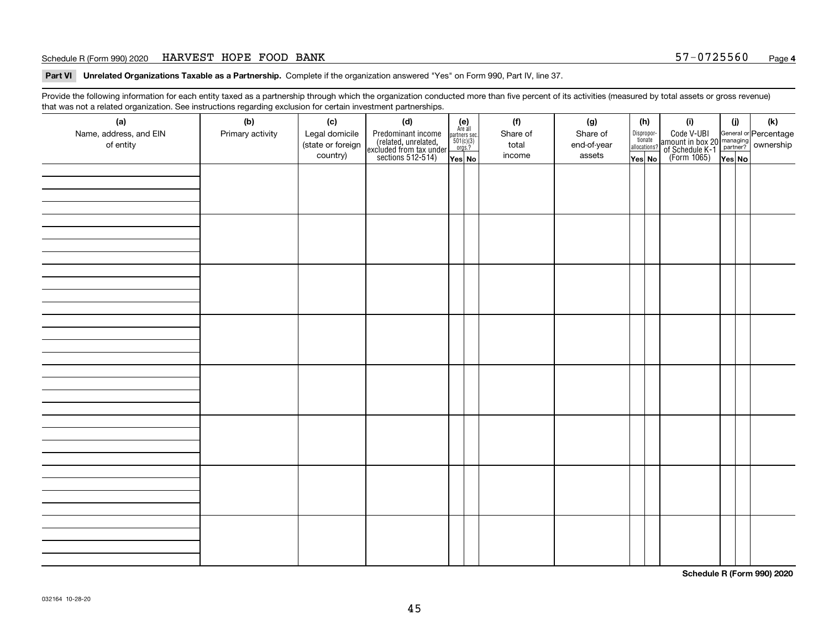#### Schedule R (Form 990) 2020  $\rm{HARKVEST}$  HOPE FOOD BANK 57-0725560 <sub>Page</sub>

**Part VI Unrelated Organizations Taxable as a Partnership. Complete if the organization answered "Yes" on Form 990, Part IV, line 37.** 

Provide the following information for each entity taxed as a partnership through which the organization conducted more than five percent of its activities (measured by total assets or gross revenue) that was not a related organization. See instructions regarding exclusion for certain investment partnerships.

| (a)<br>(b)<br>(f)<br>(k)<br>(c)<br>(d)<br>(g)<br>(h)<br>(i)<br>(i)<br>(e)<br>Are all<br>Name, address, and EIN<br>Legal domicile<br>Dispropor-<br>tionate<br>allocations?<br>Code V-UBI<br>  amount in box 20 managing<br>  of Schedule K-1 partner? ownership<br>  of Schedule K-1 partner? ownership<br>  Yes No<br>Primary activity<br>Share of<br>Predominant income<br>(related, unrelated,<br>excluded from tax under<br>sections 512-514)<br>Share of<br>$\begin{array}{c}\n\text{partners} \text{ sec.} \\ 501(c)(3) \\ \text{orgs.?}\n\end{array}$<br>of entity<br>(state or foreign<br>total<br>end-of-year<br>country)<br>income<br>assets<br>Yes No<br>Yes No<br>YesNO | ັ | ັ<br>ັ |  |  |  |  |  |  |  |
|------------------------------------------------------------------------------------------------------------------------------------------------------------------------------------------------------------------------------------------------------------------------------------------------------------------------------------------------------------------------------------------------------------------------------------------------------------------------------------------------------------------------------------------------------------------------------------------------------------------------------------------------------------------------------------|---|--------|--|--|--|--|--|--|--|
|                                                                                                                                                                                                                                                                                                                                                                                                                                                                                                                                                                                                                                                                                    |   |        |  |  |  |  |  |  |  |
|                                                                                                                                                                                                                                                                                                                                                                                                                                                                                                                                                                                                                                                                                    |   |        |  |  |  |  |  |  |  |
|                                                                                                                                                                                                                                                                                                                                                                                                                                                                                                                                                                                                                                                                                    |   |        |  |  |  |  |  |  |  |
|                                                                                                                                                                                                                                                                                                                                                                                                                                                                                                                                                                                                                                                                                    |   |        |  |  |  |  |  |  |  |
|                                                                                                                                                                                                                                                                                                                                                                                                                                                                                                                                                                                                                                                                                    |   |        |  |  |  |  |  |  |  |
|                                                                                                                                                                                                                                                                                                                                                                                                                                                                                                                                                                                                                                                                                    |   |        |  |  |  |  |  |  |  |
|                                                                                                                                                                                                                                                                                                                                                                                                                                                                                                                                                                                                                                                                                    |   |        |  |  |  |  |  |  |  |
|                                                                                                                                                                                                                                                                                                                                                                                                                                                                                                                                                                                                                                                                                    |   |        |  |  |  |  |  |  |  |
|                                                                                                                                                                                                                                                                                                                                                                                                                                                                                                                                                                                                                                                                                    |   |        |  |  |  |  |  |  |  |
|                                                                                                                                                                                                                                                                                                                                                                                                                                                                                                                                                                                                                                                                                    |   |        |  |  |  |  |  |  |  |
|                                                                                                                                                                                                                                                                                                                                                                                                                                                                                                                                                                                                                                                                                    |   |        |  |  |  |  |  |  |  |
|                                                                                                                                                                                                                                                                                                                                                                                                                                                                                                                                                                                                                                                                                    |   |        |  |  |  |  |  |  |  |
|                                                                                                                                                                                                                                                                                                                                                                                                                                                                                                                                                                                                                                                                                    |   |        |  |  |  |  |  |  |  |
|                                                                                                                                                                                                                                                                                                                                                                                                                                                                                                                                                                                                                                                                                    |   |        |  |  |  |  |  |  |  |
|                                                                                                                                                                                                                                                                                                                                                                                                                                                                                                                                                                                                                                                                                    |   |        |  |  |  |  |  |  |  |
|                                                                                                                                                                                                                                                                                                                                                                                                                                                                                                                                                                                                                                                                                    |   |        |  |  |  |  |  |  |  |
|                                                                                                                                                                                                                                                                                                                                                                                                                                                                                                                                                                                                                                                                                    |   |        |  |  |  |  |  |  |  |
|                                                                                                                                                                                                                                                                                                                                                                                                                                                                                                                                                                                                                                                                                    |   |        |  |  |  |  |  |  |  |
|                                                                                                                                                                                                                                                                                                                                                                                                                                                                                                                                                                                                                                                                                    |   |        |  |  |  |  |  |  |  |
|                                                                                                                                                                                                                                                                                                                                                                                                                                                                                                                                                                                                                                                                                    |   |        |  |  |  |  |  |  |  |
|                                                                                                                                                                                                                                                                                                                                                                                                                                                                                                                                                                                                                                                                                    |   |        |  |  |  |  |  |  |  |
|                                                                                                                                                                                                                                                                                                                                                                                                                                                                                                                                                                                                                                                                                    |   |        |  |  |  |  |  |  |  |
|                                                                                                                                                                                                                                                                                                                                                                                                                                                                                                                                                                                                                                                                                    |   |        |  |  |  |  |  |  |  |
|                                                                                                                                                                                                                                                                                                                                                                                                                                                                                                                                                                                                                                                                                    |   |        |  |  |  |  |  |  |  |
|                                                                                                                                                                                                                                                                                                                                                                                                                                                                                                                                                                                                                                                                                    |   |        |  |  |  |  |  |  |  |
|                                                                                                                                                                                                                                                                                                                                                                                                                                                                                                                                                                                                                                                                                    |   |        |  |  |  |  |  |  |  |
|                                                                                                                                                                                                                                                                                                                                                                                                                                                                                                                                                                                                                                                                                    |   |        |  |  |  |  |  |  |  |
|                                                                                                                                                                                                                                                                                                                                                                                                                                                                                                                                                                                                                                                                                    |   |        |  |  |  |  |  |  |  |
|                                                                                                                                                                                                                                                                                                                                                                                                                                                                                                                                                                                                                                                                                    |   |        |  |  |  |  |  |  |  |
|                                                                                                                                                                                                                                                                                                                                                                                                                                                                                                                                                                                                                                                                                    |   |        |  |  |  |  |  |  |  |
|                                                                                                                                                                                                                                                                                                                                                                                                                                                                                                                                                                                                                                                                                    |   |        |  |  |  |  |  |  |  |
|                                                                                                                                                                                                                                                                                                                                                                                                                                                                                                                                                                                                                                                                                    |   |        |  |  |  |  |  |  |  |
|                                                                                                                                                                                                                                                                                                                                                                                                                                                                                                                                                                                                                                                                                    |   |        |  |  |  |  |  |  |  |
|                                                                                                                                                                                                                                                                                                                                                                                                                                                                                                                                                                                                                                                                                    |   |        |  |  |  |  |  |  |  |
|                                                                                                                                                                                                                                                                                                                                                                                                                                                                                                                                                                                                                                                                                    |   |        |  |  |  |  |  |  |  |
|                                                                                                                                                                                                                                                                                                                                                                                                                                                                                                                                                                                                                                                                                    |   |        |  |  |  |  |  |  |  |
|                                                                                                                                                                                                                                                                                                                                                                                                                                                                                                                                                                                                                                                                                    |   |        |  |  |  |  |  |  |  |
|                                                                                                                                                                                                                                                                                                                                                                                                                                                                                                                                                                                                                                                                                    |   |        |  |  |  |  |  |  |  |
|                                                                                                                                                                                                                                                                                                                                                                                                                                                                                                                                                                                                                                                                                    |   |        |  |  |  |  |  |  |  |
|                                                                                                                                                                                                                                                                                                                                                                                                                                                                                                                                                                                                                                                                                    |   |        |  |  |  |  |  |  |  |
|                                                                                                                                                                                                                                                                                                                                                                                                                                                                                                                                                                                                                                                                                    |   |        |  |  |  |  |  |  |  |

**Schedule R (Form 990) 2020**